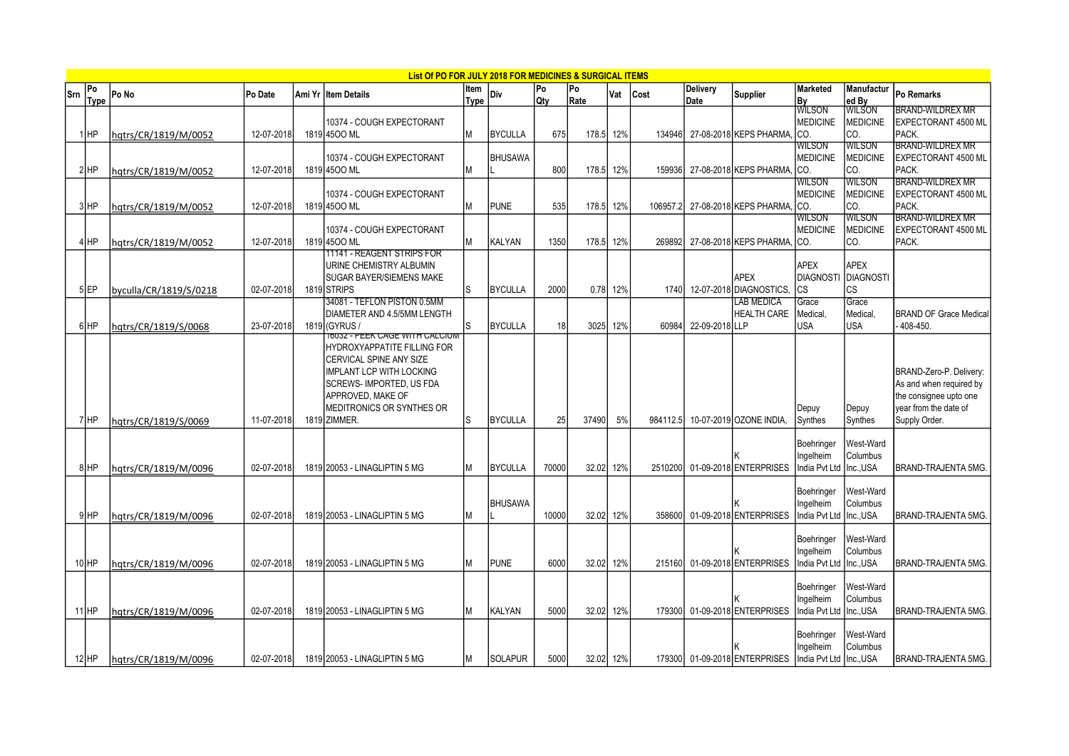|     |                   |                        |            | List Of PO FOR JULY 2018 FOR MEDICINES & SURGICAL ITEMS                                                                                                                                       |              |                |                  |            |     |          |                         |                                                       |                                               |                                         |                                                                                                                        |
|-----|-------------------|------------------------|------------|-----------------------------------------------------------------------------------------------------------------------------------------------------------------------------------------------|--------------|----------------|------------------|------------|-----|----------|-------------------------|-------------------------------------------------------|-----------------------------------------------|-----------------------------------------|------------------------------------------------------------------------------------------------------------------------|
| Srn | Po<br><b>Type</b> | Po No                  | Po Date    | Ami Yr İltem Details                                                                                                                                                                          | ltem<br>Type | Div            | Po<br><b>Qty</b> | Po<br>Rate | Vat | Cost     | <b>Delivery</b><br>Date | <b>Supplier</b>                                       | <b>Marketed</b><br><b>By</b><br>WILSON        | Manufactur<br>ed By                     | Po Remarks                                                                                                             |
|     | IнP               | hqtrs/CR/1819/M/0052   | 12-07-2018 | 10374 - COUGH EXPECTORANT<br>1819 4500 ML                                                                                                                                                     | M            | <b>BYCULLA</b> | 675              | 178.5      | 12% | 134946   |                         | 27-08-2018 KEPS PHARMA, CO.                           | <b>MEDICINE</b>                               | <b>WILSON</b><br>MEDICINE<br>CO.        | <b>BRAND-WILDREX MR</b><br>EXPECTORANT 4500 ML<br>PACK.                                                                |
|     |                   |                        |            | 10374 - COUGH EXPECTORANT                                                                                                                                                                     |              | <b>BHUSAWA</b> |                  |            |     |          |                         |                                                       | <b>WILSON</b><br><b>MEDICINE</b>              | <b>WILSON</b><br><b>IMEDICINE</b>       | <b>BRAND-WILDREX MR</b><br>EXPECTORANT 4500 ML                                                                         |
|     | 2HP               | hgtrs/CR/1819/M/0052   | 12-07-2018 | 1819 4500 ML                                                                                                                                                                                  |              |                | 800              | 178.5      | 12% | 159936   |                         | 27-08-2018 KEPS PHARMA, CO.                           | <b>WILSON</b>                                 | lco.<br><b>WILSON</b>                   | PACK.<br><b>BRAND-WILDREX MR</b>                                                                                       |
|     | 3 HP              | hqtrs/CR/1819/M/0052   | 12-07-2018 | 10374 - COUGH EXPECTORANT<br>1819 4500 ML                                                                                                                                                     | ΙM           | <b>PUNE</b>    | 535              | 178.5      | 12% | 106957.2 |                         | 27-08-2018 KEPS PHARMA, CO.                           | <b>MEDICINE</b>                               | <b>IMEDICINE</b><br>ICO.                | EXPECTORANT 4500 ML<br>PACK.                                                                                           |
|     | 4 HP              | hqtrs/CR/1819/M/0052   | 12-07-2018 | 10374 - COUGH EXPECTORANT<br>1819 4500 ML                                                                                                                                                     |              | KALYAN         | 1350             | 178.5      | 12% | 269892   |                         | 27-08-2018 KEPS PHARMA, CO.                           | WILSON<br><b>MEDICINE</b>                     | <b>WILSON</b><br><b>MEDICINE</b><br>CO. | <b>BRAND-WILDREX MR</b><br>EXPECTORANT 4500 ML<br>PACK.                                                                |
|     | 5 EP              | byculla/CR/1819/S/0218 | 02-07-2018 | 11141 - REAGENT STRIPS FOR<br>URINE CHEMISTRY ALBUMIN<br><b>SUGAR BAYER/SIEMENS MAKE</b><br>1819 STRIPS                                                                                       | l.S          | <b>BYCULLA</b> | 2000             | 0.78 12%   |     | 1740     |                         | <b>APEX</b><br>12-07-2018 DIAGNOSTICS.                | <b>APEX</b><br><b>DIAGNOSTI</b><br><b>ICS</b> | APEX<br>DIAGNOSTI<br>lcs                |                                                                                                                        |
|     | 6 HP              | hqtrs/CR/1819/S/0068   | 23-07-2018 | 34081 - TEFLON PISTON 0.5MM<br>DIAMETER AND 4.5/5MM LENGTH<br>1819 (GYRUS /<br><b>T603Z - PEEK CAGE WITH CALCIUM</b>                                                                          | ls           | <b>BYCULLA</b> | 18               | 3025       | 12% | 60984    | 22-09-2018 LLP          | LAB MEDICA<br><b>HEALTH CARE</b>                      | Grace<br>Medical.<br><b>USA</b>               | Grace<br>Medical,<br>USA                | <b>BRAND OF Grace Medical</b><br>408-450.                                                                              |
|     | 7HP               | hqtrs/CR/1819/S/0069   | 11-07-2018 | HYDROXYAPPATITE FILLING FOR<br>CERVICAL SPINE ANY SIZE<br><b>IMPLANT LCP WITH LOCKING</b><br><b>SCREWS-IMPORTED, US FDA</b><br>APPROVED. MAKE OF<br>MEDITRONICS OR SYNTHES OR<br>1819 ZIMMER. | ls           | <b>BYCULLA</b> | 25               | 37490      | 5%  | 984112.5 |                         | 10-07-2019 OZONE INDIA.                               | Depuy<br>Synthes                              | Depuy<br>Synthes                        | BRAND-Zero-P. Delivery:<br>As and when required by<br>the consignee upto one<br>year from the date of<br>Supply Order. |
|     | 8HP               | hqtrs/CR/1819/M/0096   | 02-07-2018 | 1819 20053 - LINAGLIPTIN 5 MG                                                                                                                                                                 |              | <b>BYCULLA</b> | 70000            | 32.02      | 12% | 2510200  |                         | 01-09-2018 ENTERPRISES                                | Boehringer<br>Ingelheim<br>India Pvt Ltd      | West-Ward<br>Columbus<br>Inc.,USA       | BRAND-TRAJENTA 5MG.                                                                                                    |
|     | 9HP               | hqtrs/CR/1819/M/0096   | 02-07-2018 | 1819 20053 - LINAGLIPTIN 5 MG                                                                                                                                                                 | ΙM           | <b>BHUSAWA</b> | 10000            | 32.02      | 12% | 358600   |                         | 01-09-2018 ENTERPRISES                                | Boehringer<br>Ingelheim<br>India Pvt Ltd      | West-Ward<br>Columbus<br>Inc., USA      | BRAND-TRAJENTA 5MG.                                                                                                    |
|     | 10 <sub>HP</sub>  | hqtrs/CR/1819/M/0096   | 02-07-2018 | 1819 20053 - LINAGLIPTIN 5 MG                                                                                                                                                                 | M            | <b>PUNE</b>    | 6000             | 32.02      | 12% | 215160   |                         | 01-09-2018 ENTERPRISES                                | Boehringer<br>Ingelheim<br>ndia Pvt Ltd       | West-Ward<br>Columbus<br>Inc., USA      | BRAND-TRAJENTA 5MG                                                                                                     |
|     | $11$ HP           | hqtrs/CR/1819/M/0096   | 02-07-2018 | 1819 20053 - LINAGLIPTIN 5 MG                                                                                                                                                                 | ΙM           | <b>KALYAN</b>  | 5000             | 32.02      | 12% | 179300   |                         | 01-09-2018 ENTERPRISES                                | Boehringer<br>Ingelheim<br>India Pvt Ltd      | West-Ward<br>Columbus<br>Inc., USA      | BRAND-TRAJENTA 5MG.                                                                                                    |
|     | $12$ $HP$         | hqtrs/CR/1819/M/0096   | 02-07-2018 | 1819 20053 - LINAGLIPTIN 5 MG                                                                                                                                                                 | M            | <b>SOLAPUR</b> | 5000             | 32.02 12%  |     |          |                         | 179300 01-09-2018 ENTERPRISES India Pvt Ltd Inc., USA | Boehringer<br>Ingelheim                       | West-Ward<br>Columbus                   | <b>BRAND-TRAJENTA 5MG.</b>                                                                                             |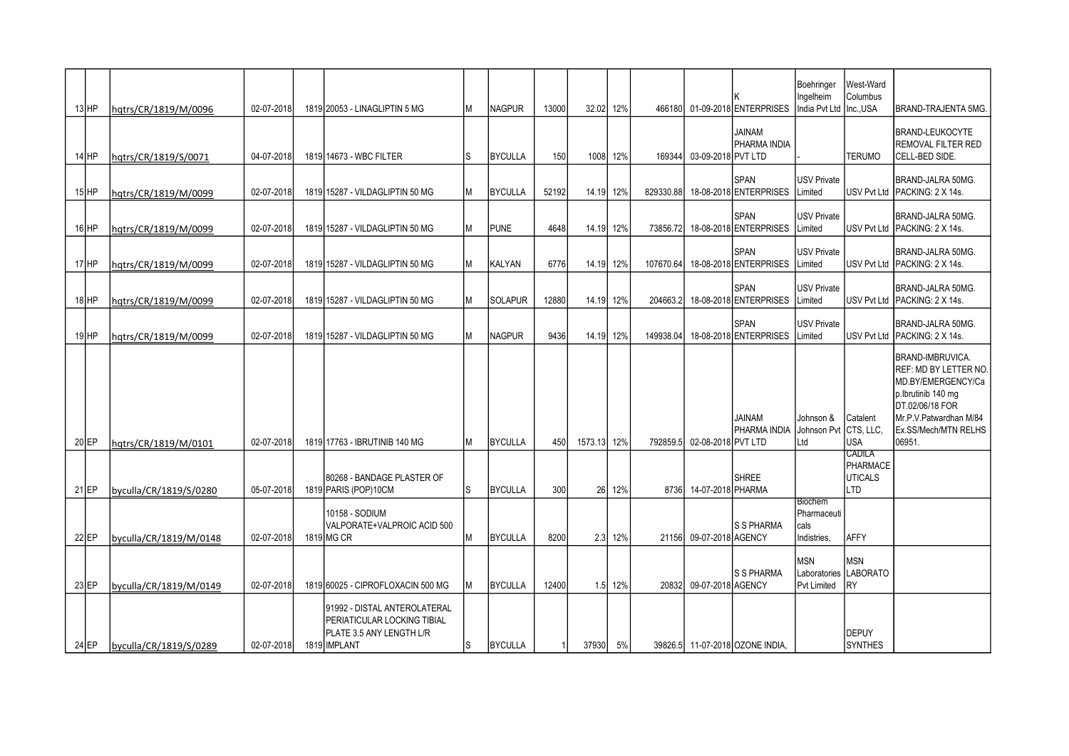| $13$ HP | hgtrs/CR/1819/M/0096   | 02-07-2018 | 1819 20053 - LINAGLIPTIN 5 MG                                                                           |     | <b>NAGPUR</b>  | 13000 | 32.02 12% |          | 466180    |                           | 01-09-2018 ENTERPRISES                | Boehringer<br>Ingelheim<br>India Pvt Ltd ∣Inc.,USA   | West-Ward<br>Columbus                                      | BRAND-TRAJENTA 5MG.                                                                                                                                                         |
|---------|------------------------|------------|---------------------------------------------------------------------------------------------------------|-----|----------------|-------|-----------|----------|-----------|---------------------------|---------------------------------------|------------------------------------------------------|------------------------------------------------------------|-----------------------------------------------------------------------------------------------------------------------------------------------------------------------------|
| $14$ HP | hgtrs/CR/1819/S/0071   | 04-07-2018 | 1819 14673 - WBC FILTER                                                                                 | lS  | <b>BYCULLA</b> | 150   |           | 1008 12% |           | 169344 03-09-2018 PVT LTD | JAINAM<br>PHARMA INDIA                |                                                      | <b>TERUMO</b>                                              | <b>BRAND-LEUKOCYTE</b><br>REMOVAL FILTER RED<br><b>CELL-BED SIDE.</b>                                                                                                       |
| $15$ HP | hqtrs/CR/1819/M/0099   | 02-07-2018 | 1819 15287 - VILDAGLIPTIN 50 MG                                                                         | M   | <b>BYCULLA</b> | 52192 | 14.19 12% |          | 829330.88 |                           | SPAN<br>18-08-2018 ENTERPRISES        | <b>USV Private</b><br>Limited                        |                                                            | BRAND-JALRA 50MG.<br>USV Pvt Ltd PACKING: 2 X 14s.                                                                                                                          |
| $16$ HP | hgtrs/CR/1819/M/0099   | 02-07-2018 | 1819 15287 - VILDAGLIPTIN 50 MG                                                                         | M   | <b>PUNE</b>    | 4648  | 14.19 12% |          | 73856.721 |                           | SPAN<br>18-08-2018 ENTERPRISES        | <b>USV Private</b><br>Limited                        |                                                            | BRAND-JALRA 50MG.<br>USV Pvt Ltd   PACKING: 2 X 14s.                                                                                                                        |
| $17$ HP | hqtrs/CR/1819/M/0099   | 02-07-2018 | 1819 15287 - VILDAGLIPTIN 50 MG                                                                         | M   | <b>KALYAN</b>  | 6776  | 14.19 12% |          | 107670.64 |                           | SPAN<br>18-08-2018 ENTERPRISES        | <b>USV Private</b><br>Limited                        |                                                            | BRAND-JALRA 50MG.<br>USV Pvt Ltd PACKING: 2 X 14s.                                                                                                                          |
| $18$ HP | hqtrs/CR/1819/M/0099   | 02-07-2018 | 1819 15287 - VILDAGLIPTIN 50 MG                                                                         |     | <b>SOLAPUR</b> | 12880 | 14.19 12% |          | 204663.2  |                           | <b>SPAN</b><br>18-08-2018 ENTERPRISES | <b>USV Private</b><br>Limited                        |                                                            | BRAND-JALRA 50MG.<br>USV Pvt Ltd PACKING: 2 X 14s.                                                                                                                          |
| $19$ HP | hqtrs/CR/1819/M/0099   | 02-07-2018 | 1819 15287 - VILDAGLIPTIN 50 MG                                                                         |     | <b>NAGPUR</b>  | 9436  | 14.19 12% |          | 149938.04 |                           | SPAN<br>18-08-2018 ENTERPRISES        | <b>USV Private</b><br>Limited                        |                                                            | BRAND-JALRA 50MG.<br><b>IUSV Pvt Ltd IPACKING: 2 X 14s.</b>                                                                                                                 |
| $20$ EP | hqtrs/CR/1819/M/0101   | 02-07-2018 | 1819 17763 - IBRUTINIB 140 MG                                                                           |     | <b>BYCULLA</b> | 450   | 1573.13   | 12%      | 792859.5  | 02-08-2018 PVT LTD        | <b>JAINAM</b><br>PHARMA INDIA         | Johnson &<br>Johnson Pvt CTS, LLC<br>Ltd             | Catalent<br><b>JUSA</b>                                    | BRAND-IMBRUVICA.<br>REF: MD BY LETTER NO.<br>MD.BY/EMERGENCY/Ca<br>p.lbrutinib 140 mg<br>DT.02/06/18 FOR<br>Mr.P.V.Patwardhan M/84<br><b>Ex.SS/Mech/MTN RELHS</b><br>06951. |
| $21$ EP | byculla/CR/1819/S/0280 | 05-07-2018 | 80268 - BANDAGE PLASTER OF<br>1819 PARIS (POP) 10 CM                                                    | l.S | <b>BYCULLA</b> | 300   |           | 26 12%   |           | 8736 14-07-2018 PHARMA    | <b>SHREE</b>                          |                                                      | <b>CADILA</b><br><b>PHARMACE</b><br><b>UTICALS</b><br>Iltd |                                                                                                                                                                             |
| $22$ EP | byculla/CR/1819/M/0148 | 02-07-2018 | 10158 - SODIUM<br>VALPORATE+VALPROIC ACID 500<br>1819 MG CR                                             |     | <b>BYCULLA</b> | 8200  |           | 2.3 12%  | 21156     | 09-07-2018 AGENCY         | S S PHARMA                            | <b>Biochem</b><br>Pharmaceuti<br>cals<br>Indistries. | AFFY                                                       |                                                                                                                                                                             |
| $23$ EP | byculla/CR/1819/M/0149 | 02-07-2018 | 1819 60025 - CIPROFLOXACIN 500 MG                                                                       |     | <b>BYCULLA</b> | 12400 |           | 1.5 12%  |           | 20832 09-07-2018 AGENCY   | S S PHARMA                            | <b>MSN</b><br><b>Pvt Limited</b>                     | <b>MSN</b><br>Laboratories LABORATO<br><b>IRY</b>          |                                                                                                                                                                             |
| 24 EP   | byculla/CR/1819/S/0289 | 02-07-2018 | 91992 - DISTAL ANTEROLATERAL<br>PERIATICULAR LOCKING TIBIAL<br>PLATE 3.5 ANY LENGTH L/R<br>1819 IMPLANT | S   | <b>BYCULLA</b> |       | 37930     | 5%       |           |                           | 39826.5 11-07-2018 OZONE INDIA,       |                                                      | DEPUY<br><b>SYNTHES</b>                                    |                                                                                                                                                                             |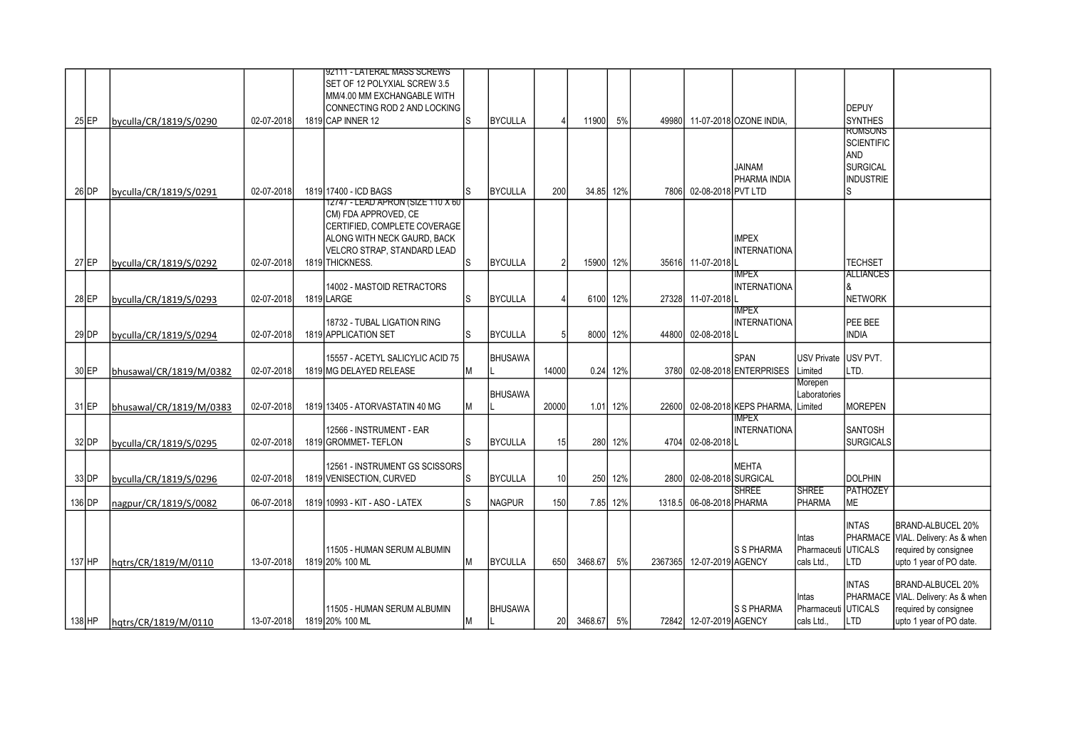|          |                         |            | 92111 - LATERAL MASS SCREWS<br>SET OF 12 POLYXIAL SCREW 3.5 |    |                |                 |           |          |         |                          |                             |                              |                                 |                                                             |
|----------|-------------------------|------------|-------------------------------------------------------------|----|----------------|-----------------|-----------|----------|---------|--------------------------|-----------------------------|------------------------------|---------------------------------|-------------------------------------------------------------|
|          |                         |            | MM/4.00 MM EXCHANGABLE WITH                                 |    |                |                 |           |          |         |                          |                             |                              |                                 |                                                             |
|          |                         |            | CONNECTING ROD 2 AND LOCKING                                |    |                |                 |           |          |         |                          |                             |                              | <b>DEPUY</b>                    |                                                             |
| $25$ EP  | byculla/CR/1819/S/0290  | 02-07-2018 | 1819 CAP INNER 12                                           | ls | <b>BYCULLA</b> |                 | 11900     | 5%       | 49980   |                          | 11-07-2018 OZONE INDIA.     |                              | <b>SYNTHES</b>                  |                                                             |
|          |                         |            |                                                             |    |                |                 |           |          |         |                          |                             |                              | ROMSONS                         |                                                             |
|          |                         |            |                                                             |    |                |                 |           |          |         |                          |                             |                              | <b>SCIENTIFIC</b><br><b>AND</b> |                                                             |
|          |                         |            |                                                             |    |                |                 |           |          |         |                          | <b>JAINAM</b>               |                              | <b>SURGICAL</b>                 |                                                             |
|          |                         |            |                                                             |    |                |                 |           |          |         |                          | PHARMA INDIA                |                              | <b>INDUSTRIE</b>                |                                                             |
| 26 DP    | byculla/CR/1819/S/0291  | 02-07-2018 | 1819 17400 - ICD BAGS                                       |    | <b>BYCULLA</b> | 200             | 34.85 12% |          | 7806    | 02-08-2018 PVT LTD       |                             |                              | Ś                               |                                                             |
|          |                         |            | 12747 - LEAD APRON (SIZE 110 X 60                           |    |                |                 |           |          |         |                          |                             |                              |                                 |                                                             |
|          |                         |            | <b>CM) FDA APPROVED. CE</b><br>CERTIFIED, COMPLETE COVERAGE |    |                |                 |           |          |         |                          |                             |                              |                                 |                                                             |
|          |                         |            | ALONG WITH NECK GAURD, BACK                                 |    |                |                 |           |          |         |                          | <b>IMPEX</b>                |                              |                                 |                                                             |
|          |                         |            | VELCRO STRAP, STANDARD LEAD                                 |    |                |                 |           |          |         |                          | <b>INTERNATIONA</b>         |                              |                                 |                                                             |
| $27$ EP  | byculla/CR/1819/S/0292  | 02-07-2018 | 1819 THICKNESS.                                             | ls | <b>BYCULLA</b> |                 | 15900 12% |          |         | 35616 11-07-2018 L       |                             |                              | <b>TECHSET</b>                  |                                                             |
|          |                         |            |                                                             |    |                |                 |           |          |         |                          | <b>IMPEX</b>                |                              | <b>ALLIANCES</b>                |                                                             |
|          |                         |            | 14002 - MASTOID RETRACTORS                                  |    |                |                 |           |          |         |                          | <b>INTERNATIONA</b>         |                              |                                 |                                                             |
| $28$ EP  | byculla/CR/1819/S/0293  | 02-07-2018 | 1819 LARGE                                                  | ls | <b>BYCULLA</b> |                 |           | 6100 12% |         | 27328 11-07-2018         | IMPEX                       |                              | <b>NETWORK</b>                  |                                                             |
|          |                         |            | 18732 - TUBAL LIGATION RING                                 |    |                |                 |           |          |         |                          | <b>INTERNATIONA</b>         |                              | PEE BEE                         |                                                             |
| $29$ DP  | byculla/CR/1819/S/0294  | 02-07-2018 | 1819 APPLICATION SET                                        | ls | <b>BYCULLA</b> |                 | 8000      | 12%      |         | 44800 02-08-2018         |                             |                              | <b>INDIA</b>                    |                                                             |
|          |                         |            |                                                             |    |                |                 |           |          |         |                          |                             |                              |                                 |                                                             |
|          |                         |            | 15557 - ACETYL SALICYLIC ACID 75                            |    | <b>BHUSAWA</b> |                 |           |          |         |                          | <b>SPAN</b>                 | <b>USV Private</b>           | USV PVT.                        |                                                             |
| $30$ EP  | bhusawal/CR/1819/M/0382 | 02-07-2018 | 1819 MG DELAYED RELEASE                                     | lм |                | 14000           |           | 0.24 12% |         |                          | 3780 02-08-2018 ENTERPRISES | Limited                      | LTD.                            |                                                             |
|          |                         |            |                                                             |    | <b>BHUSAWA</b> |                 |           |          |         |                          |                             | Morepen<br>Laboratories      |                                 |                                                             |
| 31 EP    | bhusawal/CR/1819/M/0383 | 02-07-2018 | 1819 13405 - ATORVASTATIN 40 MG                             | Μ  |                | 20000           |           | 1.01 12% | 22600I  |                          | 02-08-2018 KEPS PHARMA.     | Limited                      | <b>MOREPEN</b>                  |                                                             |
|          |                         |            |                                                             |    |                |                 |           |          |         |                          | IMPEX                       |                              |                                 |                                                             |
|          |                         |            | 12566 - INSTRUMENT - EAR                                    |    |                |                 |           |          |         |                          | <b>INTERNATIONA</b>         |                              | SANTOSH                         |                                                             |
| $32$ DP  | byculla/CR/1819/S/0295  | 02-07-2018 | 1819 GROMMET- TEFLON                                        | ls | <b>BYCULLA</b> | 15              |           | 280 12%  |         | 4704 02-08-2018          |                             |                              | <b>SURGICALS</b>                |                                                             |
|          |                         |            | 12561 - INSTRUMENT GS SCISSORS                              |    |                |                 |           |          |         |                          | <b>MEHTA</b>                |                              |                                 |                                                             |
| $33$ DP  | byculla/CR/1819/S/0296  | 02-07-2018 | 1819 VENISECTION, CURVED                                    | ls | <b>BYCULLA</b> | 10              |           | 250 12%  |         | 2800 02-08-2018 SURGICAL |                             |                              | <b>DOLPHIN</b>                  |                                                             |
|          |                         |            |                                                             |    |                |                 |           |          |         |                          | <b>SHREE</b>                | <b>SHREE</b>                 | <b>PATHOZEY</b>                 |                                                             |
| $136$ DP | nagpur/CR/1819/S/0082   | 06-07-2018 | 1819 10993 - KIT - ASO - LATEX                              | ls | <b>NAGPUR</b>  | 150             |           | 7.85 12% | 1318.5  | 06-08-2018 PHARMA        |                             | <b>PHARMA</b>                | <b>ME</b>                       |                                                             |
|          |                         |            |                                                             |    |                |                 |           |          |         |                          |                             |                              | <b>INTAS</b>                    | BRAND-ALBUCEL 20%                                           |
|          |                         |            |                                                             |    |                |                 |           |          |         |                          |                             | Intas                        |                                 | PHARMACE VIAL. Delivery: As & when                          |
|          |                         |            | 11505 - HUMAN SERUM ALBUMIN                                 |    |                |                 |           |          |         |                          | ls s pharma                 | Pharmaceuti                  | Iuticals                        | required by consignee                                       |
| 137 HP   | hqtrs/CR/1819/M/0110    | 13-07-2018 | 1819 20% 100 ML                                             | lМ | <b>BYCULLA</b> | 650             | 3468.67   | 5%       | 2367365 | 12-07-2019 AGENCY        |                             | cals Ltd                     | <b>LTD</b>                      | upto 1 year of PO date.                                     |
|          |                         |            |                                                             |    |                |                 |           |          |         |                          |                             |                              |                                 |                                                             |
|          |                         |            |                                                             |    |                |                 |           |          |         |                          |                             |                              | <b>INTAS</b>                    | BRAND-ALBUCEL 20%                                           |
|          |                         |            | 11505 - HUMAN SERUM ALBUMIN                                 |    | <b>BHUSAWA</b> |                 |           |          |         |                          | ls s pharma                 | Intas<br>Pharmaceuti UTICALS |                                 | PHARMACE VIAL. Delivery: As & when<br>required by consignee |
| $138$ HP | hqtrs/CR/1819/M/0110    | 13-07-2018 | 1819 20% 100 ML                                             | IМ |                | 20 <sub>l</sub> | 3468.67   | 5%       |         | 72842 12-07-2019 AGENCY  |                             | cals Ltd.,                   | <b>LTD</b>                      | upto 1 year of PO date.                                     |
|          |                         |            |                                                             |    |                |                 |           |          |         |                          |                             |                              |                                 |                                                             |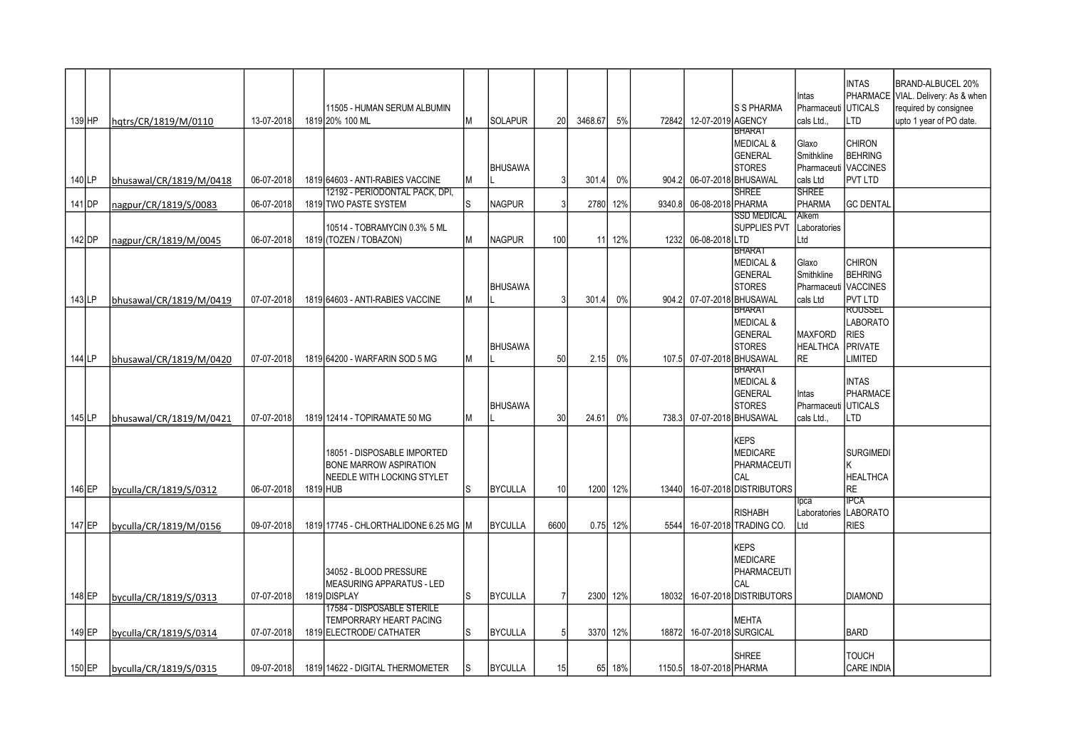| 139 HP   | hqtrs/CR/1819/M/0110    | 13-07-2018 | 11505 - HUMAN SERUM ALBUMIN<br>1819 20% 100 ML                                                                | M | <b>SOLAPUR</b> | 20             | 3468.67 | 5%     | 72842  | 12-07-2019 AGENCY         | ls s pharma                                                                                     | Intas<br>Pharmaceuti<br>cals Ltd                        | <b>INTAS</b><br><b>UTICALS</b><br>LTD                                  | BRAND-ALBUCEL 20%<br>PHARMACE VIAL. Delivery: As & when<br>required by consignee<br>upto 1 year of PO date. |
|----------|-------------------------|------------|---------------------------------------------------------------------------------------------------------------|---|----------------|----------------|---------|--------|--------|---------------------------|-------------------------------------------------------------------------------------------------|---------------------------------------------------------|------------------------------------------------------------------------|-------------------------------------------------------------------------------------------------------------|
|          |                         |            |                                                                                                               |   | <b>BHUSAWA</b> |                |         |        |        |                           | <b>BHARAT</b><br><b>MEDICAL &amp;</b><br>GENERAL<br><b>STORES</b>                               | Glaxo<br>Smithkline<br>Pharmaceuti VACCINES             | <b>CHIRON</b><br><b>BEHRING</b>                                        |                                                                                                             |
| 140 LP   | bhusawal/CR/1819/M/0418 | 06-07-2018 | 1819 64603 - ANTI-RABIES VACCINE                                                                              | М |                |                | 301.4   | $0\%$  |        | 904.2 06-07-2018 BHUSAWAL |                                                                                                 | cals Ltd                                                | PVT LTD                                                                |                                                                                                             |
| 141 DP   | nagpur/CR/1819/S/0083   | 06-07-2018 | <u> 12192 - PERIODONTAL PACK, DPI,</u><br>1819 TWO PASTE SYSTEM                                               | S | <b>NAGPUR</b>  | 3              | 2780    | 12%    | 9340.8 | 06-08-2018 PHARMA         | <b>SHREE</b>                                                                                    | <b>SHREE</b><br>PHARMA                                  | <b>GC DENTAL</b>                                                       |                                                                                                             |
| 142 DP   | nagpur/CR/1819/M/0045   | 06-07-2018 | 10514 - TOBRAMYCIN 0.3% 5 ML<br>1819 (TOZEN / TOBAZON)                                                        | М | <b>NAGPUR</b>  | 100            | 11      | 12%    | 1232l  | 06-08-2018LTD             | <b>SSD MEDICAL</b><br><b>SUPPLIES PVT</b>                                                       | Alkem<br>Laboratories<br>Ltd                            |                                                                        |                                                                                                             |
| 143 LP   | bhusawal/CR/1819/M/0419 | 07-07-2018 | 1819 64603 - ANTI-RABIES VACCINE                                                                              | Μ | <b>BHUSAWA</b> |                | 301.4   | 0%     | 904.2  |                           | <b>BHARAT</b><br><b>MEDICAL &amp;</b><br><b>GENERAL</b><br><b>STORES</b><br>07-07-2018 BHUSAWAL | Glaxo<br>Smithkline<br>Pharmaceuti VACCINES<br>cals Ltd | <b>CHIRON</b><br><b>BEHRING</b><br>PVT LTD                             |                                                                                                             |
| 144 LP   | bhusawal/CR/1819/M/0420 | 07-07-2018 | 1819 64200 - WARFARIN SOD 5 MG                                                                                | М | <b>BHUSAWA</b> | 50             | 2.15    | 0%     |        | 107.5 07-07-2018 BHUSAWAL | <b>BHARAT</b><br><b>MEDICAL &amp;</b><br><b>GENERAL</b><br><b>STORES</b>                        | <b>MAXFORD</b><br><b>HEALTHCA</b><br><b>RE</b>          | <b>ROUSSEL</b><br><b>LABORATO</b><br>RIES<br><b>PRIVATE</b><br>LIMITED |                                                                                                             |
| $145$ LP | bhusawal/CR/1819/M/0421 | 07-07-2018 | 1819 12414 - TOPIRAMATE 50 MG                                                                                 | М | <b>BHUSAWA</b> | 30             | 24.61   | $0\%$  |        | 738.3 07-07-2018 BHUSAWAL | <b>BHARAT</b><br><b>MEDICAL &amp;</b><br>GENERAL<br><b>STORES</b>                               | Intas<br>Pharmaceuti<br>cals Ltd.,                      | <b>INTAS</b><br><b>PHARMACE</b><br><b>UTICALS</b><br>LTD               |                                                                                                             |
| 146 EP   | byculla/CR/1819/S/0312  | 06-07-2018 | 18051 - DISPOSABLE IMPORTED<br><b>BONE MARROW ASPIRATION</b><br><b>NEEDLE WITH LOCKING STYLET</b><br>1819 HUB | S | <b>BYCULLA</b> | 10             | 1200    | 12%    | 134401 |                           | <b>KEPS</b><br><b>MEDICARE</b><br><b>PHARMACEUTI</b><br>CAL<br>16-07-2018 DISTRIBUTORS          |                                                         | <b>SURGIMEDI</b><br><b>HEALTHCA</b><br><b>RE</b>                       |                                                                                                             |
| 147 EP   | byculla/CR/1819/M/0156  | 09-07-2018 | 1819 17745 - CHLORTHALIDONE 6.25 MG                                                                           |   | <b>BYCULLA</b> | 6600           | 0.75    | 12%    | 5544   |                           | <b>RISHABH</b><br>16-07-2018 TRADING CO.                                                        | lpca<br>Laboratories<br>Ltd                             | <b>IPCA</b><br>LABORATO<br>RIES                                        |                                                                                                             |
| 148 EP   | byculla/CR/1819/S/0313  | 07-07-2018 | 34052 - BLOOD PRESSURE<br>MEASURING APPARATUS - LED<br>1819 DISPLAY                                           | S | <b>BYCULLA</b> | $\overline{7}$ | 2300    | 12%    | 18032  |                           | <b>KEPS</b><br><b>MEDICARE</b><br>PHARMACEUTI<br>CAL<br>16-07-2018 DISTRIBUTORS                 |                                                         | <b>DIAMOND</b>                                                         |                                                                                                             |
| 149 EP   | byculla/CR/1819/S/0314  | 07-07-2018 | 17584 - DISPOSABLE STERILE<br>TEMPORRARY HEART PACING<br>1819 ELECTRODE/ CATHATER                             | S | <b>BYCULLA</b> | 5 <sup>1</sup> | 3370    | 12%    | 18872  |                           | <b>MEHTA</b><br>16-07-2018 SURGICAL                                                             |                                                         | <b>BARD</b>                                                            |                                                                                                             |
| $150$ EP | byculla/CR/1819/S/0315  | 09-07-2018 | 1819 14622 - DIGITAL THERMOMETER                                                                              | S | <b>BYCULLA</b> | 15             |         | 65 18% |        | 1150.5 18-07-2018 PHARMA  | <b>SHREE</b>                                                                                    |                                                         | TOUCH<br><b>CARE INDIA</b>                                             |                                                                                                             |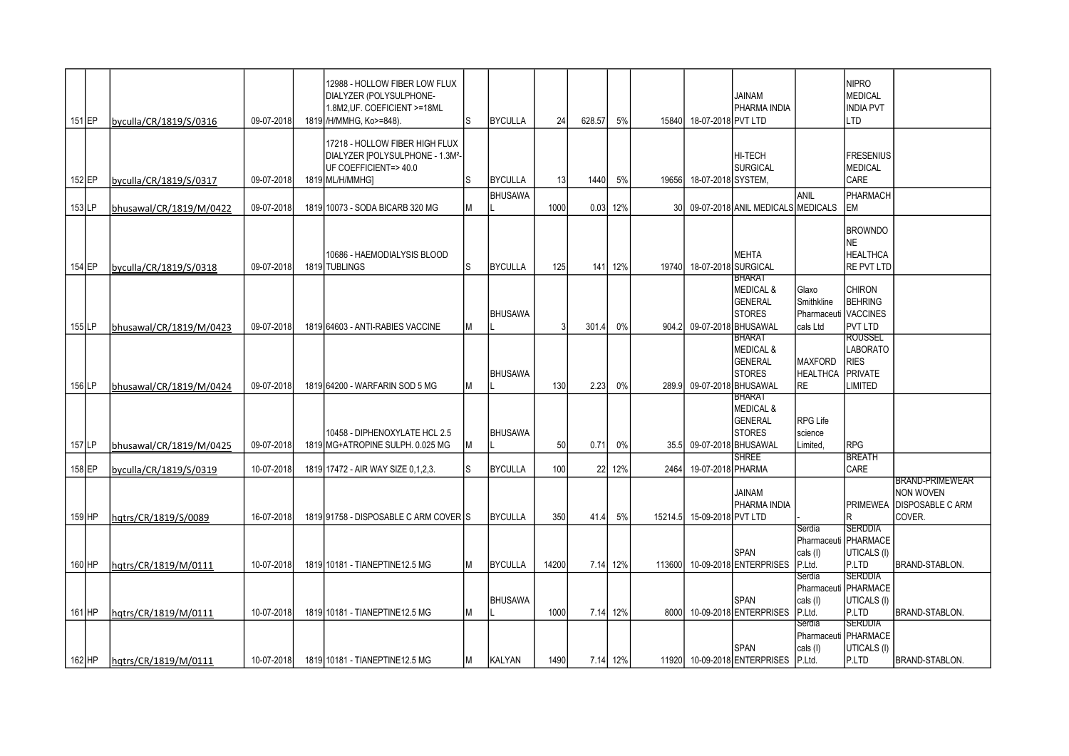| 151 EP   | byculla/CR/1819/S/0316  | 09-07-2018 | 12988 - HOLLOW FIBER LOW FLUX<br>DIALYZER (POLYSULPHONE-<br>1.8M2, UF. COEFICIENT >=18ML<br>1819 / H/MMHG, Ko>=848). | ls. | <b>BYCULLA</b> | 24    | 628.57 | 5%       | 15840           | 18-07-2018 PVT LTD       | <b>JAINAM</b><br>PHARMA INDIA                                                            |                                                         | <b>NIPRO</b><br>MEDICAL<br><b>IINDIA PVT</b><br>LTD                    |                                                                                 |
|----------|-------------------------|------------|----------------------------------------------------------------------------------------------------------------------|-----|----------------|-------|--------|----------|-----------------|--------------------------|------------------------------------------------------------------------------------------|---------------------------------------------------------|------------------------------------------------------------------------|---------------------------------------------------------------------------------|
| $152$ EP | byculla/CR/1819/S/0317  | 09-07-2018 | 17218 - HOLLOW FIBER HIGH FLUX<br>DIALYZER [POLYSULPHONE - 1.3M2-<br>UF COEFFICIENT=>40.0<br>1819 ML/H/MMHG]         | l.S | <b>BYCULLA</b> | 13    | 1440   | 5%       |                 | 19656 18-07-2018 SYSTEM, | HI-TECH<br><b>SURGICAL</b>                                                               |                                                         | FRESENIUS<br>MEDICAL<br><b>CARE</b>                                    |                                                                                 |
| $153$ LP | bhusawal/CR/1819/M/0422 | 09-07-2018 | 1819 10073 - SODA BICARB 320 MG                                                                                      | M   | <b>BHUSAWA</b> | 1000  | 0.03   | 12%      | 30 <sup>1</sup> |                          | 09-07-2018 ANIL MEDICALS MEDICALS                                                        | ANIL                                                    | PHARMACH<br>lem                                                        |                                                                                 |
| 154 EP   | byculla/CR/1819/S/0318  | 09-07-2018 | 10686 - HAEMODIALYSIS BLOOD<br>1819 TUBLINGS                                                                         | ls  | <b>BYCULLA</b> | 125   | 141    | 12%      | 19740           | 18-07-2018 SURGICAL      | <b>MEHTA</b>                                                                             |                                                         | <b>BROWNDO</b><br><b>NE</b><br><b>HEALTHCA</b><br><b>RE PVT LTD</b>    |                                                                                 |
| $155$ LP | bhusawal/CR/1819/M/0423 | 09-07-2018 | 1819 64603 - ANTI-RABIES VACCINE                                                                                     | M   | <b>BHUSAWA</b> |       | 301.4  | 0%       | 904.2           |                          | BHARAT<br><b>MEDICAL &amp;</b><br><b>GENERAL</b><br><b>STORES</b><br>09-07-2018 BHUSAWAL | Glaxo<br>Smithkline<br>Pharmaceuti VACCINES<br>cals Ltd | <b>CHIRON</b><br><b>BEHRING</b><br><b>PVT LTD</b>                      |                                                                                 |
| $156$ LP | bhusawal/CR/1819/M/0424 | 09-07-2018 | 1819 64200 - WARFARIN SOD 5 MG                                                                                       | M   | <b>BHUSAWA</b> | 130   | 2.23   | $0\%$    | 289.9           |                          | BHARAT<br><b>MEDICAL &amp;</b><br><b>GENERAL</b><br><b>STORES</b><br>09-07-2018 BHUSAWAL | <b>MAXFORD</b><br><b>HEALTHCA</b><br><b>RE</b>          | <b>ROUSSEL</b><br>LABORATO<br><b>RIES</b><br>PRIVATE<br><b>LIMITED</b> |                                                                                 |
| 157 LP   | bhusawal/CR/1819/M/0425 | 09-07-2018 | 10458 - DIPHENOXYLATE HCL 2.5<br>1819 MG+ATROPINE SULPH. 0.025 MG                                                    | lМ  | <b>BHUSAWA</b> | 50    | 0.71   | 0%       | 35.5            |                          | BHARAT<br><b>MEDICAL &amp;</b><br><b>GENERAL</b><br><b>STORES</b><br>09-07-2018 BHUSAWAL | <b>RPG Life</b><br>science<br>Limited,                  | <b>RPG</b>                                                             |                                                                                 |
| $158$ EP | byculla/CR/1819/S/0319  | 10-07-2018 | 1819 17472 - AIR WAY SIZE 0.1.2.3.                                                                                   |     | <b>BYCULLA</b> | 100   | 22     | 12%      | 2464            | 19-07-2018 PHARMA        | <b>SHREE</b>                                                                             |                                                         | <b>BREATH</b><br><b>CARE</b>                                           |                                                                                 |
| $159$ HP | hqtrs/CR/1819/S/0089    | 16-07-2018 | 1819 91758 - DISPOSABLE C ARM COVER S                                                                                |     | <b>BYCULLA</b> | 350   | 41.4   | 5%       | 15214.5         | 15-09-2018 PVT LTD       | <b>JAINAM</b><br>PHARMA INDIA                                                            |                                                         | <b>PRIMEWEA</b><br>lR                                                  | <b>BRAND-PRIMEWEAR</b><br><b>NON WOVEN</b><br><b>DISPOSABLE C ARM</b><br>COVER. |
| 160 HP   | hqtrs/CR/1819/M/0111    | 10-07-2018 | 1819 10181 - TIANEPTINE12.5 MG                                                                                       | M   | <b>BYCULLA</b> | 14200 | 7.14   | 12%      | 113600          |                          | <b>SPAN</b><br>10-09-2018 ENTERPRISES                                                    | Serdia<br>Pharmaceuti   PHARMACE<br>cals (I)<br>P.Ltd.  | <b>SERDDIA</b><br>UTICALS (I)<br>P.LTD                                 | BRAND-STABLON.                                                                  |
| 161 HP   | hqtrs/CR/1819/M/0111    | 10-07-2018 | 1819 10181 - TIANEPTINE12.5 MG                                                                                       | M   | <b>BHUSAWA</b> | 1000  |        | 7.14 12% | 8000            |                          | <b>SPAN</b><br>10-09-2018 ENTERPRISES                                                    | Serdia<br>Pharmaceuti PHARMACE<br>cals (I)<br>P.Ltd.    | <b>SERDDIA</b><br>UTICALS (I)<br><b>P.LTD</b>                          | BRAND-STABLON.                                                                  |
| $162$ HP | hqtrs/CR/1819/M/0111    | 10-07-2018 | 1819 10181 - TIANEPTINE12.5 MG                                                                                       | M   | <b>KALYAN</b>  | 1490  |        | 7.14 12% |                 |                          | <b>SPAN</b><br>11920 10-09-2018 ENTERPRISES                                              | Serdia<br>Pharmaceuti   PHARMACE<br>cals (I)<br>P.Ltd.  | <b>SERDDIA</b><br>UTICALS (I)<br>IP.LTD                                | BRAND-STABLON.                                                                  |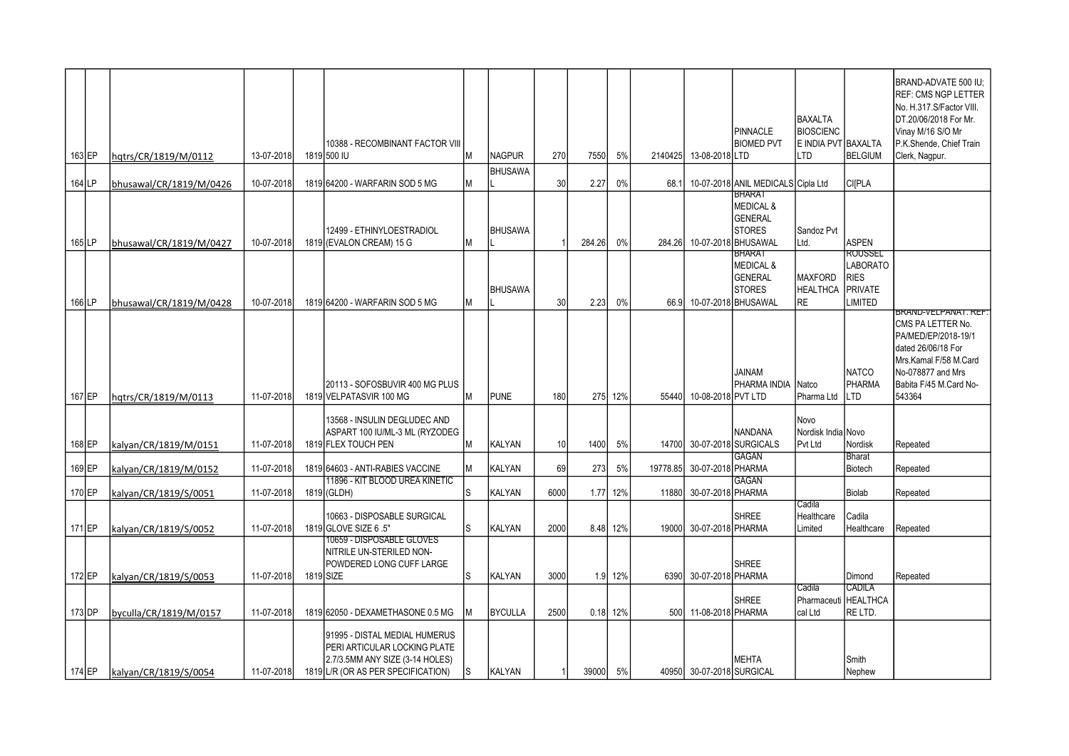| 163 EP   | hqtrs/CR/1819/M/0112    | 13-07-2018 | 10388 - RECOMBINANT FACTOR VIII<br>1819 500 IU                                                                                         | Iм | <b>NAGPUR</b>  | 270             | 7550   | 5%       | 2140425  | 13-08-2018 LTD            | PINNACLE<br><b>BIOMED PVT</b>                                                                   | <b>BAXALTA</b><br><b>BIOSCIENC</b><br>E INDIA PVT BAXALTA<br>LTD | <b>BELGIUM</b>                                                  | BRAND-ADVATE 500 IU:<br><b>REF: CMS NGP LETTER</b><br>No. H.317.S/Factor VIII.<br>DT.20/06/2018 For Mr.<br>Vinay M/16 S/O Mr<br>P.K.Shende, Chief Train<br>Clerk, Nagpur. |
|----------|-------------------------|------------|----------------------------------------------------------------------------------------------------------------------------------------|----|----------------|-----------------|--------|----------|----------|---------------------------|-------------------------------------------------------------------------------------------------|------------------------------------------------------------------|-----------------------------------------------------------------|---------------------------------------------------------------------------------------------------------------------------------------------------------------------------|
| 164 LP   | bhusawal/CR/1819/M/0426 | 10-07-2018 | 1819 64200 - WARFARIN SOD 5 MG                                                                                                         | Iм | <b>BHUSAWA</b> | 30              | 2.27   | 0%       | 68.1     |                           | 10-07-2018 ANIL MEDICALS Cipla Ltd                                                              |                                                                  | CI[PLA                                                          |                                                                                                                                                                           |
| $165$ LP | bhusawal/CR/1819/M/0427 | 10-07-2018 | 12499 - ETHINYLOESTRADIOL<br>1819 (EVALON CREAM) 15 G                                                                                  | IМ | <b>BHUSAWA</b> |                 | 284.26 | 0%       | 284.26   |                           | <b>BHARAT</b><br><b>MEDICAL &amp;</b><br>GENERAL<br><b>STORES</b><br>10-07-2018 BHUSAWAL        | Sandoz Pvt<br>Ltd.                                               | <b>ASPEN</b>                                                    |                                                                                                                                                                           |
| 166 LP   | bhusawal/CR/1819/M/0428 | 10-07-2018 | 1819 64200 - WARFARIN SOD 5 MG                                                                                                         | lМ | <b>BHUSAWA</b> | 30              | 2.23   | 0%       | 66.9     |                           | <b>BHARAT</b><br><b>MEDICAL &amp;</b><br><b>GENERAL</b><br><b>STORES</b><br>10-07-2018 BHUSAWAL | <b>MAXFORD</b><br><b>HEALTHCA</b><br>RE                          | ROUSSEL<br><b>LABORATO</b><br><b>RIES</b><br>PRIVATE<br>LIMITED |                                                                                                                                                                           |
| 167 EP   | hqtrs/CR/1819/M/0113    | 11-07-2018 | 20113 - SOFOSBUVIR 400 MG PLUS<br>1819 VELPATASVIR 100 MG                                                                              | Iм | <b>PUNE</b>    | 180             |        | 275 12%  | 55440    | 10-08-2018 PVT LTD        | JAINAM<br>PHARMA INDIA                                                                          | Natco<br>Pharma Ltd                                              | <b>NATCO</b><br><b>PHARMA</b><br>LTD                            | BRAND-VELPANAT. REF.<br>CMS PA LETTER No.<br>PA/MED/EP/2018-19/1<br>dated 26/06/18 For<br>Mrs.Kamal F/58 M.Card<br>No-078877 and Mrs<br>Babita F/45 M.Card No-<br>543364  |
| 168 EP   | kalyan/CR/1819/M/0151   | 11-07-2018 | 13568 - INSULIN DEGLUDEC AND<br>ASPART 100 IU/ML-3 ML (RYZODEG<br>1819 FLEX TOUCH PEN                                                  | lм | <b>KALYAN</b>  | 10 <sup>1</sup> | 1400   | 5%       |          |                           | <b>NANDANA</b><br>14700 30-07-2018 SURGICALS                                                    | Novo<br>Nordisk India Novo<br>Pvt Ltd                            | Nordisk                                                         | Repeated                                                                                                                                                                  |
| 169 EP   | kalyan/CR/1819/M/0152   | 11-07-2018 | 1819 64603 - ANTI-RABIES VACCINE                                                                                                       | Iм | KALYAN         | 69              | 273    | 5%       | 19778.85 | 30-07-2018 PHARMA         | <b>GAGAN</b>                                                                                    |                                                                  | <b>Bharat</b><br>Biotech                                        | Repeated                                                                                                                                                                  |
| 170 EP   | kalyan/CR/1819/S/0051   | 11-07-2018 | 11896 - KIT BLOOD UREA KINETIC<br>1819 (GLDH)                                                                                          | ls | KALYAN         | 6000            |        | 1.77 12% | 11880    | 30-07-2018 PHARMA         | GAGAN                                                                                           |                                                                  | Biolab                                                          | Repeated                                                                                                                                                                  |
| 171 EP   | kalyan/CR/1819/S/0052   | 11-07-2018 | 10663 - DISPOSABLE SURGICAL<br>1819 GLOVE SIZE 6 .5"                                                                                   | ls | <b>KALYAN</b>  | 2000            |        | 8.48 12% | 19000    | 30-07-2018 PHARMA         | <b>SHREE</b>                                                                                    | Cadila<br>Healthcare<br>Limited                                  | Cadila<br>Healthcare                                            | Repeated                                                                                                                                                                  |
| $172$ EP | kalyan/CR/1819/S/0053   | 11-07-2018 | 10659 - DISPOSABLE GLOVES<br>NITRILE UN-STERILED NON-<br>POWDERED LONG CUFF LARGE<br>1819 SIZE                                         | ls | <b>KALYAN</b>  | 3000            |        | 1.9 12%  |          | 6390 30-07-2018 PHARMA    | <b>SHREE</b>                                                                                    |                                                                  | Dimond                                                          | Repeated                                                                                                                                                                  |
| $173$ DP | byculla/CR/1819/M/0157  | 11-07-2018 | 1819 62050 - DEXAMETHASONE 0.5 MG                                                                                                      |    | <b>BYCULLA</b> | 2500            |        | 0.18 12% | 500      | 11-08-2018 PHARMA         | <b>SHREE</b>                                                                                    | Cadila<br>Pharmaceuti HEALTHCA<br>cal Ltd                        | CADILA<br>RE LTD.                                               |                                                                                                                                                                           |
| 174 EP   | kalyan/CR/1819/S/0054   | 11-07-2018 | 91995 - DISTAL MEDIAL HUMERUS<br>PERI ARTICULAR LOCKING PLATE<br>2.7/3.5MM ANY SIZE (3-14 HOLES)<br>1819 L/R (OR AS PER SPECIFICATION) | IS | KALYAN         |                 | 39000  | 5%       |          | 40950 30-07-2018 SURGICAL | <b>MEHTA</b>                                                                                    |                                                                  | Smith<br>Nephew                                                 |                                                                                                                                                                           |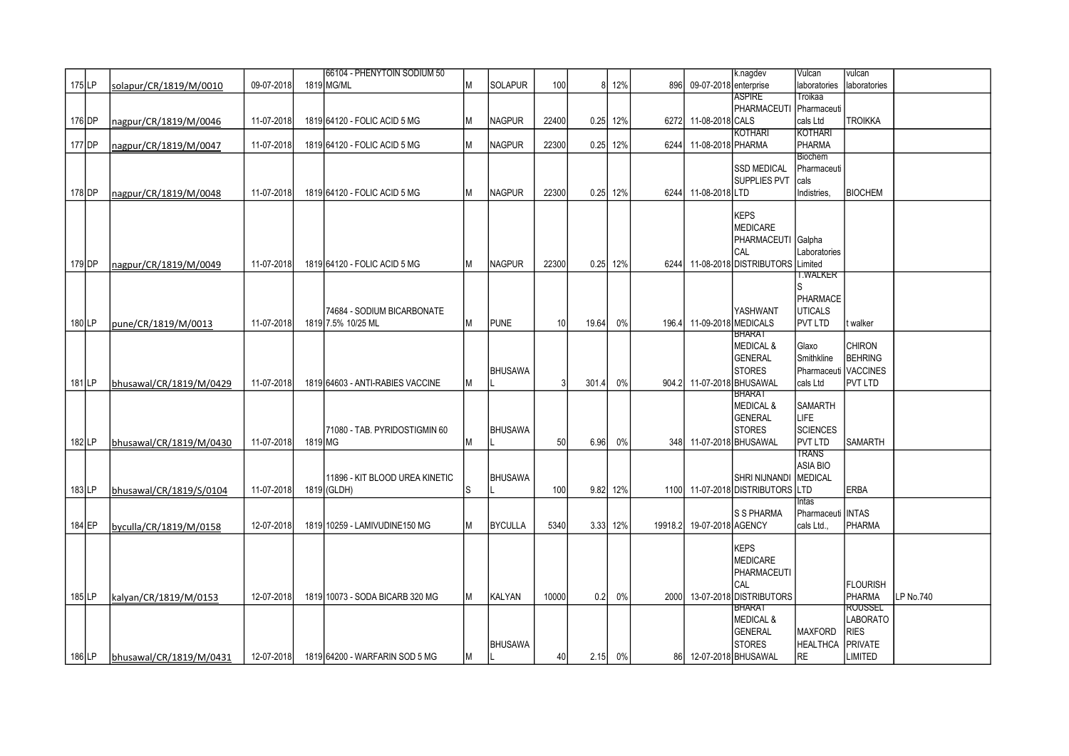|        |                         |            |         | 66104 - PHENYTOIN SODIUM 50      |    |                |       |       |            |         |                           | k.nagdev                     | Vulcan               | vulcan          |           |
|--------|-------------------------|------------|---------|----------------------------------|----|----------------|-------|-------|------------|---------|---------------------------|------------------------------|----------------------|-----------------|-----------|
| 175 LP | solapur/CR/1819/M/0010  | 09-07-2018 |         | 1819 MG/ML                       | M  | <b>SOLAPUR</b> | 100   | 8     | 12%        | 896     | 09-07-2018 enterprise     |                              | laboratories         | laboratories    |           |
|        |                         |            |         |                                  |    |                |       |       |            |         |                           | <b>ASPIRE</b>                | Troikaa              |                 |           |
|        |                         |            |         |                                  |    |                |       |       |            |         |                           | PHARMACEUTI                  | Pharmaceuti          |                 |           |
| 176 DP | nagpur/CR/1819/M/0046   | 11-07-2018 |         | 1819 64120 - FOLIC ACID 5 MG     | M  | <b>NAGPUR</b>  | 22400 | 0.25  | 12%        | 6272    | 11-08-2018 CALS           |                              | cals Ltd             | <b>TROIKKA</b>  |           |
|        |                         |            |         |                                  |    |                |       |       |            |         |                           | <b>KOTHARI</b>               | <b>KOTHARI</b>       |                 |           |
| 177 DP | nagpur/CR/1819/M/0047   | 11-07-2018 |         | 1819 64120 - FOLIC ACID 5 MG     | M  | <b>NAGPUR</b>  | 22300 | 0.25  | 12%        | 6244    | 11-08-2018 PHARMA         |                              | PHARMA               |                 |           |
|        |                         |            |         |                                  |    |                |       |       |            |         |                           |                              | <b>Biochem</b>       |                 |           |
|        |                         |            |         |                                  |    |                |       |       |            |         |                           | <b>SSD MEDICAL</b>           | Pharmaceuti          |                 |           |
|        |                         |            |         |                                  |    |                |       |       |            |         |                           | SUPPLIES PVT                 | cals                 |                 |           |
| 178 DP | nagpur/CR/1819/M/0048   | 11-07-2018 |         | 1819 64120 - FOLIC ACID 5 MG     | M  | <b>NAGPUR</b>  | 22300 | 0.25  | 12%        |         | 6244 11-08-2018 LTD       |                              | Indistries.          | <b>BIOCHEM</b>  |           |
|        |                         |            |         |                                  |    |                |       |       |            |         |                           |                              |                      |                 |           |
|        |                         |            |         |                                  |    |                |       |       |            |         |                           | <b>KEPS</b>                  |                      |                 |           |
|        |                         |            |         |                                  |    |                |       |       |            |         |                           | MEDICARE                     |                      |                 |           |
|        |                         |            |         |                                  |    |                |       |       |            |         |                           | PHARMACEUTI Galpha           |                      |                 |           |
|        |                         |            |         |                                  |    |                |       |       |            |         |                           | CAL                          | Laboratories         |                 |           |
| 179 DP | nagpur/CR/1819/M/0049   | 11-07-2018 |         | 1819 64120 - FOLIC ACID 5 MG     | M  | <b>NAGPUR</b>  | 22300 |       | $0.25$ 12% |         |                           | 6244 11-08-2018 DISTRIBUTORS | Limited              |                 |           |
|        |                         |            |         |                                  |    |                |       |       |            |         |                           |                              | I.WALKER             |                 |           |
|        |                         |            |         |                                  |    |                |       |       |            |         |                           |                              |                      |                 |           |
|        |                         |            |         |                                  |    |                |       |       |            |         |                           |                              | <b>PHARMACE</b>      |                 |           |
|        |                         |            |         | 74684 - SODIUM BICARBONATE       |    |                |       |       |            |         |                           | YASHWANT                     | <b>UTICALS</b>       |                 |           |
| 180 LP | pune/CR/1819/M/0013     | 11-07-2018 |         | 1819 7.5% 10/25 ML               | M  | <b>PUNE</b>    | 10    | 19.64 | 0%         | 196.4   | 11-09-2018 MEDICALS       |                              | PVT LTD              | t walker        |           |
|        |                         |            |         |                                  |    |                |       |       |            |         |                           | <b>BHARA1</b>                |                      |                 |           |
|        |                         |            |         |                                  |    |                |       |       |            |         |                           | <b>MEDICAL &amp;</b>         | Glaxo                | <b>CHIRON</b>   |           |
|        |                         |            |         |                                  |    |                |       |       |            |         |                           | <b>GENERAL</b>               | Smithkline           | BEHRING         |           |
|        |                         |            |         |                                  |    | <b>BHUSAWA</b> |       |       |            |         |                           | <b>STORES</b>                | Pharmaceuti VACCINES |                 |           |
| 181 LP | bhusawal/CR/1819/M/0429 | 11-07-2018 |         | 1819 64603 - ANTI-RABIES VACCINE | M  |                |       | 301.4 | $0\%$      |         | 904.2 11-07-2018 BHUSAWAL |                              | cals Ltd             | <b>PVT LTD</b>  |           |
|        |                         |            |         |                                  |    |                |       |       |            |         |                           | <b>BHARAT</b>                |                      |                 |           |
|        |                         |            |         |                                  |    |                |       |       |            |         |                           | <b>MEDICAL &amp;</b>         | <b>SAMARTH</b>       |                 |           |
|        |                         |            |         |                                  |    |                |       |       |            |         |                           | GENERAL                      | <b>LIFE</b>          |                 |           |
|        |                         |            |         | 71080 - TAB. PYRIDOSTIGMIN 60    |    | <b>BHUSAWA</b> |       |       |            |         |                           | <b>STORES</b>                | <b>SCIENCES</b>      |                 |           |
| 182LP  | bhusawal/CR/1819/M/0430 | 11-07-2018 | 1819 MG |                                  | lМ |                | 50    | 6.96  | $0\%$      |         | 348 11-07-2018 BHUSAWAL   |                              | <b>PVT LTD</b>       | SAMARTH         |           |
|        |                         |            |         |                                  |    |                |       |       |            |         |                           |                              | <b>TRANS</b>         |                 |           |
|        |                         |            |         |                                  |    |                |       |       |            |         |                           |                              | <b>ASIA BIO</b>      |                 |           |
|        |                         |            |         | 11896 - KIT BLOOD UREA KINETIC   |    | <b>BHUSAWA</b> |       |       |            |         |                           | <b>SHRI NIJNANDI</b>         | <b>MEDICAL</b>       |                 |           |
| 183 LP | bhusawal/CR/1819/S/0104 | 11-07-2018 |         | 1819 (GLDH)                      | Is |                | 100   | 9.82  | 12%        |         |                           | 1100 11-07-2018 DISTRIBUTORS | LTD                  | <b>ERBA</b>     |           |
|        |                         |            |         |                                  |    |                |       |       |            |         |                           |                              | Intas                |                 |           |
|        |                         |            |         |                                  |    |                |       |       |            |         |                           | <b>IS S PHARMA</b>           | Pharmaceuti   INTAS  |                 |           |
| 184 EP | byculla/CR/1819/M/0158  | 12-07-2018 |         | 1819 10259 - LAMIVUDINE150 MG    | M  | <b>BYCULLA</b> | 5340  |       | 3.33 12%   | 19918.2 | 19-07-2018 AGENCY         |                              | cals Ltd             | PHARMA          |           |
|        |                         |            |         |                                  |    |                |       |       |            |         |                           |                              |                      |                 |           |
|        |                         |            |         |                                  |    |                |       |       |            |         |                           | <b>KEPS</b>                  |                      |                 |           |
|        |                         |            |         |                                  |    |                |       |       |            |         |                           | <b>MEDICARE</b>              |                      |                 |           |
|        |                         |            |         |                                  |    |                |       |       |            |         |                           | PHARMACEUTI                  |                      |                 |           |
|        |                         |            |         |                                  |    |                |       |       |            |         |                           | CAL                          |                      | <b>FLOURISH</b> |           |
| 185LP  |                         |            |         |                                  | M  |                |       | 0.2   |            | 2000    |                           | 13-07-2018 DISTRIBUTORS      |                      | PHARMA          | LP No.740 |
|        | kalyan/CR/1819/M/0153   | 12-07-2018 |         | 1819 10073 - SODA BICARB 320 MG  |    | <b>KALYAN</b>  | 10000 |       | $0\%$      |         |                           | <b>BHARAT</b>                |                      | ROUSSEL         |           |
|        |                         |            |         |                                  |    |                |       |       |            |         |                           | <b>MEDICAL &amp;</b>         |                      | <b>LABORATO</b> |           |
|        |                         |            |         |                                  |    |                |       |       |            |         |                           | GENERAL                      | <b>MAXFORD</b>       | <b>RIES</b>     |           |
|        |                         |            |         |                                  |    | <b>BHUSAWA</b> |       |       |            |         |                           | <b>STORES</b>                | <b>HEALTHCA</b>      | <b>PRIVATE</b>  |           |
|        |                         |            |         |                                  |    |                |       |       |            |         |                           |                              |                      |                 |           |
| 186LP  | bhusawal/CR/1819/M/0431 | 12-07-2018 |         | 1819 64200 - WARFARIN SOD 5 MG   | M  |                | 40    |       | $2.15$ 0%  |         |                           | 86 12-07-2018 BHUSAWAL       | <b>RE</b>            | <b>LIMITED</b>  |           |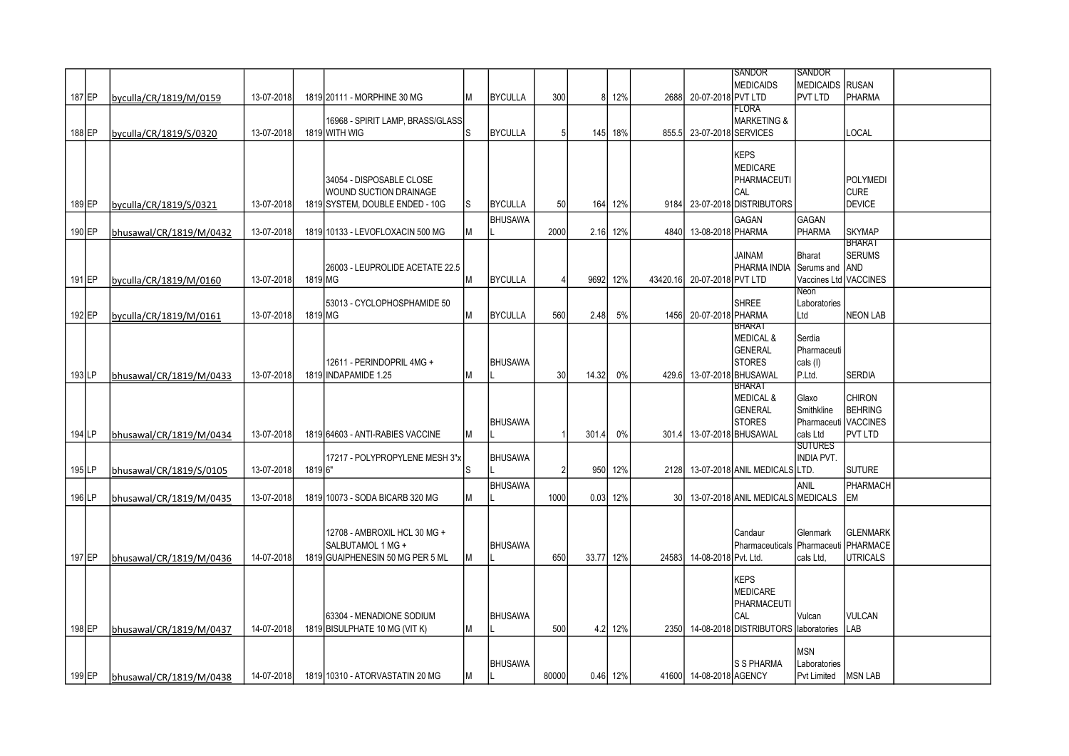|          |                         |            |         |                                  |     |                |       |       |          |                 |                             | <b>SANDOR</b>                        | <b>SANDOR</b>          |                 |  |
|----------|-------------------------|------------|---------|----------------------------------|-----|----------------|-------|-------|----------|-----------------|-----------------------------|--------------------------------------|------------------------|-----------------|--|
|          |                         |            |         |                                  |     |                |       |       |          |                 |                             | <b>MEDICAIDS</b>                     | <b>MEDICAIDS RUSAN</b> |                 |  |
|          |                         |            |         |                                  |     |                |       |       |          |                 |                             |                                      |                        |                 |  |
| 187 EP   | byculla/CR/1819/M/0159  | 13-07-2018 |         | 1819 20111 - MORPHINE 30 MG      | M   | <b>BYCULLA</b> | 300   | 8     | 12%      |                 | 2688 20-07-2018 PVT LTD     |                                      | <b>PVT LTD</b>         | PHARMA          |  |
|          |                         |            |         |                                  |     |                |       |       |          |                 |                             | <b>FLORA</b>                         |                        |                 |  |
|          |                         |            |         | 16968 - SPIRIT LAMP, BRASS/GLASS |     |                |       |       |          |                 |                             | <b>MARKETING &amp;</b>               |                        |                 |  |
| 188 EP   | byculla/CR/1819/S/0320  | 13-07-2018 |         | 1819 WITH WIG                    | ls  | <b>BYCULLA</b> | 5     |       | 145 18%  |                 | 855.5 23-07-2018 SERVICES   |                                      |                        | LOCAL           |  |
|          |                         |            |         |                                  |     |                |       |       |          |                 |                             |                                      |                        |                 |  |
|          |                         |            |         |                                  |     |                |       |       |          |                 |                             |                                      |                        |                 |  |
|          |                         |            |         |                                  |     |                |       |       |          |                 |                             | <b>KEPS</b>                          |                        |                 |  |
|          |                         |            |         |                                  |     |                |       |       |          |                 |                             | <b>MEDICARE</b>                      |                        |                 |  |
|          |                         |            |         | 34054 - DISPOSABLE CLOSE         |     |                |       |       |          |                 |                             | <b>PHARMACEUTI</b>                   |                        | POLYMEDI        |  |
|          |                         |            |         | WOUND SUCTION DRAINAGE           |     |                |       |       |          |                 |                             | CAL                                  |                        | ICURE.          |  |
|          |                         |            |         |                                  |     |                |       |       |          |                 |                             |                                      |                        | <b>DEVICE</b>   |  |
| 189 EP   | byculla/CR/1819/S/0321  | 13-07-2018 |         | 1819 SYSTEM, DOUBLE ENDED - 10G  | lS. | <b>BYCULLA</b> | 50    | 164   | 12%      | 9184            |                             | 23-07-2018 DISTRIBUTORS              |                        |                 |  |
|          |                         |            |         |                                  |     | <b>BHUSAWA</b> |       |       |          |                 |                             | <b>GAGAN</b>                         | <b>GAGAN</b>           |                 |  |
| 190 EP   | bhusawal/CR/1819/M/0432 | 13-07-2018 |         | 1819 10133 - LEVOFLOXACIN 500 MG | M   |                | 2000  | 2.16  | 12%      | 4840            | 13-08-2018 PHARMA           |                                      | PHARMA                 | ISKYMAP         |  |
|          |                         |            |         |                                  |     |                |       |       |          |                 |                             |                                      |                        | <b>BHARAT</b>   |  |
|          |                         |            |         |                                  |     |                |       |       |          |                 |                             |                                      |                        |                 |  |
|          |                         |            |         |                                  |     |                |       |       |          |                 |                             | <b>JAINAM</b>                        | <b>Bharat</b>          | <b>SERUMS</b>   |  |
|          |                         |            |         | 26003 - LEUPROLIDE ACETATE 22.5  |     |                |       |       |          |                 |                             | PHARMA INDIA                         | Serums and AND         |                 |  |
| 191 EP   | byculla/CR/1819/M/0160  | 13-07-2018 | 1819 MG |                                  | M   | <b>BYCULLA</b> |       | 9692  | 12%      |                 | 43420.16 20-07-2018 PVT LTD |                                      | Vaccines Ltd VACCINES  |                 |  |
|          |                         |            |         |                                  |     |                |       |       |          |                 |                             |                                      | Neon                   |                 |  |
|          |                         |            |         | 53013 - CYCLOPHOSPHAMIDE 50      |     |                |       |       |          |                 |                             | <b>SHREE</b>                         | Laboratories           |                 |  |
|          |                         |            |         |                                  |     |                |       |       |          |                 |                             |                                      |                        |                 |  |
| 192 EP   | byculla/CR/1819/M/0161  | 13-07-2018 | 1819 MG |                                  | M   | <b>BYCULLA</b> | 560   | 2.48  | 5%       | 1456            | 20-07-2018 PHARMA           |                                      | Ltd                    | <b>NEON LAB</b> |  |
|          |                         |            |         |                                  |     |                |       |       |          |                 |                             | BHARAT                               |                        |                 |  |
|          |                         |            |         |                                  |     |                |       |       |          |                 |                             | <b>MEDICAL &amp;</b>                 | Serdia                 |                 |  |
|          |                         |            |         |                                  |     |                |       |       |          |                 |                             | <b>GENERAL</b>                       | Pharmaceuti            |                 |  |
|          |                         |            |         | 12611 - PERINDOPRIL 4MG +        |     | <b>BHUSAWA</b> |       |       |          |                 |                             | <b>STORES</b>                        | cals (I)               |                 |  |
|          |                         |            |         |                                  |     |                |       |       |          |                 |                             |                                      |                        |                 |  |
| $193$ LP | bhusawal/CR/1819/M/0433 | 13-07-2018 |         | 1819 INDAPAMIDE 1.25             | M   |                | 30    | 14.32 | 0%       | 429.6           | 13-07-2018 BHUSAWAL         |                                      | P.Ltd.                 | <b>SERDIA</b>   |  |
|          |                         |            |         |                                  |     |                |       |       |          |                 |                             | BHARAT                               |                        |                 |  |
|          |                         |            |         |                                  |     |                |       |       |          |                 |                             | <b>MEDICAL &amp;</b>                 | Glaxo                  | <b>CHIRON</b>   |  |
|          |                         |            |         |                                  |     |                |       |       |          |                 |                             | <b>GENERAL</b>                       | Smithkline             | <b>BEHRING</b>  |  |
|          |                         |            |         |                                  |     | <b>BHUSAWA</b> |       |       |          |                 |                             | <b>STORES</b>                        | Pharmaceuti VACCINES   |                 |  |
|          |                         |            |         |                                  |     |                |       |       |          |                 |                             |                                      |                        |                 |  |
| 194 LP   | bhusawal/CR/1819/M/0434 | 13-07-2018 |         | 1819 64603 - ANTI-RABIES VACCINE | M   |                |       | 301.4 | 0%       | 301.4           | 13-07-2018 BHUSAWAL         |                                      | cals Ltd               | IPVT LTD        |  |
|          |                         |            |         |                                  |     |                |       |       |          |                 |                             |                                      | <b>SUTURES</b>         |                 |  |
|          |                         |            |         | 17217 - POLYPROPYLENE MESH 3"x   |     | <b>BHUSAWA</b> |       |       |          |                 |                             |                                      | <b>INDIA PVT.</b>      |                 |  |
| $195$ LP | bhusawal/CR/1819/S/0105 | 13-07-2018 | 1819 6" |                                  | lS. |                | 2     | 950   | 12%      | 2128            |                             | 13-07-2018 ANIL MEDICALS LTD.        |                        | <b>SUTURE</b>   |  |
|          |                         |            |         |                                  |     |                |       |       |          |                 |                             |                                      |                        |                 |  |
|          |                         |            |         |                                  |     | <b>BHUSAWA</b> |       |       |          |                 |                             |                                      | ANIL                   | PHARMACH        |  |
| 196 LP   | bhusawal/CR/1819/M/0435 | 13-07-2018 |         | 1819 10073 - SODA BICARB 320 MG  | M   |                | 1000  | 0.03  | 12%      | 30 <sub>l</sub> |                             | 13-07-2018 ANIL MEDICALS MEDICALS    |                        | <b>EM</b>       |  |
|          |                         |            |         |                                  |     |                |       |       |          |                 |                             |                                      |                        |                 |  |
|          |                         |            |         |                                  |     |                |       |       |          |                 |                             |                                      |                        |                 |  |
|          |                         |            |         | 12708 - AMBROXIL HCL 30 MG +     |     |                |       |       |          |                 |                             | Candaur                              | Glenmark               | Iglenmark       |  |
|          |                         |            |         |                                  |     |                |       |       |          |                 |                             |                                      |                        |                 |  |
|          |                         |            |         | SALBUTAMOL 1 MG +                |     | <b>BHUSAWA</b> |       |       |          |                 |                             | Pharmaceuticals Pharmaceuti PHARMACE |                        |                 |  |
| 197 EP   | bhusawal/CR/1819/M/0436 | 14-07-2018 |         | 1819 GUAIPHENESIN 50 MG PER 5 ML | M   |                | 650   | 33.77 | 12%      |                 | 24583 14-08-2018 Pvt. Ltd.  |                                      | cals Ltd.              | UTRICALS        |  |
|          |                         |            |         |                                  |     |                |       |       |          |                 |                             |                                      |                        |                 |  |
|          |                         |            |         |                                  |     |                |       |       |          |                 |                             | <b>KEPS</b>                          |                        |                 |  |
|          |                         |            |         |                                  |     |                |       |       |          |                 |                             | <b>MEDICARE</b>                      |                        |                 |  |
|          |                         |            |         |                                  |     |                |       |       |          |                 |                             | PHARMACEUTI                          |                        |                 |  |
|          |                         |            |         |                                  |     |                |       |       |          |                 |                             |                                      |                        |                 |  |
|          |                         |            |         | 63304 - MENADIONE SODIUM         |     | <b>BHUSAWA</b> |       |       |          |                 |                             | CAL                                  | Vulcan                 | VULCAN          |  |
| 198 EP   | bhusawal/CR/1819/M/0437 | 14-07-2018 |         | 1819 BISULPHATE 10 MG (VIT K)    | lм  |                | 500   |       | 4.2 12%  | 2350            |                             | 14-08-2018 DISTRIBUTORS laboratories |                        | <b>LAB</b>      |  |
|          |                         |            |         |                                  |     |                |       |       |          |                 |                             |                                      |                        |                 |  |
|          |                         |            |         |                                  |     |                |       |       |          |                 |                             |                                      | <b>MSN</b>             |                 |  |
|          |                         |            |         |                                  |     | <b>BHUSAWA</b> |       |       |          |                 |                             | S S PHARMA                           | Laboratories           |                 |  |
|          |                         |            |         |                                  |     |                |       |       |          |                 |                             |                                      |                        |                 |  |
| $199$ EP | bhusawal/CR/1819/M/0438 | 14-07-2018 |         | 1819 10310 - ATORVASTATIN 20 MG  | M   |                | 80000 |       | 0.46 12% |                 | 41600 14-08-2018 AGENCY     |                                      | Pvt Limited            | <b>MSN LAB</b>  |  |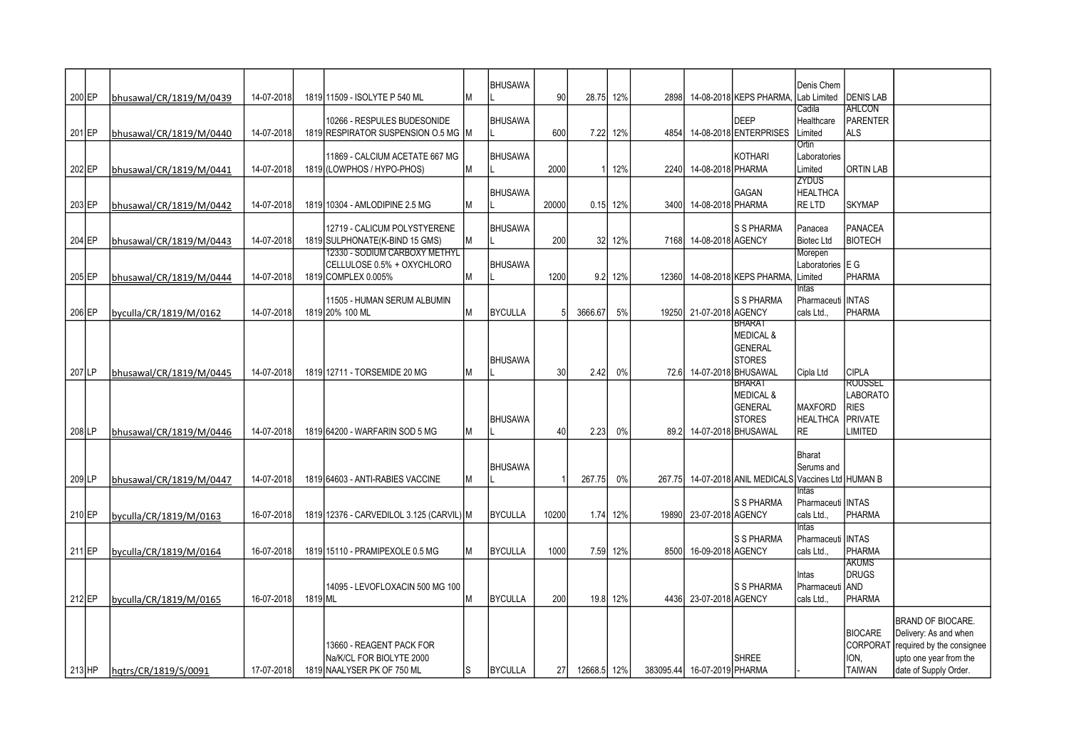|          |                         | 14-07-2018 |         | 1819 11509 - ISOLYTE P 540 ML                                | М | <b>BHUSAWA</b> | 90    | 28.75 12%   |          | 28981 |                             | 14-08-2018 KEPS PHARMA.                | Denis Chem              | <b>DENIS LAB</b>            |                                                   |
|----------|-------------------------|------------|---------|--------------------------------------------------------------|---|----------------|-------|-------------|----------|-------|-----------------------------|----------------------------------------|-------------------------|-----------------------------|---------------------------------------------------|
| 200 EP   | bhusawal/CR/1819/M/0439 |            |         |                                                              |   |                |       |             |          |       |                             |                                        | Lab Limited<br>Cadila   | AHLCON                      |                                                   |
|          |                         |            |         | 10266 - RESPULES BUDESONIDE                                  |   | <b>BHUSAWA</b> |       |             |          |       |                             | <b>DEEP</b>                            | Healthcare              | PARENTER                    |                                                   |
| 201 EP   | bhusawal/CR/1819/M/0440 | 14-07-2018 |         | 1819 RESPIRATOR SUSPENSION O.5 MG M                          |   |                | 600   |             | 7.22 12% | 4854  |                             | 14-08-2018 ENTERPRISES                 | Limited                 | Ials                        |                                                   |
|          |                         |            |         |                                                              |   | <b>BHUSAWA</b> |       |             |          |       |                             | KOTHARI                                | Ortin                   |                             |                                                   |
| 202 EP   | bhusawal/CR/1819/M/0441 | 14-07-2018 |         | 11869 - CALCIUM ACETATE 667 MG<br>1819 (LOWPHOS / HYPO-PHOS) | M |                | 2000  |             | 1 12%    |       | 2240 14-08-2018 PHARMA      |                                        | Laboratories<br>Limited | IORTIN LAB                  |                                                   |
|          |                         |            |         |                                                              |   |                |       |             |          |       |                             |                                        | ZYDUS                   |                             |                                                   |
|          |                         |            |         |                                                              |   | <b>BHUSAWA</b> |       |             |          |       |                             | GAGAN                                  | <b>HEALTHCA</b>         |                             |                                                   |
| 203 EP   | bhusawal/CR/1819/M/0442 | 14-07-2018 |         | 1819 10304 - AMLODIPINE 2.5 MG                               | М |                | 20000 |             | 0.15 12% |       | 3400 14-08-2018 PHARMA      |                                        | <b>RELTD</b>            | ISKYMAP                     |                                                   |
|          |                         |            |         | 12719 - CALICUM POLYSTYERENE                                 |   | <b>BHUSAWA</b> |       |             |          |       |                             | <b>S S PHARMA</b>                      | Panacea                 | PANACEA                     |                                                   |
| 204 EP   | bhusawal/CR/1819/M/0443 | 14-07-2018 |         | 1819 SULPHONATE (K-BIND 15 GMS)                              | M |                | 200   |             | 32 12%   |       | 7168 14-08-2018 AGENCY      |                                        | <b>Biotec Ltd</b>       | <b>BIOTECH</b>              |                                                   |
|          |                         |            |         | <u>12330 - SODIUM CARBOXY METHYL</u>                         |   |                |       |             |          |       |                             |                                        | Morepen                 |                             |                                                   |
|          |                         |            |         | CELLULOSE 0.5% + OXYCHLORO                                   | M | <b>BHUSAWA</b> | 1200  |             |          |       |                             |                                        | Laboratories E G        | Ipharma                     |                                                   |
| 205 EP   | bhusawal/CR/1819/M/0444 | 14-07-2018 |         | 1819 COMPLEX 0.005%                                          |   |                |       |             | 9.2 12%  | 12360 |                             | 14-08-2018 KEPS PHARMA,                | Limited<br>Intas        |                             |                                                   |
|          |                         |            |         | 11505 - HUMAN SERUM ALBUMIN                                  |   |                |       |             |          |       |                             | S S PHARMA                             | Pharmaceuti   INTAS     |                             |                                                   |
| 206 EP   | byculla/CR/1819/M/0162  | 14-07-2018 |         | 1819 20% 100 ML                                              | М | <b>BYCULLA</b> |       | 3666.67     | 5%       |       | 19250 21-07-2018 AGENCY     |                                        | cals Ltd                | Ipharma                     |                                                   |
|          |                         |            |         |                                                              |   |                |       |             |          |       |                             | BHARAT<br><b>MEDICAL &amp;</b>         |                         |                             |                                                   |
|          |                         |            |         |                                                              |   |                |       |             |          |       |                             | <b>GENERAL</b>                         |                         |                             |                                                   |
|          |                         |            |         |                                                              |   | <b>BHUSAWA</b> |       |             |          |       |                             | <b>STORES</b>                          |                         |                             |                                                   |
| 207 LP   | bhusawal/CR/1819/M/0445 | 14-07-2018 |         | 1819 12711 - TORSEMIDE 20 MG                                 | М |                | 30    | 2.42        | 0%       |       |                             | 72.6 14-07-2018 BHUSAWAL               | Cipla Ltd               | ICIPLA                      |                                                   |
|          |                         |            |         |                                                              |   |                |       |             |          |       |                             | BHARAT                                 |                         | <b>IROUSSEL</b><br>LABORATO |                                                   |
|          |                         |            |         |                                                              |   |                |       |             |          |       |                             | <b>MEDICAL &amp;</b><br><b>GENERAL</b> | <b>MAXFORD</b>          | <b>RIES</b>                 |                                                   |
|          |                         |            |         |                                                              |   | <b>BHUSAWA</b> |       |             |          |       |                             | <b>STORES</b>                          | <b>HEALTHCA</b>         | PRIVATE                     |                                                   |
| 208 LP   | bhusawal/CR/1819/M/0446 | 14-07-2018 |         | 1819 64200 - WARFARIN SOD 5 MG                               | М |                | 40    | 2.23        | 0%       | 89.2  |                             | 14-07-2018 BHUSAWAL                    | <b>RE</b>               | <b>LIMITED</b>              |                                                   |
|          |                         |            |         |                                                              |   |                |       |             |          |       |                             |                                        | Bharat                  |                             |                                                   |
|          |                         |            |         |                                                              |   | <b>BHUSAWA</b> |       |             |          |       |                             |                                        | Serums and              |                             |                                                   |
| 209 LP   | bhusawal/CR/1819/M/0447 | 14-07-2018 |         | 1819 64603 - ANTI-RABIES VACCINE                             | М |                |       | 267.75      | 0%       |       |                             | 267.75 14-07-2018 ANIL MEDICALS        | Vaccines Ltd HUMAN B    |                             |                                                   |
|          |                         |            |         |                                                              |   |                |       |             |          |       |                             |                                        | <b>Intas</b>            |                             |                                                   |
|          |                         |            |         |                                                              |   |                |       |             |          |       |                             | S S PHARMA                             | Pharmaceuti   INTAS     | Ipharma                     |                                                   |
| 210 EP   | byculla/CR/1819/M/0163  | 16-07-2018 |         | 1819 12376 - CARVEDILOL 3.125 (CARVIL) M                     |   | <b>BYCULLA</b> | 10200 |             | 1.74 12% |       | 19890 23-07-2018 AGENCY     |                                        | cals Ltd<br>Intas       |                             |                                                   |
|          |                         |            |         |                                                              |   |                |       |             |          |       |                             | S S PHARMA                             | Pharmaceuti INTAS       |                             |                                                   |
| 211 EP   | byculla/CR/1819/M/0164  | 16-07-2018 |         | 1819 15110 - PRAMIPEXOLE 0.5 MG                              | М | <b>BYCULLA</b> | 1000  |             | 7.59 12% | 8500  | 16-09-2018 AGENCY           |                                        | cals Ltd.,              | Ipharma                     |                                                   |
|          |                         |            |         |                                                              |   |                |       |             |          |       |                             |                                        |                         | <b>TAKUMS</b><br>DRUGS      |                                                   |
|          |                         |            |         | 14095 - LEVOFLOXACIN 500 MG 100                              |   |                |       |             |          |       |                             | S S PHARMA                             | Intas<br>Pharmaceuti    | <b>AND</b>                  |                                                   |
| 212 EP   | byculla/CR/1819/M/0165  | 16-07-2018 | 1819 ML |                                                              | М | <b>BYCULLA</b> | 200   |             | 19.8 12% |       | 4436 23-07-2018 AGENCY      |                                        | cals Ltd                | PHARMA                      |                                                   |
|          |                         |            |         |                                                              |   |                |       |             |          |       |                             |                                        |                         |                             |                                                   |
|          |                         |            |         |                                                              |   |                |       |             |          |       |                             |                                        |                         | <b>BIOCARE</b>              | <b>BRAND OF BIOCARE.</b><br>Delivery: As and when |
|          |                         |            |         | 13660 - REAGENT PACK FOR                                     |   |                |       |             |          |       |                             |                                        |                         | CORPORAT                    | required by the consignee                         |
|          |                         |            |         | Na/K/CL FOR BIOLYTE 2000                                     |   |                |       |             |          |       |                             | <b>SHREE</b>                           |                         | ION.                        | upto one year from the                            |
| $213$ HP | hgtrs/CR/1819/S/0091    | 17-07-2018 |         | 1819 NAALYSER PK OF 750 ML                                   | S | <b>BYCULLA</b> | 27    | 12668.5 12% |          |       | 383095.44 16-07-2019 PHARMA |                                        |                         | TAIWAN                      | date of Supply Order.                             |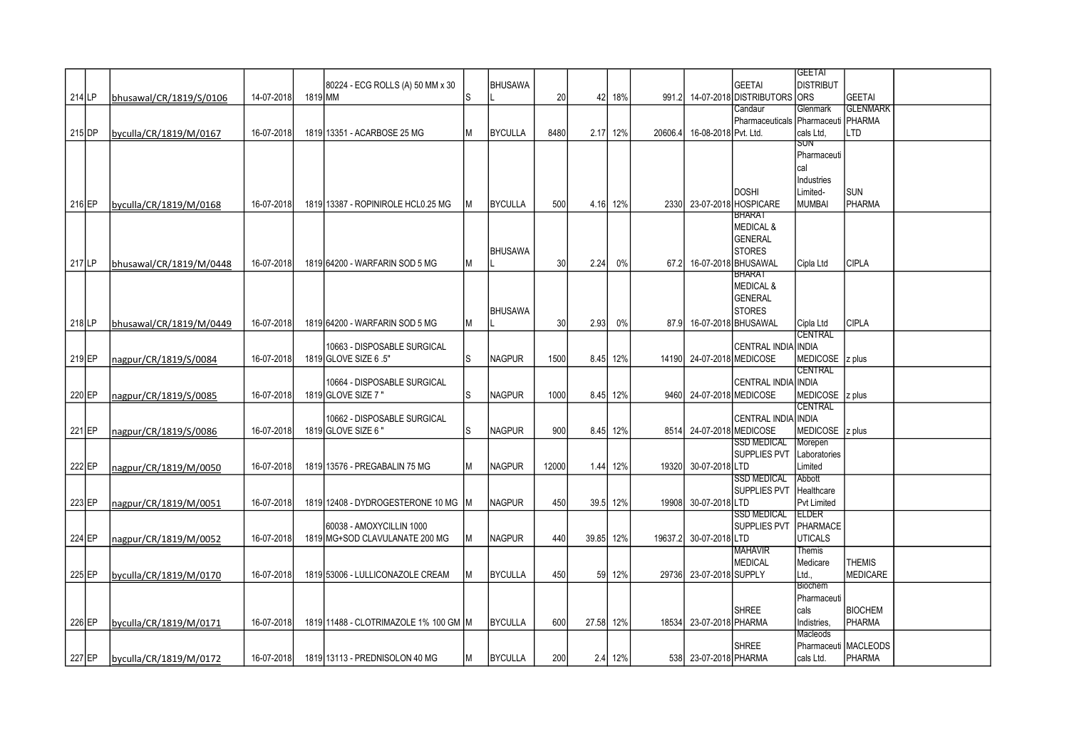|        |                         |            |         |                                       |     |                |       |       |          |         |                           |                           | <b>GEETAI</b>        |                      |  |
|--------|-------------------------|------------|---------|---------------------------------------|-----|----------------|-------|-------|----------|---------|---------------------------|---------------------------|----------------------|----------------------|--|
|        |                         |            |         | 80224 - ECG ROLLS (A) 50 MM x 30      |     | <b>BHUSAWA</b> |       |       |          |         |                           | <b>GEETAI</b>             | <b>DISTRIBUT</b>     |                      |  |
| 214 LP | bhusawal/CR/1819/S/0106 | 14-07-2018 | 1819 MM |                                       | ls  |                | 20    | 42    | 18%      | 991.2   |                           | 14-07-2018 DISTRIBUTORS   | <b>ORS</b>           | <b>GEETAI</b>        |  |
|        |                         |            |         |                                       |     |                |       |       |          |         |                           | Candaur                   | Glenmark             | <b>GLENMARK</b>      |  |
|        |                         |            |         |                                       |     |                |       |       |          |         |                           | <b>I</b> Pharmaceuticals  | Pharmaceuti   PHARMA |                      |  |
|        |                         |            |         |                                       |     |                |       |       |          |         |                           |                           |                      |                      |  |
| 215 DP | byculla/CR/1819/M/0167  | 16-07-2018 |         | 1819 13351 - ACARBOSE 25 MG           | M   | <b>BYCULLA</b> | 8480  | 2.17  | 12%      | 20606.4 | 16-08-2018 Pvt. Ltd.      |                           | cals Ltd.<br>SUN     | LTD                  |  |
|        |                         |            |         |                                       |     |                |       |       |          |         |                           |                           |                      |                      |  |
|        |                         |            |         |                                       |     |                |       |       |          |         |                           |                           | Pharmaceuti          |                      |  |
|        |                         |            |         |                                       |     |                |       |       |          |         |                           |                           | cal                  |                      |  |
|        |                         |            |         |                                       |     |                |       |       |          |         |                           |                           | Industries           |                      |  |
|        |                         |            |         |                                       |     |                |       |       |          |         |                           | <b>DOSHI</b>              | Limited-             | <b>SUN</b>           |  |
| 216 EP | byculla/CR/1819/M/0168  | 16-07-2018 |         | 1819 13387 - ROPINIROLE HCL0.25 MG    | M   | <b>BYCULLA</b> | 500   | 4.16  | 12%      |         |                           | 2330 23-07-2018 HOSPICARE | <b>MUMBAI</b>        | <b>PHARMA</b>        |  |
|        |                         |            |         |                                       |     |                |       |       |          |         |                           | <b>BHARAT</b>             |                      |                      |  |
|        |                         |            |         |                                       |     |                |       |       |          |         |                           | <b>MEDICAL &amp;</b>      |                      |                      |  |
|        |                         |            |         |                                       |     |                |       |       |          |         |                           | <b>GENERAL</b>            |                      |                      |  |
|        |                         |            |         |                                       |     | <b>BHUSAWA</b> |       |       |          |         |                           | <b>STORES</b>             |                      |                      |  |
| 217 LP | bhusawal/CR/1819/M/0448 | 16-07-2018 |         | 1819 64200 - WARFARIN SOD 5 MG        | M   |                | 30    | 2.24  | 0%       | 67.2I   |                           | 16-07-2018 BHUSAWAL       | Cipla Ltd            | <b>CIPLA</b>         |  |
|        |                         |            |         |                                       |     |                |       |       |          |         |                           | <b>BHARAT</b>             |                      |                      |  |
|        |                         |            |         |                                       |     |                |       |       |          |         |                           | <b>MEDICAL &amp;</b>      |                      |                      |  |
|        |                         |            |         |                                       |     |                |       |       |          |         |                           | <b>GENERAL</b>            |                      |                      |  |
|        |                         |            |         |                                       |     | <b>BHUSAWA</b> |       |       |          |         |                           | <b>STORES</b>             |                      |                      |  |
| 218 LP | bhusawal/CR/1819/M/0449 | 16-07-2018 |         | 1819 64200 - WARFARIN SOD 5 MG        | lМ  |                | 30    | 2.93  | 0%       |         | 87.9 16-07-2018 BHUSAWAL  |                           | Cipla Ltd            | <b>CIPLA</b>         |  |
|        |                         |            |         |                                       |     |                |       |       |          |         |                           |                           | CENTRAL              |                      |  |
|        |                         |            |         | 10663 - DISPOSABLE SURGICAL           |     |                |       |       |          |         |                           | <b>CENTRAL INDIA</b>      | <b>INDIA</b>         |                      |  |
|        |                         |            |         |                                       |     |                |       |       |          |         |                           |                           | MEDICOSE 2 plus      |                      |  |
| 219 EP | nagpur/CR/1819/S/0084   | 16-07-2018 |         | 1819 GLOVE SIZE 6 .5"                 | ls. | <b>NAGPUR</b>  | 1500  | 8.45  | 12%      |         | 14190 24-07-2018 MEDICOSE |                           |                      |                      |  |
|        |                         |            |         |                                       |     |                |       |       |          |         |                           |                           | <b>CENTRAL</b>       |                      |  |
|        |                         |            |         | 10664 - DISPOSABLE SURGICAL           |     |                |       |       |          |         |                           | <b>CENTRAL INDIA</b>      | <b>INDIA</b>         |                      |  |
| 220 EP | nagpur/CR/1819/S/0085   | 16-07-2018 |         | 1819 GLOVE SIZE 7"                    | ls. | <b>NAGPUR</b>  | 1000  |       | 8.45 12% |         | 9460 24-07-2018 MEDICOSE  |                           | MEDICOSE  z plus     |                      |  |
|        |                         |            |         |                                       |     |                |       |       |          |         |                           |                           | CENTRAL              |                      |  |
|        |                         |            |         | 10662 - DISPOSABLE SURGICAL           |     |                |       |       |          |         |                           | CENTRAL INDIA             | <b>INDIA</b>         |                      |  |
| 221 EP | nagpur/CR/1819/S/0086   | 16-07-2018 |         | 1819 GLOVE SIZE 6"                    | ls. | <b>NAGPUR</b>  | 900   | 8.45  | 12%      |         | 8514 24-07-2018 MEDICOSE  |                           | MEDICOSE 2 plus      |                      |  |
|        |                         |            |         |                                       |     |                |       |       |          |         |                           | <b>SSD MEDICAL</b>        | Morepen              |                      |  |
|        |                         |            |         |                                       |     |                |       |       |          |         |                           | <b>SUPPLIES PVT</b>       | Laboratories         |                      |  |
| 222 EP | nagpur/CR/1819/M/0050   | 16-07-2018 |         | 1819 13576 - PREGABALIN 75 MG         | M   | <b>NAGPUR</b>  | 12000 | 1.44  | 12%      |         | 19320 30-07-2018 LTD      |                           | Limited              |                      |  |
|        |                         |            |         |                                       |     |                |       |       |          |         |                           | SSD MEDICAL               | Abbott               |                      |  |
|        |                         |            |         |                                       |     |                |       |       |          |         |                           | SUPPLIES PVT              | Healthcare           |                      |  |
| 223 EP | nagpur/CR/1819/M/0051   | 16-07-2018 |         | 1819 12408 - DYDROGESTERONE 10 MG     | lм  | <b>NAGPUR</b>  | 450   | 39.5  | 12%      |         | 19908 30-07-2018 LTD      |                           | <b>Pvt Limited</b>   |                      |  |
|        |                         |            |         |                                       |     |                |       |       |          |         |                           | <b>SSD MEDICAL</b>        | TELDER               |                      |  |
|        |                         |            |         | 60038 - AMOXYCILLIN 1000              |     |                |       |       |          |         |                           | <b>SUPPLIES PVT</b>       | <b>PHARMACE</b>      |                      |  |
| 224 EP | nagpur/CR/1819/M/0052   | 16-07-2018 |         | 1819 MG+SOD CLAVULANATE 200 MG        | M   | <b>NAGPUR</b>  | 440   | 39.85 | 12%      |         | 19637.2 30-07-2018 LTD    |                           | <b>UTICALS</b>       |                      |  |
|        |                         |            |         |                                       |     |                |       |       |          |         |                           | <b>MAHAVIR</b>            | <b>Themis</b>        |                      |  |
|        |                         |            |         |                                       |     |                |       |       |          |         |                           | <b>MEDICAL</b>            | Medicare             | <b>THEMIS</b>        |  |
| 225 EP |                         | 16-07-2018 |         | 1819 53006 - LULLICONAZOLE CREAM      | M   | <b>BYCULLA</b> | 450   | 59    | 12%      |         | 29736 23-07-2018 SUPPLY   |                           | Ltd.,                | <b>MEDICARE</b>      |  |
|        | byculla/CR/1819/M/0170  |            |         |                                       |     |                |       |       |          |         |                           |                           | <b>Biochem</b>       |                      |  |
|        |                         |            |         |                                       |     |                |       |       |          |         |                           |                           |                      |                      |  |
|        |                         |            |         |                                       |     |                |       |       |          |         |                           |                           | Pharmaceuti          |                      |  |
|        |                         |            |         |                                       |     |                |       |       |          |         |                           | <b>SHREE</b>              | cals                 | <b>BIOCHEM</b>       |  |
| 226 EP | byculla/CR/1819/M/0171  | 16-07-2018 |         | 1819 11488 - CLOTRIMAZOLE 1% 100 GM M |     | <b>BYCULLA</b> | 600   | 27.58 | 12%      |         | 18534 23-07-2018 PHARMA   |                           | Indistries.          | <b>PHARMA</b>        |  |
|        |                         |            |         |                                       |     |                |       |       |          |         |                           |                           | Macleods             |                      |  |
|        |                         |            |         |                                       |     |                |       |       |          |         |                           | <b>SHREE</b>              |                      | Pharmaceuti MACLEODS |  |
| 227 EP | byculla/CR/1819/M/0172  | 16-07-2018 |         | 1819 13113 - PREDNISOLON 40 MG        | M   | <b>BYCULLA</b> | 200   |       | 2.4 12%  |         | 538 23-07-2018 PHARMA     |                           | cals Ltd.            | PHARMA               |  |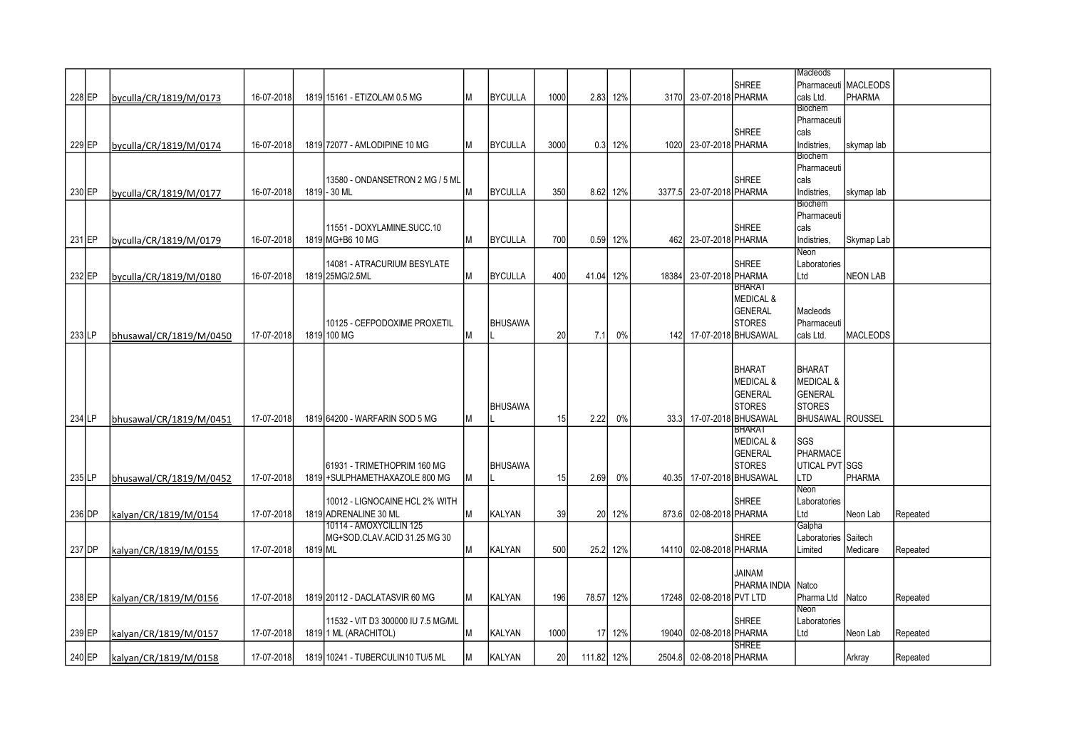|          |                         |            |         |                                    |    |                |      |            |          |                |                           |                      | Macleods                |                        |          |
|----------|-------------------------|------------|---------|------------------------------------|----|----------------|------|------------|----------|----------------|---------------------------|----------------------|-------------------------|------------------------|----------|
|          |                         |            |         |                                    |    |                |      |            |          |                |                           | <b>SHREE</b>         |                         | Pharmaceuti   MACLEODS |          |
| 228 EP   | byculla/CR/1819/M/0173  | 16-07-2018 |         | 1819 15161 - ETIZOLAM 0.5 MG       | IМ | <b>BYCULLA</b> | 1000 |            | 2.83 12% |                | 3170 23-07-2018 PHARMA    |                      | cals Ltd.               | PHARMA                 |          |
|          |                         |            |         |                                    |    |                |      |            |          |                |                           |                      | Biochem                 |                        |          |
|          |                         |            |         |                                    |    |                |      |            |          |                |                           |                      | Pharmaceuti             |                        |          |
|          |                         |            |         |                                    |    |                |      |            |          |                |                           | <b>SHREE</b>         | cals                    |                        |          |
| 229 EP   | byculla/CR/1819/M/0174  | 16-07-2018 |         | 1819 72077 - AMLODIPINE 10 MG      | Iм | <b>BYCULLA</b> | 3000 |            | 0.3 12%  |                | 1020 23-07-2018 PHARMA    |                      | Indistries,             | skymap lab             |          |
|          |                         |            |         |                                    |    |                |      |            |          |                |                           |                      | Biochem                 |                        |          |
|          |                         |            |         |                                    |    |                |      |            |          |                |                           |                      | Pharmaceuti             |                        |          |
|          |                         |            |         | 13580 - ONDANSETRON 2 MG / 5 ML    |    |                |      |            |          |                |                           | <b>SHREE</b>         | cals                    |                        |          |
| 230 EP   | byculla/CR/1819/M/0177  | 16-07-2018 |         | 1819 - 30 ML                       | lм | <b>BYCULLA</b> | 350  |            | 8.62 12% |                | 3377.5 23-07-2018 PHARMA  |                      | Indistries,             | skymap lab             |          |
|          |                         |            |         |                                    |    |                |      |            |          |                |                           |                      | Biochem                 |                        |          |
|          |                         |            |         |                                    |    |                |      |            |          |                |                           |                      | Pharmaceuti             |                        |          |
|          |                         |            |         | 11551 - DOXYLAMINE.SUCC.10         |    |                |      |            |          |                |                           | <b>SHREE</b>         | cals                    |                        |          |
| 231 EP   | byculla/CR/1819/M/0179  | 16-07-2018 |         | 1819 MG+B6 10 MG                   | lм | <b>BYCULLA</b> | 700  |            | 0.59 12% |                | 462 23-07-2018 PHARMA     |                      | Indistries,             | Skymap Lab             |          |
|          |                         |            |         |                                    |    |                |      |            |          |                |                           |                      | Neon                    |                        |          |
|          |                         |            |         | 14081 - ATRACURIUM BESYLATE        |    |                |      |            |          |                |                           | <b>SHREE</b>         | Laboratories            |                        |          |
| 232 EP   | byculla/CR/1819/M/0180  | 16-07-2018 |         | 1819 25MG/2.5ML                    | Iм | <b>BYCULLA</b> | 400  | 41.04 12%  |          |                | 18384 23-07-2018 PHARMA   |                      | Ltd                     | NEON LAB               |          |
|          |                         |            |         |                                    |    |                |      |            |          |                |                           | BHARAT               |                         |                        |          |
|          |                         |            |         |                                    |    |                |      |            |          |                |                           | <b>MEDICAL &amp;</b> |                         |                        |          |
|          |                         |            |         |                                    |    |                |      |            |          |                |                           | <b>GENERAL</b>       | Macleods                |                        |          |
|          |                         |            |         | 10125 - CEFPODOXIME PROXETIL       |    | <b>BHUSAWA</b> |      |            |          |                |                           | <b>STORES</b>        | Pharmaceuti             |                        |          |
| $233$ LP | bhusawal/CR/1819/M/0450 | 17-07-2018 |         | 1819 100 MG                        | lм |                | 20   | 7.1        | 0%       |                | 142 17-07-2018 BHUSAWAL   |                      | cals Ltd.               | <b>MACLEODS</b>        |          |
|          |                         |            |         |                                    |    |                |      |            |          |                |                           |                      |                         |                        |          |
|          |                         |            |         |                                    |    |                |      |            |          |                |                           |                      |                         |                        |          |
|          |                         |            |         |                                    |    |                |      |            |          |                |                           | <b>BHARAT</b>        | <b>BHARAT</b>           |                        |          |
|          |                         |            |         |                                    |    |                |      |            |          |                |                           | <b>MEDICAL &amp;</b> | <b>MEDICAL &amp;</b>    |                        |          |
|          |                         |            |         |                                    |    |                |      |            |          |                |                           | <b>GENERAL</b>       | <b>GENERAL</b>          |                        |          |
|          |                         |            |         |                                    |    | <b>BHUSAWA</b> |      |            |          |                |                           | <b>STORES</b>        | <b>STORES</b>           |                        |          |
| 234 LP   | bhusawal/CR/1819/M/0451 | 17-07-2018 |         | 1819 64200 - WARFARIN SOD 5 MG     |    |                | 15   | 2.22       | 0%       |                | 33.3 17-07-2018 BHUSAWAL  |                      | <b>BHUSAWAL</b> ROUSSEL |                        |          |
|          |                         |            |         |                                    |    |                |      |            |          |                |                           | <b>BHARAT</b>        |                         |                        |          |
|          |                         |            |         |                                    |    |                |      |            |          |                |                           | <b>MEDICAL &amp;</b> | SGS                     |                        |          |
|          |                         |            |         |                                    |    |                |      |            |          |                |                           | <b>GENERAL</b>       | PHARMACE                |                        |          |
|          |                         |            |         | 161931 - TRIMETHOPRIM 160 MG       |    | <b>BHUSAWA</b> |      |            |          |                |                           | <b>STORES</b>        | UTICAL PVT SGS          |                        |          |
|          |                         |            |         |                                    |    |                |      |            | 0%       |                |                           |                      |                         | PHARMA                 |          |
| 235 LP   | bhusawal/CR/1819/M/0452 | 17-07-2018 |         | 1819 + SULPHAMETHAXAZOLE 800 MG    | Iм |                | 15   | 2.69       |          |                | 40.35 17-07-2018 BHUSAWAL |                      | LTD<br>Neon             |                        |          |
|          |                         |            |         | 10012 - LIGNOCAINE HCL 2% WITH     |    |                |      |            |          |                |                           | <b>SHREE</b>         | Laboratories            |                        |          |
|          |                         |            |         | 1819 ADRENALINE 30 ML              |    |                |      |            |          |                |                           |                      | Ltd                     |                        |          |
| 236 DP   | kalyan/CR/1819/M/0154   | 17-07-2018 |         | 10114 - AMOXYCILLIN 125            | lм | <b>KALYAN</b>  | 39   |            | 20 12%   | 873.6          | 02-08-2018 PHARMA         |                      | Galpha                  | Neon Lab               | Repeated |
|          |                         |            |         |                                    |    |                |      |            |          |                |                           | <b>SHREE</b>         |                         |                        |          |
|          |                         |            |         | MG+SOD.CLAV.ACID 31.25 MG 30       |    |                |      |            |          |                |                           |                      | Laboratories   Saitech  |                        |          |
| 237 DP   | kalyan/CR/1819/M/0155   | 17-07-2018 | 1819 ML |                                    | lм | <b>KALYAN</b>  | 500  |            | 25.2 12% | 14110          | 02-08-2018 PHARMA         |                      | Limited                 | Medicare               | Repeated |
|          |                         |            |         |                                    |    |                |      |            |          |                |                           |                      |                         |                        |          |
|          |                         |            |         |                                    |    |                |      |            |          |                |                           | MAINAU               |                         |                        |          |
|          |                         |            |         |                                    |    |                |      |            |          |                |                           | PHARMA INDIA         | Natco                   |                        |          |
| 238 EP   | kalyan/CR/1819/M/0156   | 17-07-2018 |         | 1819 20112 - DACLATASVIR 60 MG     | lм | <b>KALYAN</b>  | 196  | 78.57 12%  |          | 17248          | 02-08-2018 PVT LTD        |                      | Pharma Ltd Natco        |                        | Repeated |
|          |                         |            |         |                                    |    |                |      |            |          |                |                           |                      | Neon                    |                        |          |
|          |                         |            |         | 11532 - VIT D3 300000 IU 7.5 MG/ML |    |                |      |            |          |                |                           | <b>SHREE</b>         | Laboratories            |                        |          |
| 239 EP   | kalyan/CR/1819/M/0157   | 17-07-2018 |         | 1819 1 ML (ARACHITOL)              | Iм | <b>KALYAN</b>  | 1000 |            | 17 12%   | 19040 <b>I</b> | 02-08-2018 PHARMA         |                      | Ltd                     | Neon Lab               | Repeated |
|          |                         |            |         |                                    |    |                |      |            |          |                |                           | <b>SHREE</b>         |                         |                        |          |
| 240 EP   | kalyan/CR/1819/M/0158   | 17-07-2018 |         | 1819 10241 - TUBERCULIN10 TU/5 ML  | lМ | <b>KALYAN</b>  | 20   | 111.82 12% |          |                | 2504.8 02-08-2018 PHARMA  |                      |                         | Arkray                 | Repeated |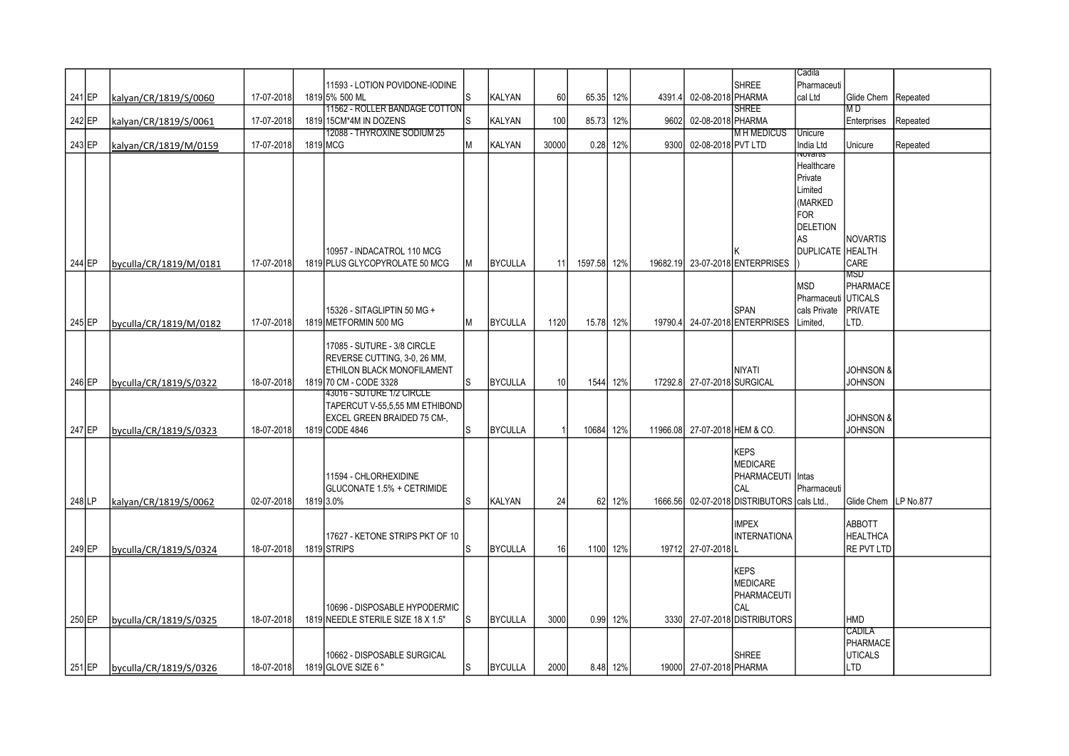|          |                        |            |                                    |     |                |       |           |          |          |                               |                                            | Cadila              |                        |          |
|----------|------------------------|------------|------------------------------------|-----|----------------|-------|-----------|----------|----------|-------------------------------|--------------------------------------------|---------------------|------------------------|----------|
|          |                        |            | 11593 - LOTION POVIDONE-IODINE     |     |                |       |           |          |          |                               | <b>SHREE</b>                               | Pharmaceuti         |                        |          |
| 241 EP   | kalyan/CR/1819/S/0060  | 17-07-2018 | 1819 5% 500 ML                     | S   | KALYAN         | 60    | 65.35 12% |          | 4391.4   | 02-08-2018 PHARMA             |                                            | cal Ltd             | Glide Chem Repeated    |          |
|          |                        |            | 11562 - ROLLER BANDAGE COTTON      |     |                |       |           |          |          |                               | <b>SHREE</b>                               |                     | M D                    |          |
| 242 EP   | kalyan/CR/1819/S/0061  | 17-07-2018 | 1819 15CM*4M IN DOZENS             | S   | <b>KALYAN</b>  | 100   | 85.73     | 12%      | 9602     | 02-08-2018 PHARMA             |                                            |                     | Enterprises            | Repeated |
|          |                        |            | 12088 - THYROXINE SODIUM 25        |     |                |       |           |          |          |                               | <b>MH MEDICUS</b>                          | Unicure             |                        |          |
| $243$ EP | kalyan/CR/1819/M/0159  | 17-07-2018 | 1819 MCG                           | М   | KALYAN         | 30000 | 0.28      | 12%      | 9300     | 02-08-2018 PVT LTD            |                                            | India Ltd           | Unicure                | Repeated |
|          |                        |            |                                    |     |                |       |           |          |          |                               |                                            | πνοναπιπ            |                        |          |
|          |                        |            |                                    |     |                |       |           |          |          |                               |                                            | Healthcare          |                        |          |
|          |                        |            |                                    |     |                |       |           |          |          |                               |                                            | Private             |                        |          |
|          |                        |            |                                    |     |                |       |           |          |          |                               |                                            | Limited             |                        |          |
|          |                        |            |                                    |     |                |       |           |          |          |                               |                                            | (MARKED             |                        |          |
|          |                        |            |                                    |     |                |       |           |          |          |                               |                                            | <b>FOR</b>          |                        |          |
|          |                        |            |                                    |     |                |       |           |          |          |                               |                                            | <b>DELETION</b>     |                        |          |
|          |                        |            |                                    |     |                |       |           |          |          |                               |                                            | AS                  | NOVARTIS               |          |
|          |                        |            | 10957 - INDACATROL 110 MCG         |     |                |       |           |          |          |                               |                                            | <b>DUPLICATE</b>    | <b>HEALTH</b>          |          |
| 244 EP   | byculla/CR/1819/M/0181 | 17-07-2018 | 1819 PLUS GLYCOPYROLATE 50 MCG     | М   | <b>BYCULLA</b> | 11    | 1597.58   | 12%      | 19682.19 |                               | 23-07-2018 ENTERPRISES                     |                     | CARE                   |          |
|          |                        |            |                                    |     |                |       |           |          |          |                               |                                            |                     | MSD                    |          |
|          |                        |            |                                    |     |                |       |           |          |          |                               |                                            | <b>MSD</b>          | PHARMACE               |          |
|          |                        |            |                                    |     |                |       |           |          |          |                               |                                            | Pharmaceuti UTICALS |                        |          |
|          |                        |            | 15326 - SITAGLIPTIN 50 MG +        |     |                |       |           |          |          |                               | <b>SPAN</b>                                | cals Private        | <b>PRIVATE</b>         |          |
| 245 EP   | byculla/CR/1819/M/0182 | 17-07-2018 | 1819 METFORMIN 500 MG              | М   | <b>BYCULLA</b> | 1120  | 15.78 12% |          |          |                               | 19790.4 24-07-2018 ENTERPRISES             | Limited,            | LTD.                   |          |
|          |                        |            |                                    |     |                |       |           |          |          |                               |                                            |                     |                        |          |
|          |                        |            | 17085 - SUTURE - 3/8 CIRCLE        |     |                |       |           |          |          |                               |                                            |                     |                        |          |
|          |                        |            | REVERSE CUTTING, 3-0, 26 MM,       |     |                |       |           |          |          |                               |                                            |                     |                        |          |
|          |                        |            | <b>ETHILON BLACK MONOFILAMENT</b>  |     |                |       |           |          |          |                               | <b>NIYATI</b>                              |                     | <b>JOHNSON &amp;</b>   |          |
| 246 EP   | byculla/CR/1819/S/0322 | 18-07-2018 | 1819 70 CM - CODE 3328             | S   | <b>BYCULLA</b> | 10    | 1544      | 12%      |          | 17292.8 27-07-2018 SURGICAL   |                                            |                     | <b>JOHNSON</b>         |          |
|          |                        |            | 43016 - SUTURE 1/2 CIRCLE          |     |                |       |           |          |          |                               |                                            |                     |                        |          |
|          |                        |            | TAPERCUT V-55,5,55 MM ETHIBOND     |     |                |       |           |          |          |                               |                                            |                     |                        |          |
|          |                        |            | EXCEL GREEN BRAIDED 75 CM-,        |     |                |       |           |          |          |                               |                                            |                     | <b>JOHNSON &amp;</b>   |          |
| 247 EP   | byculla/CR/1819/S/0323 | 18-07-2018 | 1819 CODE 4846                     | S   | <b>BYCULLA</b> |       | 10684     | 12%      |          | 11966.08 27-07-2018 HEM & CO. |                                            |                     | <b>JOHNSON</b>         |          |
|          |                        |            |                                    |     |                |       |           |          |          |                               | <b>KEPS</b>                                |                     |                        |          |
|          |                        |            |                                    |     |                |       |           |          |          |                               | <b>MEDICARE</b>                            |                     |                        |          |
|          |                        |            | 11594 - CHLORHEXIDINE              |     |                |       |           |          |          |                               | PHARMACEUTI                                | Intas               |                        |          |
|          |                        |            | <b>GLUCONATE 1.5% + CETRIMIDE</b>  |     |                |       |           |          |          |                               | CAL                                        | Pharmaceuti         |                        |          |
| 248 LP   | kalyan/CR/1819/S/0062  | 02-07-2018 | 1819 3.0%                          | S   | <b>KALYAN</b>  | 24    | 62        | 12%      |          |                               | 1666.56 02-07-2018 DISTRIBUTORS cals Ltd., |                     | Glide Chem   LP No.877 |          |
|          |                        |            |                                    |     |                |       |           |          |          |                               |                                            |                     |                        |          |
|          |                        |            |                                    |     |                |       |           |          |          |                               | <b>IMPEX</b>                               |                     | ABBOTT                 |          |
|          |                        |            | 17627 - KETONE STRIPS PKT OF 10    |     |                |       |           |          |          |                               | <b>INTERNATIONA</b>                        |                     | <b>HEALTHCA</b>        |          |
| 249 EP   | byculla/CR/1819/S/0324 | 18-07-2018 | 1819 STRIPS                        | S   | <b>BYCULLA</b> | 16    |           | 1100 12% |          | 19712 27-07-2018 L            |                                            |                     | RE PVT LTD             |          |
|          |                        |            |                                    |     |                |       |           |          |          |                               |                                            |                     |                        |          |
|          |                        |            |                                    |     |                |       |           |          |          |                               | <b>KEPS</b>                                |                     |                        |          |
|          |                        |            |                                    |     |                |       |           |          |          |                               | <b>MEDICARE</b>                            |                     |                        |          |
|          |                        |            |                                    |     |                |       |           |          |          |                               | PHARMACEUTI                                |                     |                        |          |
|          |                        |            | 10696 - DISPOSABLE HYPODERMIC      |     |                |       |           |          |          |                               | CAL                                        |                     |                        |          |
| 250 EP   | byculla/CR/1819/S/0325 | 18-07-2018 | 1819 NEEDLE STERILE SIZE 18 X 1.5" | ls. | <b>BYCULLA</b> | 3000  |           | 0.99 12% |          |                               | 3330 27-07-2018 DISTRIBUTORS               |                     | HMD                    |          |
|          |                        |            |                                    |     |                |       |           |          |          |                               |                                            |                     | Cadila                 |          |
|          |                        |            |                                    |     |                |       |           |          |          |                               |                                            |                     | PHARMACE               |          |
|          |                        |            | 10662 - DISPOSABLE SURGICAL        |     |                |       |           |          |          |                               | <b>SHREE</b>                               |                     | <b>UTICALS</b>         |          |
| 251 EP   | byculla/CR/1819/S/0326 | 18-07-2018 | 1819 GLOVE SIZE 6"                 | ls. | <b>BYCULLA</b> | 2000  |           | 8.48 12% |          | 19000 27-07-2018 PHARMA       |                                            |                     | <b>LTD</b>             |          |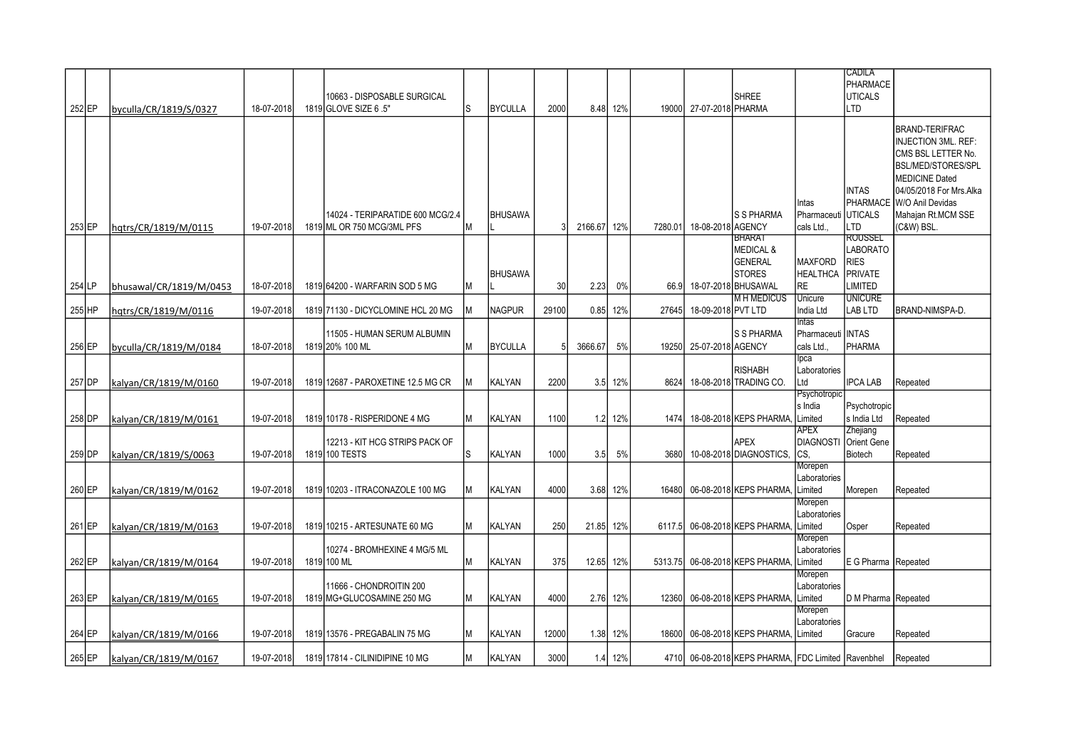|          |                         |            |                                    |    |                |                 |         |          |         |                    |                                               |                     | CADILA                |                           |
|----------|-------------------------|------------|------------------------------------|----|----------------|-----------------|---------|----------|---------|--------------------|-----------------------------------------------|---------------------|-----------------------|---------------------------|
|          |                         |            |                                    |    |                |                 |         |          |         |                    |                                               |                     | <b>PHARMACE</b>       |                           |
|          |                         |            | 10663 - DISPOSABLE SURGICAL        |    |                |                 |         |          |         |                    | <b>SHREE</b>                                  |                     | <b>UTICALS</b>        |                           |
| 252 EP   | byculla/CR/1819/S/0327  | 18-07-2018 | 1819 GLOVE SIZE 6 .5"              | Is | <b>BYCULLA</b> | 2000            |         | 8.48 12% | 19000   | 27-07-2018 PHARMA  |                                               |                     | ILTD                  |                           |
|          |                         |            |                                    |    |                |                 |         |          |         |                    |                                               |                     |                       |                           |
|          |                         |            |                                    |    |                |                 |         |          |         |                    |                                               |                     |                       | <b>BRAND-TERIFRAC</b>     |
|          |                         |            |                                    |    |                |                 |         |          |         |                    |                                               |                     |                       | INJECTION 3ML. REF:       |
|          |                         |            |                                    |    |                |                 |         |          |         |                    |                                               |                     |                       | CMS BSL LETTER No.        |
|          |                         |            |                                    |    |                |                 |         |          |         |                    |                                               |                     |                       | <b>BSL/MED/STORES/SPL</b> |
|          |                         |            |                                    |    |                |                 |         |          |         |                    |                                               |                     |                       | <b>MEDICINE Dated</b>     |
|          |                         |            |                                    |    |                |                 |         |          |         |                    |                                               |                     |                       |                           |
|          |                         |            |                                    |    |                |                 |         |          |         |                    |                                               |                     | <b>INTAS</b>          | 04/05/2018 For Mrs.Alka   |
|          |                         |            |                                    |    |                |                 |         |          |         |                    |                                               | Intas               |                       | PHARMACE W/O Anil Devidas |
|          |                         |            | 14024 - TERIPARATIDE 600 MCG/2.4   |    | <b>BHUSAWA</b> |                 |         |          |         |                    | <b>S S PHARMA</b>                             | Pharmaceuti UTICALS |                       | Mahajan Rt.MCM SSE        |
| $253$ EP | hgtrs/CR/1819/M/0115    | 19-07-2018 | 1819 ML OR 750 MCG/3ML PFS         |    |                |                 | 2166.67 | 12%      | 7280.01 | 18-08-2018 AGENCY  |                                               | cals Ltd.,          | LTD                   | (C&W) BSL.                |
|          |                         |            |                                    |    |                |                 |         |          |         |                    | BHARAT                                        |                     | <b>ROUSSEL</b>        |                           |
|          |                         |            |                                    |    |                |                 |         |          |         |                    | <b>MEDICAL &amp;</b>                          |                     | <b>LABORATO</b>       |                           |
|          |                         |            |                                    |    |                |                 |         |          |         |                    | <b>GENERAL</b>                                | <b>MAXFORD</b>      | <b>RIES</b>           |                           |
|          |                         |            |                                    |    | <b>BHUSAWA</b> |                 |         |          |         |                    | <b>STORES</b>                                 | <b>HEALTHCA</b>     | <b>IPRIVATE</b>       |                           |
| 254 LP   | bhusawal/CR/1819/M/0453 | 18-07-2018 | 1819 64200 - WARFARIN SOD 5 MG     |    |                | 30 <sup>1</sup> | 2.23    | 0%       | 66.9    |                    | 18-07-2018 BHUSAWAL                           | <b>RE</b>           | <b>LIMITED</b>        |                           |
|          |                         |            |                                    |    |                |                 |         |          |         |                    | <b>MH MEDICUS</b>                             | Unicure             | <b>UNICURE</b>        |                           |
| 255 HP   | hqtrs/CR/1819/M/0116    | 19-07-2018 | 1819 71130 - DICYCLOMINE HCL 20 MG |    | <b>NAGPUR</b>  | 29100           | 0.85    | 12%      | 27645   | 18-09-2018 PVT LTD |                                               | India Ltd           | LAB LTD               | <b>BRAND-NIMSPA-D</b>     |
|          |                         |            |                                    |    |                |                 |         |          |         |                    |                                               | <b>Intas</b>        |                       |                           |
|          |                         |            | 11505 - HUMAN SERUM ALBUMIN        |    |                |                 |         |          |         |                    | <b>S S PHARMA</b>                             | Pharmaceuti IINTAS  |                       |                           |
| 256 EP   | byculla/CR/1819/M/0184  | 18-07-2018 | 1819 20% 100 ML                    |    | <b>BYCULLA</b> |                 | 3666.67 | 5%       | 19250   | 25-07-2018 AGENCY  |                                               | cals Ltd.,          | PHARMA                |                           |
|          |                         |            |                                    |    |                |                 |         |          |         |                    |                                               | lpca                |                       |                           |
|          |                         |            |                                    |    |                |                 |         |          |         |                    | <b>RISHABH</b>                                | Laboratories        |                       |                           |
|          |                         | 19-07-2018 | 1819 12687 - PAROXETINE 12.5 MG CR |    | KALYAN         | 2200            |         | 12%      | 8624    |                    | 18-08-2018 TRADING CO.                        | Ltd                 | <b>IPCA LAB</b>       | Repeated                  |
| 257 DP   | kalyan/CR/1819/M/0160   |            |                                    |    |                |                 | 3.5     |          |         |                    |                                               | Psychotropic        |                       |                           |
|          |                         |            |                                    |    |                |                 |         |          |         |                    |                                               |                     |                       |                           |
|          |                         |            |                                    |    |                |                 |         |          |         |                    |                                               | s India             | Psychotropic          |                           |
| 258 DP   | kalyan/CR/1819/M/0161   | 19-07-2018 | 1819 10178 - RISPERIDONE 4 MG      |    | <b>KALYAN</b>  | 1100            |         | 1.2 12%  | 1474    |                    | 18-08-2018 KEPS PHARMA,                       | Limited             | s India Ltd           | Repeated                  |
|          |                         |            |                                    |    |                |                 |         |          |         |                    |                                               | <b>APEX</b>         | Zhejiang              |                           |
|          |                         |            | 12213 - KIT HCG STRIPS PACK OF     |    |                |                 |         |          |         |                    | <b>APEX</b>                                   |                     | DIAGNOSTI Orient Gene |                           |
| 259 DP   | kalyan/CR/1819/S/0063   | 19-07-2018 | 1819 100 TESTS                     | ls | KALYAN         | 1000            | 3.5     | 5%       | 3680    |                    | 10-08-2018 DIAGNOSTICS,                       | CS,                 | Biotech               | Repeated                  |
|          |                         |            |                                    |    |                |                 |         |          |         |                    |                                               | Morepen             |                       |                           |
|          |                         |            |                                    |    |                |                 |         |          |         |                    |                                               | Laboratories        |                       |                           |
| 260 EP   | kalyan/CR/1819/M/0162   | 19-07-2018 | 1819 10203 - ITRACONAZOLE 100 MG   |    | KALYAN         | 4000            |         | 3.68 12% | 16480   |                    | 06-08-2018 KEPS PHARMA,                       | Limited             | Morepen               | Repeated                  |
|          |                         |            |                                    |    |                |                 |         |          |         |                    |                                               | Morepen             |                       |                           |
|          |                         |            |                                    |    |                |                 |         |          |         |                    |                                               | Laboratories        |                       |                           |
| 261 EP   | kalyan/CR/1819/M/0163   | 19-07-2018 | 1819 10215 - ARTESUNATE 60 MG      |    | <b>KALYAN</b>  | 250             | 21.85   | 12%      | 6117.5  |                    | 06-08-2018 KEPS PHARMA.                       | Limited             | Osper                 | Repeated                  |
|          |                         |            |                                    |    |                |                 |         |          |         |                    |                                               | Morepen             |                       |                           |
|          |                         |            | 10274 - BROMHEXINE 4 MG/5 ML       |    |                |                 |         |          |         |                    |                                               | Laboratories        |                       |                           |
| 262 EP   | kalyan/CR/1819/M/0164   | 19-07-2018 | 1819 100 ML                        |    | <b>KALYAN</b>  | 375             | 12.65   | 12%      | 5313.75 |                    | 06-08-2018 KEPS PHARMA,                       | _imited             | E G Pharma Repeated   |                           |
|          |                         |            |                                    |    |                |                 |         |          |         |                    |                                               | Morepen             |                       |                           |
|          |                         |            | 11666 - CHONDROITIN 200            |    |                |                 |         |          |         |                    |                                               | Laboratories        |                       |                           |
| 263 EP   | kalyan/CR/1819/M/0165   | 19-07-2018 | 1819 MG+GLUCOSAMINE 250 MG         |    | KALYAN         | 4000            |         | 2.76 12% | 12360   |                    | 06-08-2018 KEPS PHARMA,                       | Limited             | D M Pharma Repeated   |                           |
|          |                         |            |                                    |    |                |                 |         |          |         |                    |                                               | Morepen             |                       |                           |
|          |                         |            |                                    |    |                |                 |         |          |         |                    |                                               | Laboratories        |                       |                           |
| 264 EP   | kalyan/CR/1819/M/0166   | 19-07-2018 | 1819 13576 - PREGABALIN 75 MG      |    | <b>KALYAN</b>  | 12000           |         | 1.38 12% | 18600   |                    | 06-08-2018 KEPS PHARMA.                       | Limited             | Gracure               | Repeated                  |
|          |                         |            |                                    |    |                |                 |         |          |         |                    |                                               |                     |                       |                           |
| 265 EP   | kalyan/CR/1819/M/0167   | 19-07-2018 | 1819 17814 - CILINIDIPINE 10 MG    | Iм | <b>KALYAN</b>  | 3000            |         | 1.4 12%  | 4710I   |                    | 06-08-2018 KEPS PHARMA, FDC Limited Ravenbhel |                     |                       | Repeated                  |
|          |                         |            |                                    |    |                |                 |         |          |         |                    |                                               |                     |                       |                           |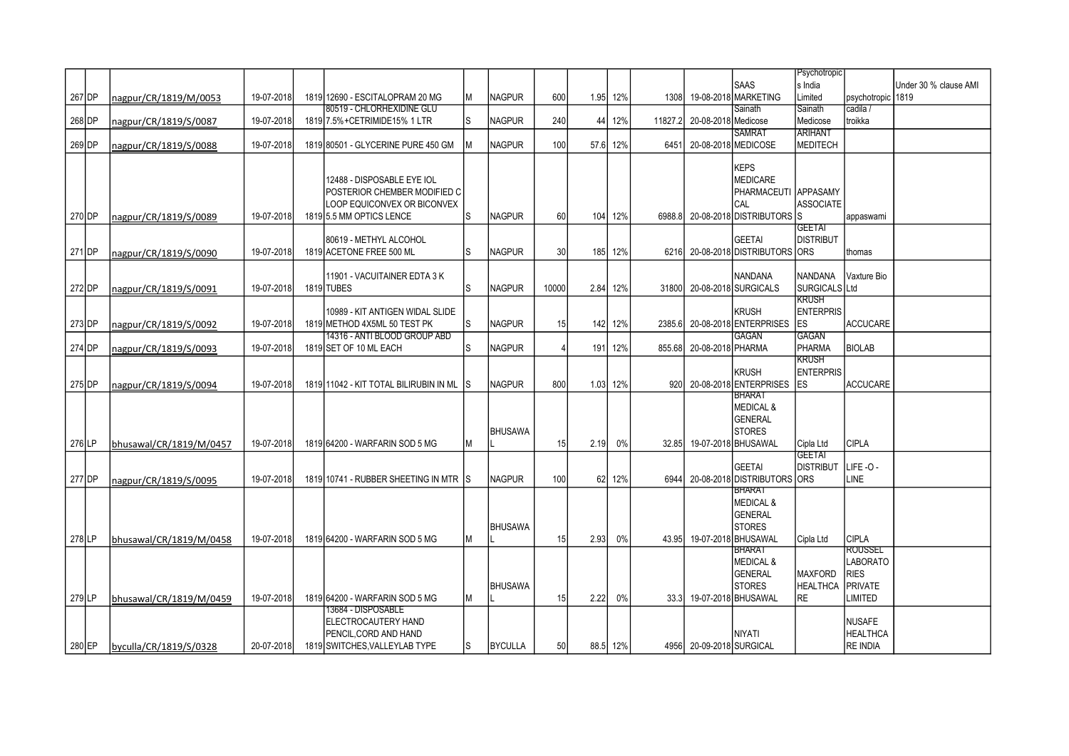|          |                         |            |                                        |    |                |                  |      |          |         |                          |                                  | Psychotropic     |                   |                       |
|----------|-------------------------|------------|----------------------------------------|----|----------------|------------------|------|----------|---------|--------------------------|----------------------------------|------------------|-------------------|-----------------------|
|          |                         |            |                                        |    |                |                  |      |          |         |                          | <b>SAAS</b>                      | s India          |                   | Under 30 % clause AMI |
|          |                         |            |                                        |    |                |                  |      |          |         |                          | 19-08-2018 MARKETING             |                  |                   |                       |
| 267 DP   | nagpur/CR/1819/M/0053   | 19-07-2018 | 1819 12690 - ESCITALOPRAM 20 MG        | ΙM | <b>NAGPUR</b>  | 600              |      | 1.95 12% | 1308    |                          |                                  | Limited          | psychotropic 1819 |                       |
|          |                         |            | 80519 - CHLORHEXIDINE GLU              |    |                |                  |      |          |         |                          | Sainath                          | Sainath          | cadila /          |                       |
| 268 DP   | nagpur/CR/1819/S/0087   | 19-07-2018 | 1819 7.5% + CETRIMIDE 15% 1 LTR        | ls | <b>NAGPUR</b>  | 240              | 44   | 12%      | 11827.2 | 20-08-2018 Medicose      |                                  | Medicose         | troikka           |                       |
|          |                         |            |                                        |    |                |                  |      |          |         |                          | <b>SAMRAT</b>                    | <b>ARIHANT</b>   |                   |                       |
| 269 DP   | nagpur/CR/1819/S/0088   | 19-07-2018 | 1819 80501 - GLYCERINE PURE 450 GM     |    | <b>NAGPUR</b>  | 100 <sub>l</sub> |      | 57.6 12% | 6451    |                          | 20-08-2018 MEDICOSE              | <b>MEDITECH</b>  |                   |                       |
|          |                         |            |                                        |    |                |                  |      |          |         |                          |                                  |                  |                   |                       |
|          |                         |            |                                        |    |                |                  |      |          |         |                          | <b>KEPS</b>                      |                  |                   |                       |
|          |                         |            | 12488 - DISPOSABLE EYE IOL             |    |                |                  |      |          |         |                          | <b>MEDICARE</b>                  |                  |                   |                       |
|          |                         |            | POSTERIOR CHEMBER MODIFIED C           |    |                |                  |      |          |         |                          | PHARMACEUTI APPASAMY             |                  |                   |                       |
|          |                         |            |                                        |    |                |                  |      |          |         |                          |                                  |                  |                   |                       |
|          |                         |            | LOOP EQUICONVEX OR BICONVEX            |    |                |                  |      |          |         |                          | CAL                              | <b>ASSOCIATE</b> |                   |                       |
| 270 DP   | nagpur/CR/1819/S/0089   | 19-07-2018 | 1819 5.5 MM OPTICS LENCE               | ls | <b>NAGPUR</b>  | 60               |      | 104 12%  |         |                          | 6988.8 20-08-2018 DISTRIBUTORS S |                  | appaswami         |                       |
|          |                         |            |                                        |    |                |                  |      |          |         |                          |                                  | <b>GEETAI</b>    |                   |                       |
|          |                         |            | 80619 - METHYL ALCOHOL                 |    |                |                  |      |          |         |                          | <b>GEETAI</b>                    | <b>DISTRIBUT</b> |                   |                       |
| 271 DP   | nagpur/CR/1819/S/0090   | 19-07-2018 | 1819 ACETONE FREE 500 ML               | ls | <b>NAGPUR</b>  | 30 <sup>1</sup>  |      | 185 12%  | 6216    |                          | 20-08-2018 DISTRIBUTORS ORS      |                  | thomas            |                       |
|          |                         |            |                                        |    |                |                  |      |          |         |                          |                                  |                  |                   |                       |
|          |                         |            | 11901 - VACUITAINER EDTA 3 K           |    |                |                  |      |          |         |                          | <b>NANDANA</b>                   | <b>NANDANA</b>   | Vaxture Bio       |                       |
| 272 DP   | nagpur/CR/1819/S/0091   | 19-07-2018 | 1819 TUBES                             | ls | <b>NAGPUR</b>  | 10000            |      | 2.84 12% | 31800   |                          | 20-08-2018 SURGICALS             | SURGICALS Ltd    |                   |                       |
|          |                         |            |                                        |    |                |                  |      |          |         |                          |                                  | <b>KRUSH</b>     |                   |                       |
|          |                         |            |                                        |    |                |                  |      |          |         |                          |                                  |                  |                   |                       |
|          |                         |            | 10989 - KIT ANTIGEN WIDAL SLIDE        |    |                |                  |      |          |         |                          | <b>KRUSH</b>                     | <b>ENTERPRIS</b> |                   |                       |
| 273 DP   | nagpur/CR/1819/S/0092   | 19-07-2018 | 1819 METHOD 4X5ML 50 TEST PK           | ls | <b>NAGPUR</b>  | 15               |      | 142 12%  |         |                          | 2385.6 20-08-2018 ENTERPRISES    | <b>ES</b>        | ACCUCARE          |                       |
|          |                         |            | 14316 - ANTI BLOOD GROUP ABD           |    |                |                  |      |          |         |                          | GAGAN                            | <b>GAGAN</b>     |                   |                       |
| 274 DP   | nagpur/CR/1819/S/0093   | 19-07-2018 | 1819 SET OF 10 ML EACH                 | ls | <b>NAGPUR</b>  | $\Delta$         | 191  | 12%      |         | 855.68 20-08-2018 PHARMA |                                  | <b>PHARMA</b>    | <b>BIOLAB</b>     |                       |
|          |                         |            |                                        |    |                |                  |      |          |         |                          |                                  | KRUSH            |                   |                       |
|          |                         |            |                                        |    |                |                  |      |          |         |                          | <b>KRUSH</b>                     | <b>ENTERPRIS</b> |                   |                       |
| 275 DP   | nagpur/CR/1819/S/0094   | 19-07-2018 | 1819 11042 - KIT TOTAL BILIRUBIN IN ML | IS | <b>NAGPUR</b>  | 800              |      | 1.03 12% |         |                          | 920 20-08-2018 ENTERPRISES       | <b>IES</b>       | <b>ACCUCARE</b>   |                       |
|          |                         |            |                                        |    |                |                  |      |          |         |                          | BHARAT                           |                  |                   |                       |
|          |                         |            |                                        |    |                |                  |      |          |         |                          | <b>MEDICAL &amp;</b>             |                  |                   |                       |
|          |                         |            |                                        |    |                |                  |      |          |         |                          | <b>GENERAL</b>                   |                  |                   |                       |
|          |                         |            |                                        |    | <b>BHUSAWA</b> |                  |      |          |         |                          | <b>STORES</b>                    |                  |                   |                       |
|          |                         | 19-07-2018 | 1819 64200 - WARFARIN SOD 5 MG         |    |                | 15               | 2.19 | 0%       | 32.85   |                          | 19-07-2018 BHUSAWAL              |                  | ICIPLA            |                       |
| 276 LP   | bhusawal/CR/1819/M/0457 |            |                                        | lм |                |                  |      |          |         |                          |                                  | Cipla Ltd        |                   |                       |
|          |                         |            |                                        |    |                |                  |      |          |         |                          |                                  | <b>GEETAI</b>    |                   |                       |
|          |                         |            |                                        |    |                |                  |      |          |         |                          | <b>GEETAI</b>                    | <b>DISTRIBUT</b> | LIFE-O-           |                       |
| 277 DP   | nagpur/CR/1819/S/0095   | 19-07-2018 | 1819 10741 - RUBBER SHEETING IN MTR    | IS | <b>NAGPUR</b>  | 100              |      | 62 12%   | 6944    |                          | 20-08-2018 DISTRIBUTORS ORS      |                  | LINE              |                       |
|          |                         |            |                                        |    |                |                  |      |          |         |                          | BHARAT                           |                  |                   |                       |
|          |                         |            |                                        |    |                |                  |      |          |         |                          | <b>MEDICAL &amp;</b>             |                  |                   |                       |
|          |                         |            |                                        |    |                |                  |      |          |         |                          | <b>GENERAL</b>                   |                  |                   |                       |
|          |                         |            |                                        |    | <b>BHUSAWA</b> |                  |      |          |         |                          | <b>STORES</b>                    |                  |                   |                       |
| 278LP    | bhusawal/CR/1819/M/0458 | 19-07-2018 | 1819 64200 - WARFARIN SOD 5 MG         | M  |                | 15               | 2.93 | 0%       | 43.95   |                          | 19-07-2018 BHUSAWAL              | Cipla Ltd        | <b>CIPLA</b>      |                       |
|          |                         |            |                                        |    |                |                  |      |          |         |                          | <b>BHARAT</b>                    |                  | ROUSSEL           |                       |
|          |                         |            |                                        |    |                |                  |      |          |         |                          | <b>MEDICAL &amp;</b>             |                  | <b>LABORATO</b>   |                       |
|          |                         |            |                                        |    |                |                  |      |          |         |                          | <b>GENERAL</b>                   | <b>MAXFORD</b>   | <b>RIES</b>       |                       |
|          |                         |            |                                        |    |                |                  |      |          |         |                          |                                  |                  |                   |                       |
|          |                         |            |                                        |    | <b>BHUSAWA</b> |                  |      |          |         |                          | <b>STORES</b>                    | <b>HEALTHCA</b>  | <b>IPRIVATE</b>   |                       |
| $279$ LP | bhusawal/CR/1819/M/0459 | 19-07-2018 | 1819 64200 - WARFARIN SOD 5 MG         | M  |                | 15               | 2.22 | 0%       |         |                          | 33.3 19-07-2018 BHUSAWAL         | <b>RE</b>        | LIMITED           |                       |
|          |                         |            | 13684 - DISPOSABLE                     |    |                |                  |      |          |         |                          |                                  |                  |                   |                       |
|          |                         |            | <b>ELECTROCAUTERY HAND</b>             |    |                |                  |      |          |         |                          |                                  |                  | NUSAFE            |                       |
|          |                         |            | PENCIL, CORD AND HAND                  |    |                |                  |      |          |         |                          | NIYATI                           |                  | HEALTHCA          |                       |
| 280 EP   | byculla/CR/1819/S/0328  | 20-07-2018 | 1819 SWITCHES. VALLEYLAB TYPE          | ls | <b>BYCULLA</b> | 50               |      | 88.5 12% |         | 4956 20-09-2018 SURGICAL |                                  |                  | RE INDIA          |                       |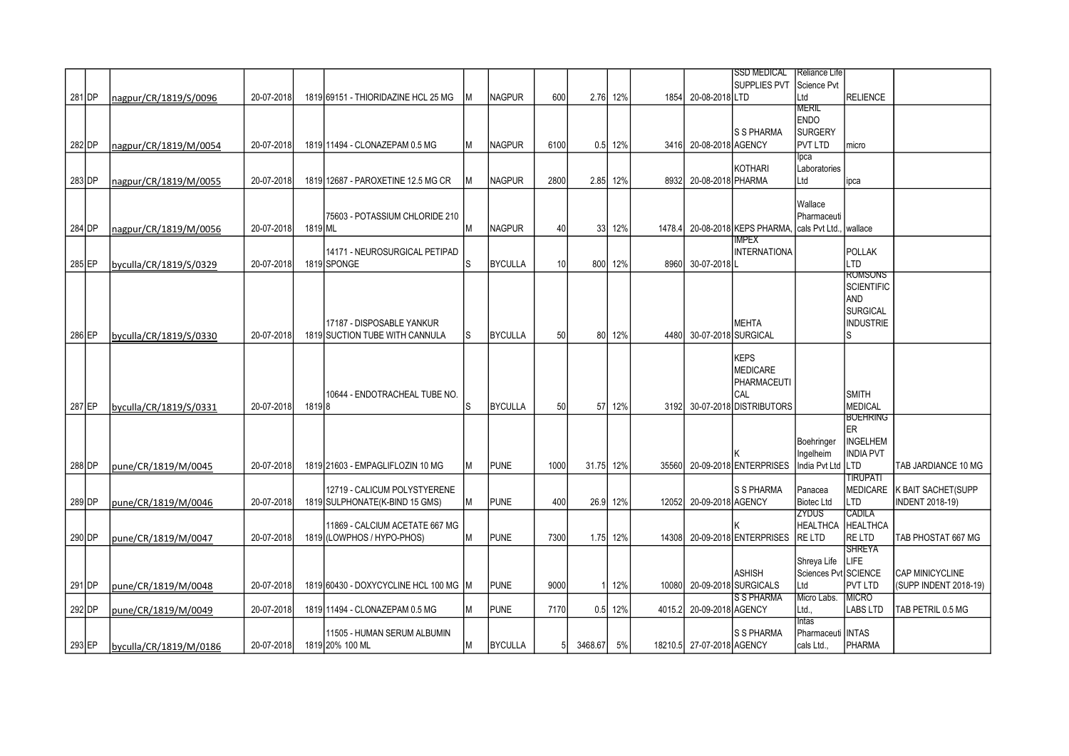|        |                        |            |         |                                       |     |                |                 |           |           |        |                           | <b>SSD MEDICAL</b>                                      | Reliance Life        |                  |                               |
|--------|------------------------|------------|---------|---------------------------------------|-----|----------------|-----------------|-----------|-----------|--------|---------------------------|---------------------------------------------------------|----------------------|------------------|-------------------------------|
|        |                        |            |         |                                       |     |                |                 |           |           |        |                           | SUPPLIES PVT                                            | Science Pvt          |                  |                               |
| 281 DP | Inagpur/CR/1819/S/0096 | 20-07-2018 |         | 1819 69151 - THIORIDAZINE HCL 25 MG   | M   | <b>NAGPUR</b>  | 600             |           | 2.76 12%  |        | 1854 20-08-2018 LTD       |                                                         | Ltd                  | RELIENCE         |                               |
|        |                        |            |         |                                       |     |                |                 |           |           |        |                           |                                                         | MERIL                |                  |                               |
|        |                        |            |         |                                       |     |                |                 |           |           |        |                           |                                                         | <b>ENDO</b>          |                  |                               |
|        |                        |            |         |                                       |     |                |                 |           |           |        |                           | S S PHARMA                                              | <b>SURGERY</b>       |                  |                               |
| 282 DP | nagpur/CR/1819/M/0054  | 20-07-2018 |         | 1819 11494 - CLONAZEPAM 0.5 MG        | M   | <b>NAGPUR</b>  | 6100            |           | 0.5 12%   |        | 3416 20-08-2018 AGENCY    |                                                         | <b>PVT LTD</b>       | Imicro           |                               |
|        |                        |            |         |                                       |     |                |                 |           |           |        |                           |                                                         | lpca                 |                  |                               |
|        |                        |            |         |                                       |     |                |                 |           |           |        |                           | <b>KOTHARI</b>                                          | Laboratories         |                  |                               |
| 283 DP | nagpur/CR/1819/M/0055  | 20-07-2018 |         | 1819 12687 - PAROXETINE 12.5 MG CR    |     | <b>NAGPUR</b>  | 2800            |           | 2.85 12%  |        | 8932 20-08-2018 PHARMA    |                                                         | Ltd                  | ipca             |                               |
|        |                        |            |         |                                       |     |                |                 |           |           |        |                           |                                                         |                      |                  |                               |
|        |                        |            |         |                                       |     |                |                 |           |           |        |                           |                                                         | Wallace              |                  |                               |
|        |                        |            |         | 75603 - POTASSIUM CHLORIDE 210        |     |                |                 |           |           |        |                           |                                                         | Pharmaceuti          |                  |                               |
| 284 DP | nagpur/CR/1819/M/0056  | 20-07-2018 | 1819 ML |                                       | M   | <b>NAGPUR</b>  | 40              |           | 33 12%    |        |                           | 1478.4 20-08-2018 KEPS PHARMA, Icals Pvt Ltd., Iwallace |                      |                  |                               |
|        |                        |            |         |                                       |     |                |                 |           |           |        |                           | IMPEX                                                   |                      |                  |                               |
|        |                        |            |         | 14171 - NEUROSURGICAL PETIPAD         |     |                |                 |           |           |        |                           | <b>INTERNATIONA</b>                                     |                      | POLLAK           |                               |
| 285 EP | byculla/CR/1819/S/0329 | 20-07-2018 |         | 1819 SPONGE                           | S   | <b>BYCULLA</b> | 10 <sup>1</sup> |           | 800 12%   |        | 8960 30-07-2018           |                                                         |                      | Iltd             |                               |
|        |                        |            |         |                                       |     |                |                 |           |           |        |                           |                                                         |                      | <b>ROMSONS</b>   |                               |
|        |                        |            |         |                                       |     |                |                 |           |           |        |                           |                                                         |                      | SCIENTIFIC       |                               |
|        |                        |            |         |                                       |     |                |                 |           |           |        |                           |                                                         |                      | <b>AND</b>       |                               |
|        |                        |            |         |                                       |     |                |                 |           |           |        |                           |                                                         |                      | SURGICAL         |                               |
|        |                        |            |         | 17187 - DISPOSABLE YANKUR             |     |                |                 |           |           |        |                           | <b>MEHTA</b>                                            |                      | INDUSTRIE        |                               |
| 286 EP | byculla/CR/1819/S/0330 | 20-07-2018 |         | 1819 SUCTION TUBE WITH CANNULA        | ls. | <b>BYCULLA</b> | 50              |           | 80 12%    |        | 4480 30-07-2018 SURGICAL  |                                                         |                      | Is               |                               |
|        |                        |            |         |                                       |     |                |                 |           |           |        |                           |                                                         |                      |                  |                               |
|        |                        |            |         |                                       |     |                |                 |           |           |        |                           | <b>KEPS</b>                                             |                      |                  |                               |
|        |                        |            |         |                                       |     |                |                 |           |           |        |                           | <b>MEDICARE</b>                                         |                      |                  |                               |
|        |                        |            |         |                                       |     |                |                 |           |           |        |                           | PHARMACEUTI                                             |                      |                  |                               |
|        |                        |            |         | 10644 - ENDOTRACHEAL TUBE NO.         |     |                |                 |           |           |        |                           | CAL                                                     |                      | <b>SMITH</b>     |                               |
| 287 EP | byculla/CR/1819/S/0331 | 20-07-2018 | 18198   |                                       | S   | <b>BYCULLA</b> | 50              |           | 57 12%    |        |                           | 3192 30-07-2018 DISTRIBUTORS                            |                      | MEDICAL          |                               |
|        |                        |            |         |                                       |     |                |                 |           |           |        |                           |                                                         |                      | <b>BOEHRING</b>  |                               |
|        |                        |            |         |                                       |     |                |                 |           |           |        |                           |                                                         |                      | <b>ER</b>        |                               |
|        |                        |            |         |                                       |     |                |                 |           |           |        |                           |                                                         | Boehringer           | <b>INGELHEM</b>  |                               |
|        |                        |            |         |                                       |     |                |                 |           |           |        |                           |                                                         | Ingelheim            | <b>INDIA PVT</b> |                               |
| 288 DP | pune/CR/1819/M/0045    | 20-07-2018 |         | 1819 21603 - EMPAGLIFLOZIN 10 MG      | M   | <b>PUNE</b>    | 1000            | 31.75 12% |           |        |                           | 35560 20-09-2018 ENTERPRISES                            | India Pvt Ltd        | Iltd             | TAB JARDIANCE 10 MG           |
|        |                        |            |         |                                       |     |                |                 |           |           |        |                           |                                                         |                      | <b>TIRUPATI</b>  |                               |
|        |                        |            |         | 12719 - CALICUM POLYSTYERENE          |     |                |                 |           |           |        |                           | <b>S S PHARMA</b>                                       | Panacea              |                  | MEDICARE   K BAIT SACHET(SUPP |
| 289 DP | lpune/CR/1819/M/0046   | 20-07-2018 |         | 1819 SULPHONATE (K-BIND 15 GMS)       | M   | <b>PUNE</b>    | 400             |           | 26.9 12%  |        | 12052 20-09-2018 AGENCY   |                                                         | <b>Biotec Ltd</b>    | Iltd             | <b>INDENT 2018-19)</b>        |
|        |                        |            |         |                                       |     |                |                 |           |           |        |                           |                                                         | ZYDUS                | CADILA           |                               |
|        |                        |            |         | 11869 - CALCIUM ACETATE 667 MG        |     |                |                 |           |           |        |                           |                                                         | <b>HEALTHCA</b>      | <b>HEALTHCA</b>  |                               |
| 290 DP | pune/CR/1819/M/0047    | 20-07-2018 |         | 1819 (LOWPHOS / HYPO-PHOS)            | M   | <b>PUNE</b>    | 7300            |           | 1.75 12%  |        |                           | 14308 20-09-2018 ENTERPRISES                            | RE LTD               | RE LTD           | TAB PHOSTAT 667 MG            |
|        |                        |            |         |                                       |     |                |                 |           |           |        |                           |                                                         |                      | <b>SHREYA</b>    |                               |
|        |                        |            |         |                                       |     |                |                 |           |           |        |                           |                                                         | Shreya Life          | LIFE             |                               |
|        |                        |            |         |                                       |     |                |                 |           |           |        |                           | <b>ASHISH</b>                                           | Sciences Pyt SCIENCE |                  | <b>CAP MINICYCLINE</b>        |
| 291 DP | pune/CR/1819/M/0048    | 20-07-2018 |         | 1819 60430 - DOXYCYCLINE HCL 100 MG M |     | <b>PUNE</b>    | 9000            |           | 1 12%     |        |                           | 10080 20-09-2018 SURGICALS                              | Ltd                  | <b>PVT LTD</b>   | (SUPP INDENT 2018-19)         |
|        |                        |            |         |                                       |     |                |                 |           |           |        |                           | <b>S S PHARMA</b>                                       | Micro Labs.          | <b>MICRO</b>     |                               |
| 292 DP | pune/CR/1819/M/0049    | 20-07-2018 |         | 1819 11494 - CLONAZEPAM 0.5 MG        | М   | <b>PUNE</b>    | 7170            |           | $0.5$ 12% | 4015.2 | 20-09-2018 AGENCY         |                                                         | Ltd.                 | <b>LABS LTD</b>  | TAB PETRIL 0.5 MG             |
|        |                        |            |         |                                       |     |                |                 |           |           |        |                           |                                                         | <b>Intas</b>         |                  |                               |
|        |                        |            |         | 11505 - HUMAN SERUM ALBUMIN           |     |                |                 |           |           |        |                           | S S PHARMA                                              | Pharmaceuti   INTAS  |                  |                               |
| 293 EP | byculla/CR/1819/M/0186 | 20-07-2018 |         | 1819 20% 100 ML                       | Μ   | <b>BYCULLA</b> | 51              | 3468.67   | 5%        |        | 18210.5 27-07-2018 AGENCY |                                                         | cals Ltd.,           | PHARMA           |                               |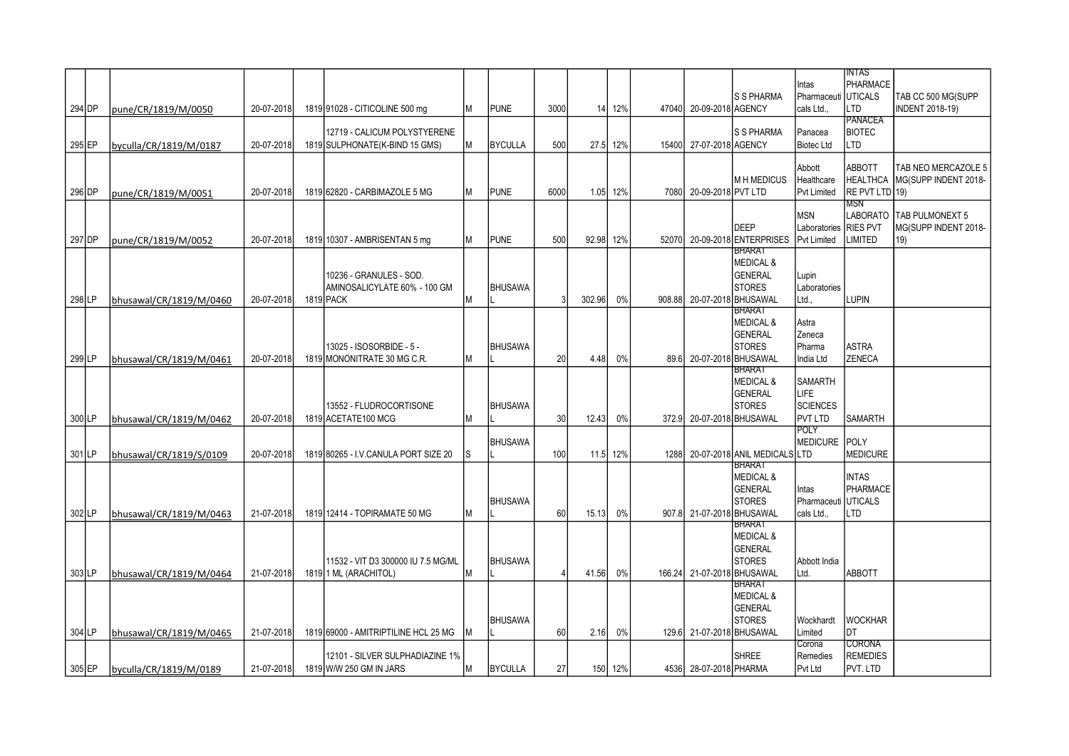|                     |                         |            |                                                         |     |                |                 |           |          |                         |                                             | Intas                        | INTAS<br>PHARMACE                 |                                              |
|---------------------|-------------------------|------------|---------------------------------------------------------|-----|----------------|-----------------|-----------|----------|-------------------------|---------------------------------------------|------------------------------|-----------------------------------|----------------------------------------------|
| 294 DP              |                         | 20-07-2018 | 1819 91028 - CITICOLINE 500 mg                          | M   | <b>PUNE</b>    | 3000            |           | 14 12%   | 47040 20-09-2018 AGENCY | <b>S S PHARMA</b>                           | Pharmaceuti<br>cals Ltd      | <b>UTICALS</b><br><b>LTD</b>      | TAB CC 500 MG(SUPP<br><b>INDENT 2018-19)</b> |
|                     | pune/CR/1819/M/0050     |            |                                                         |     |                |                 |           |          |                         |                                             |                              | PANACEA                           |                                              |
|                     |                         |            | 12719 - CALICUM POLYSTYERENE                            |     |                |                 |           |          |                         | <b>S S PHARMA</b>                           | Panacea                      | <b>BIOTEC</b>                     |                                              |
| 295 EP              | byculla/CR/1819/M/0187  | 20-07-2018 | 1819 SULPHONATE(K-BIND 15 GMS)                          | IМ. | <b>BYCULLA</b> | 500             |           | 27.5 12% | 15400 27-07-2018 AGENCY |                                             | <b>Biotec Ltd</b>            | LTD                               |                                              |
|                     |                         |            |                                                         |     |                |                 |           |          |                         |                                             | Abbott                       | <b>ABBOTT</b>                     | TAB NEO MERCAZOLE 5                          |
|                     |                         |            |                                                         |     |                |                 |           |          | 7080 20-09-2018 PVT LTD | <b>MH MEDICUS</b>                           | Healthcare                   | <b>HEALTHCA</b><br>RE PVT LTD 19) | MG(SUPP INDENT 2018-                         |
| 296 DP              | pune/CR/1819/M/0051     | 20-07-2018 | 1819 62820 - CARBIMAZOLE 5 MG                           | IМ  | <b>PUNE</b>    | 6000            |           | 1.05 12% |                         |                                             | <b>Pvt Limited</b>           | MSN                               |                                              |
|                     |                         |            |                                                         |     |                |                 |           |          |                         |                                             | <b>MSN</b>                   |                                   | LABORATO   TAB PULMONEXT 5                   |
| 297 DP              |                         |            |                                                         |     | <b>PUNE</b>    | 500             | 92.98 12% |          |                         | <b>DEEP</b><br>52070 20-09-2018 ENTERPRISES | Laboratories<br>Pvt Limited  | <b>RIES PVT</b><br><b>LIMITED</b> | MG(SUPP INDENT 2018-<br>19)                  |
|                     | pune/CR/1819/M/0052     | 20-07-2018 | 1819 10307 - AMBRISENTAN 5 mg                           | lм  |                |                 |           |          |                         | <b>BHARAT</b>                               |                              |                                   |                                              |
|                     |                         |            |                                                         |     |                |                 |           |          |                         | <b>MEDICAL &amp;</b>                        |                              |                                   |                                              |
|                     |                         |            | 10236 - GRANULES - SOD.<br>AMINOSALICYLATE 60% - 100 GM |     | <b>BHUSAWA</b> |                 |           |          |                         | <b>GENERAL</b><br><b>STORES</b>             | Lupin<br>Laboratories        |                                   |                                              |
| 298 LP              | bhusawal/CR/1819/M/0460 | 20-07-2018 | 1819 PACK                                               | M   |                | 31              | 302.96    | 0%       |                         | 908.88 20-07-2018 BHUSAWAL                  | Ltd.,                        | <b>LUPIN</b>                      |                                              |
|                     |                         |            |                                                         |     |                |                 |           |          |                         | <b>BHARAT</b>                               |                              |                                   |                                              |
|                     |                         |            |                                                         |     |                |                 |           |          |                         | <b>MEDICAL &amp;</b><br><b>GENERAL</b>      | Astra<br>Zeneca              |                                   |                                              |
|                     |                         |            | 13025 - ISOSORBIDE - 5 -                                |     | <b>BHUSAWA</b> |                 |           |          |                         | <b>STORES</b>                               | Pharma                       | ASTRA                             |                                              |
| 299 LP              | bhusawal/CR/1819/M/0461 | 20-07-2018 | 1819 MONONITRATE 30 MG C.R.                             | M   |                | 20              | 4.48      | 0%       |                         | 89.6 20-07-2018 BHUSAWAL                    | India Ltd                    | ZENECA                            |                                              |
|                     |                         |            |                                                         |     |                |                 |           |          |                         | BHARAT<br><b>MEDICAL &amp;</b>              | <b>SAMARTH</b>               |                                   |                                              |
|                     |                         |            |                                                         |     |                |                 |           |          |                         | <b>GENERAL</b>                              | <b>LIFE</b>                  |                                   |                                              |
|                     |                         |            | 13552 - FLUDROCORTISONE                                 |     | <b>BHUSAWA</b> |                 |           |          |                         | <b>STORES</b>                               | <b>SCIENCES</b>              |                                   |                                              |
| 300 LP              | bhusawal/CR/1819/M/0462 | 20-07-2018 | 1819 ACETATE100 MCG                                     | lм  |                | 30 <sup>1</sup> | 12.43     | 0%       |                         | 372.9 20-07-2018 BHUSAWAL                   | <b>PVT LTD</b>               | <b>SAMARTH</b>                    |                                              |
|                     |                         |            |                                                         |     | <b>BHUSAWA</b> |                 |           |          |                         |                                             | <b>POLY</b><br>MEDICURE POLY |                                   |                                              |
| $301$ <sub>LP</sub> | bhusawal/CR/1819/S/0109 | 20-07-2018 | 1819 80265 - I.V.CANULA PORT SIZE 20                    | IS  |                | 100             |           | 11.5 12% |                         | 1288 20-07-2018 ANIL MEDICALS LTD           |                              | MEDICURE                          |                                              |
|                     |                         |            |                                                         |     |                |                 |           |          |                         | <b>BHARAT</b>                               |                              |                                   |                                              |
|                     |                         |            |                                                         |     |                |                 |           |          |                         | <b>MEDICAL &amp;</b><br><b>GENERAL</b>      | Intas                        | <b>INTAS</b><br><b>PHARMACE</b>   |                                              |
|                     |                         |            |                                                         |     | <b>BHUSAWA</b> |                 |           |          |                         | <b>STORES</b>                               | Pharmaceuti                  | <b>UTICALS</b>                    |                                              |
| 302LP               | bhusawal/CR/1819/M/0463 | 21-07-2018 | 1819 12414 - TOPIRAMATE 50 MG                           | M   |                | 60              | 15.13     | $0\%$    |                         | 907.8 21-07-2018 BHUSAWAL                   | cals Ltd                     | <b>LTD</b>                        |                                              |
|                     |                         |            |                                                         |     |                |                 |           |          |                         | BHARAT<br><b>MEDICAL &amp;</b>              |                              |                                   |                                              |
|                     |                         |            |                                                         |     |                |                 |           |          |                         | <b>GENERAL</b>                              |                              |                                   |                                              |
|                     |                         |            | 11532 - VIT D3 300000 IU 7.5 MG/ML                      |     | <b>BHUSAWA</b> |                 |           |          |                         | <b>STORES</b>                               | Abbott India                 |                                   |                                              |
| 303 LP              | bhusawal/CR/1819/M/0464 | 21-07-2018 | 1819 1 ML (ARACHITOL)                                   | lм  |                | 4               | 41.56     | 0%       |                         | 166.24 21-07-2018 BHUSAWAL<br><b>BHARAT</b> | Ltd.                         | <b>ABBOTT</b>                     |                                              |
|                     |                         |            |                                                         |     |                |                 |           |          |                         | <b>MEDICAL &amp;</b>                        |                              |                                   |                                              |
|                     |                         |            |                                                         |     |                |                 |           |          |                         | <b>GENERAL</b>                              |                              |                                   |                                              |
| 304 LP              | bhusawal/CR/1819/M/0465 | 21-07-2018 | 1819 69000 - AMITRIPTILINE HCL 25 MG                    | IM  | <b>BHUSAWA</b> | 60 <sup>1</sup> | 2.16      | 0%       |                         | <b>STORES</b><br>129.6 21-07-2018 BHUSAWAL  | Wockhardt<br>Limited         | <b>WOCKHAR</b><br>Idt             |                                              |
|                     |                         |            |                                                         |     |                |                 |           |          |                         |                                             | Corona                       | CORONA                            |                                              |
|                     |                         |            | 12101 - SILVER SULPHADIAZINE 1%                         |     |                |                 |           |          |                         | <b>SHREE</b>                                | Remedies                     | <b>REMEDIES</b>                   |                                              |
| $305$ EP            | byculla/CR/1819/M/0189  | 21-07-2018 | 1819 W/W 250 GM IN JARS                                 | IМ  | <b>BYCULLA</b> | 27              |           | 150 12%  | 4536 28-07-2018 PHARMA  |                                             | Pvt Ltd                      | PVT. LTD                          |                                              |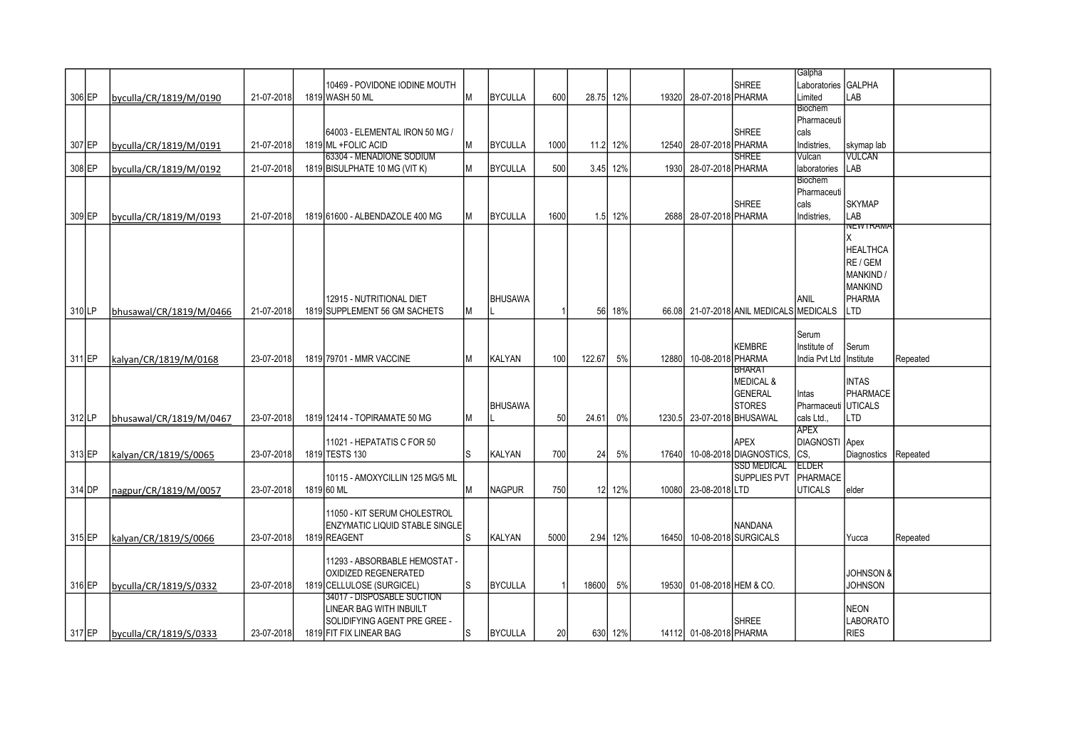|        |                         |            |                                       |   |                |      |        |          |       |                            |                                         | Galpha         |                      |          |
|--------|-------------------------|------------|---------------------------------------|---|----------------|------|--------|----------|-------|----------------------------|-----------------------------------------|----------------|----------------------|----------|
|        |                         |            | 10469 - POVIDONE IODINE MOUTH         |   |                |      |        |          |       |                            | <b>SHREE</b>                            | Laboratories   | <b>GALPHA</b>        |          |
| 306 EP | byculla/CR/1819/M/0190  | 21-07-2018 | 1819 WASH 50 ML                       | Μ | <b>BYCULLA</b> | 600  | 28.75  | 12%      |       | 19320 28-07-2018 PHARMA    |                                         | Limited        | LAB                  |          |
|        |                         |            |                                       |   |                |      |        |          |       |                            |                                         | Biochem        |                      |          |
|        |                         |            |                                       |   |                |      |        |          |       |                            |                                         | Pharmaceuti    |                      |          |
|        |                         |            | 64003 - ELEMENTAL IRON 50 MG /        |   |                |      |        |          |       |                            | <b>SHREE</b>                            | cals           |                      |          |
| 307 EP | byculla/CR/1819/M/0191  | 21-07-2018 | 1819 ML + FOLIC ACID                  | М | <b>BYCULLA</b> | 1000 |        | 11.2 12% |       | 12540 28-07-2018 PHARMA    |                                         | Indistries,    | skymap lab           |          |
|        |                         |            | 63304 - MENADIONE SODIUM              |   |                |      |        |          |       |                            | <b>SHREE</b>                            | Vulcan         | VULCAN               |          |
|        |                         |            |                                       |   |                |      |        |          |       |                            |                                         |                |                      |          |
| 308 EP | byculla/CR/1819/M/0192  | 21-07-2018 | 1819 BISULPHATE 10 MG (VIT K)         | Μ | <b>BYCULLA</b> | 500  | 3.45   | 12%      | 1930  | 28-07-2018 PHARMA          |                                         | laboratories   | LAB                  |          |
|        |                         |            |                                       |   |                |      |        |          |       |                            |                                         | Biochem        |                      |          |
|        |                         |            |                                       |   |                |      |        |          |       |                            |                                         | Pharmaceuti    |                      |          |
|        |                         |            |                                       |   |                |      |        |          |       |                            | <b>SHREE</b>                            | cals           | <b>SKYMAP</b>        |          |
| 309 EP | byculla/CR/1819/M/0193  | 21-07-2018 | 1819 61600 - ALBENDAZOLE 400 MG       | М | <b>BYCULLA</b> | 1600 |        | 1.5 12%  |       | 2688 28-07-2018 PHARMA     |                                         | Indistries,    | LAB                  |          |
|        |                         |            |                                       |   |                |      |        |          |       |                            |                                         |                | NEW I RAMA           |          |
|        |                         |            |                                       |   |                |      |        |          |       |                            |                                         |                | X                    |          |
|        |                         |            |                                       |   |                |      |        |          |       |                            |                                         |                | <b>HEALTHCA</b>      |          |
|        |                         |            |                                       |   |                |      |        |          |       |                            |                                         |                | RE / GEM             |          |
|        |                         |            |                                       |   |                |      |        |          |       |                            |                                         |                | MANKIND /            |          |
|        |                         |            |                                       |   |                |      |        |          |       |                            |                                         |                |                      |          |
|        |                         |            |                                       |   |                |      |        |          |       |                            |                                         |                | <b>MANKIND</b>       |          |
|        |                         |            | 12915 - NUTRITIONAL DIET              |   | BHUSAWA        |      |        |          |       |                            |                                         | anil           | PHARMA               |          |
| 310 LP | bhusawal/CR/1819/M/0466 | 21-07-2018 | 1819 SUPPLEMENT 56 GM SACHETS         | Μ |                |      | 56     | 18%      |       |                            | 66.08 21-07-2018 ANIL MEDICALS MEDICALS |                | <b>LTD</b>           |          |
|        |                         |            |                                       |   |                |      |        |          |       |                            |                                         |                |                      |          |
|        |                         |            |                                       |   |                |      |        |          |       |                            |                                         | Serum          |                      |          |
|        |                         |            |                                       |   |                |      |        |          |       |                            | <b>KEMBRE</b>                           | Institute of   | Serum                |          |
| 311 EP | kalyan/CR/1819/M/0168   | 23-07-2018 | 1819 79701 - MMR VACCINE              | Μ | <b>KALYAN</b>  | 100  | 122.67 | 5%       | 12880 | 10-08-2018 PHARMA          |                                         | India Pvt Ltd  | Institute            | Repeated |
|        |                         |            |                                       |   |                |      |        |          |       |                            | <b>BHARAT</b>                           |                |                      |          |
|        |                         |            |                                       |   |                |      |        |          |       |                            | <b>MEDICAL &amp;</b>                    |                | <b>INTAS</b>         |          |
|        |                         |            |                                       |   |                |      |        |          |       |                            | <b>GENERAL</b>                          |                | PHARMACE             |          |
|        |                         |            |                                       |   |                |      |        |          |       |                            |                                         | Intas          |                      |          |
|        |                         |            |                                       |   | <b>BHUSAWA</b> |      |        |          |       |                            | <b>STORES</b>                           | Pharmaceuti    | UTICALS              |          |
| 312 LP | bhusawal/CR/1819/M/0467 | 23-07-2018 | 1819 12414 - TOPIRAMATE 50 MG         | M |                | 50   | 24.61  | 0%       |       | 1230.5 23-07-2018 BHUSAWAL |                                         | cals Ltd       | LTD                  |          |
|        |                         |            |                                       |   |                |      |        |          |       |                            |                                         | APEX           |                      |          |
|        |                         |            | 11021 - HEPATATIS C FOR 50            |   |                |      |        |          |       |                            | APEX                                    | DIAGNOSTI Apex |                      |          |
| 313 EP | kalyan/CR/1819/S/0065   | 23-07-2018 | 1819 TESTS 130                        | S | <b>KALYAN</b>  | 700  | 24     | 5%       | 17640 |                            | 10-08-2018 DIAGNOSTICS                  | CS.            | Diagnostics          | Repeated |
|        |                         |            |                                       |   |                |      |        |          |       |                            | <b>SSD MEDICAL</b>                      | <b>ELDER</b>   |                      |          |
|        |                         |            | 10115 - AMOXYCILLIN 125 MG/5 ML       |   |                |      |        |          |       |                            | <b>SUPPLIES PVT</b>                     | PHARMACE       |                      |          |
| 314 DP | nagpur/CR/1819/M/0057   | 23-07-2018 | 1819 60 ML                            | М | <b>NAGPUR</b>  | 750  | 12     | 12%      |       | 10080 23-08-2018 LTD       |                                         | <b>UTICALS</b> | elder                |          |
|        |                         |            |                                       |   |                |      |        |          |       |                            |                                         |                |                      |          |
|        |                         |            |                                       |   |                |      |        |          |       |                            |                                         |                |                      |          |
|        |                         |            | 11050 - KIT SERUM CHOLESTROL          |   |                |      |        |          |       |                            |                                         |                |                      |          |
|        |                         |            | <b>ENZYMATIC LIQUID STABLE SINGLE</b> |   |                |      |        |          |       |                            | <b>NANDANA</b>                          |                |                      |          |
| 315 EP | kalvan/CR/1819/S/0066   | 23-07-2018 | 1819 REAGENT                          | S | <b>KALYAN</b>  | 5000 |        | 2.94 12% | 16450 |                            | 10-08-2018 SURGICALS                    |                | Yucca                | Repeated |
|        |                         |            |                                       |   |                |      |        |          |       |                            |                                         |                |                      |          |
|        |                         |            | 11293 - ABSORBABLE HEMOSTAT -         |   |                |      |        |          |       |                            |                                         |                |                      |          |
|        |                         |            | <b>OXIDIZED REGENERATED</b>           |   |                |      |        |          |       |                            |                                         |                | <b>JOHNSON &amp;</b> |          |
| 316 EP | byculla/CR/1819/S/0332  | 23-07-2018 | 1819 CELLULOSE (SURGICEL)             | S | <b>BYCULLA</b> |      | 18600  | 5%       |       | 19530 01-08-2018 HEM & CO. |                                         |                | <b>JOHNSON</b>       |          |
|        |                         |            | 34017 - DISPOSABLE SUCTION            |   |                |      |        |          |       |                            |                                         |                |                      |          |
|        |                         |            | LINEAR BAG WITH INBUILT               |   |                |      |        |          |       |                            |                                         |                | <b>NEON</b>          |          |
|        |                         |            |                                       |   |                |      |        |          |       |                            |                                         |                |                      |          |
|        |                         |            | SOLIDIFYING AGENT PRE GREE -          |   |                |      |        |          |       |                            | <b>SHREE</b>                            |                | <b>LABORATO</b>      |          |
| 317 EP | byculla/CR/1819/S/0333  | 23-07-2018 | 1819 FIT FIX LINEAR BAG               | S | <b>BYCULLA</b> | 20   |        | 630 12%  |       | 14112 01-08-2018 PHARMA    |                                         |                | <b>RIES</b>          |          |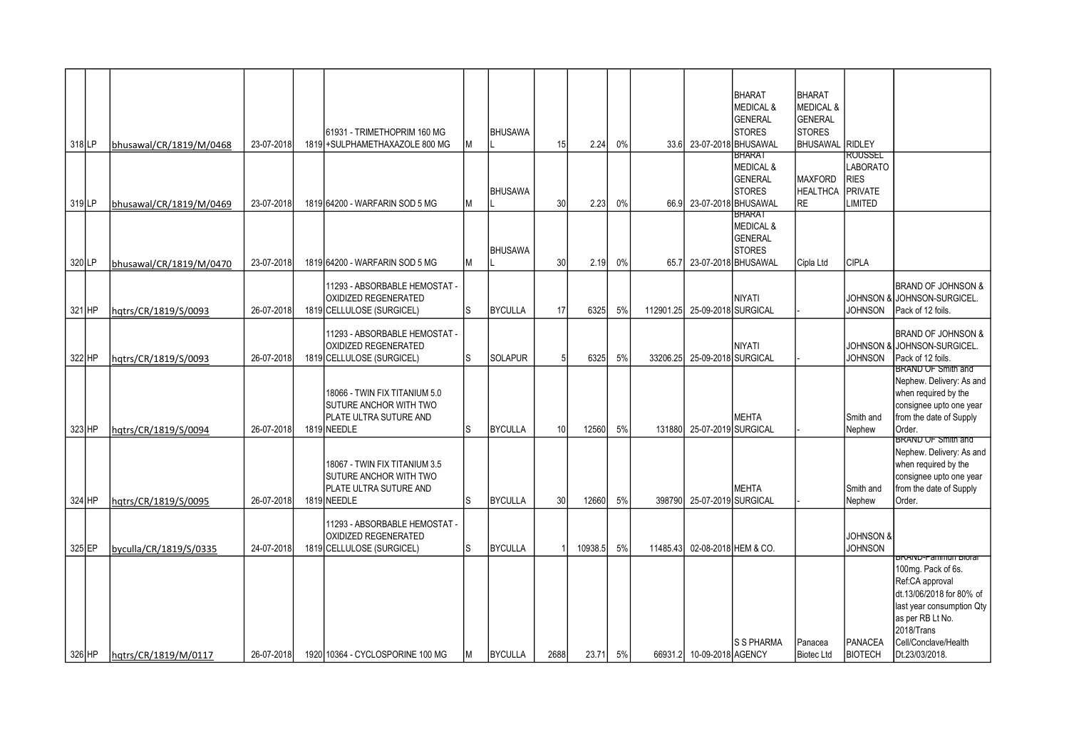| 318 LP   | bhusawal/CR/1819/M/0468 | 23-07-2018 | 61931 - TRIMETHOPRIM 160 MG<br>1819 + SULPHAMETHAXAZOLE 800 MG                                   | M | <b>BHUSAWA</b> | 15   | 2.24    | $0\%$ |           |                            | <b>BHARAT</b><br><b>MEDICAL &amp;</b><br><b>GENERAL</b><br><b>STORES</b><br>33.6 23-07-2018 BHUSAWAL | <b>BHARAT</b><br><b>MEDICAL &amp;</b><br><b>GENERAL</b><br><b>STORES</b><br><b>BHUSAWAL RIDLEY</b> |                                                                              |                                                                                                                                                                                                    |
|----------|-------------------------|------------|--------------------------------------------------------------------------------------------------|---|----------------|------|---------|-------|-----------|----------------------------|------------------------------------------------------------------------------------------------------|----------------------------------------------------------------------------------------------------|------------------------------------------------------------------------------|----------------------------------------------------------------------------------------------------------------------------------------------------------------------------------------------------|
| $319$ LP | bhusawal/CR/1819/M/0469 | 23-07-2018 | 1819 64200 - WARFARIN SOD 5 MG                                                                   | M | <b>BHUSAWA</b> | 30   | 2.23    | 0%    | 66.9      |                            | <b>BHARA</b> I<br><b>MEDICAL &amp;</b><br><b>GENERAL</b><br><b>STORES</b><br>23-07-2018 BHUSAWAL     | <b>MAXFORD</b><br><b>HEALTHCA</b><br><b>RE</b>                                                     | ROUSSEL<br><b>LABORATO</b><br><b>RIES</b><br><b>PRIVATE</b><br><b>IMITED</b> |                                                                                                                                                                                                    |
| 320LP    | bhusawal/CR/1819/M/0470 | 23-07-2018 | 1819 64200 - WARFARIN SOD 5 MG                                                                   | М | <b>BHUSAWA</b> | 30   | 2.19    | 0%    | 65.7      |                            | <b>BHARA1</b><br><b>MEDICAL &amp;</b><br><b>GENERAL</b><br><b>STORES</b><br>23-07-2018 BHUSAWAL      | Cipla Ltd                                                                                          | <b>CIPLA</b>                                                                 |                                                                                                                                                                                                    |
| 321 HP   | hqtrs/CR/1819/S/0093    | 26-07-2018 | 11293 - ABSORBABLE HEMOSTAT -<br>OXIDIZED REGENERATED<br>1819 CELLULOSE (SURGICEL)               | S | <b>BYCULLA</b> | 17   | 6325    | 5%    | 112901.25 |                            | <b>NIYATI</b><br>25-09-2018 SURGICAL                                                                 |                                                                                                    | <b>JOHNSON</b>                                                               | <b>BRAND OF JOHNSON &amp;</b><br>JOHNSON & JOHNSON-SURGICEL.<br>Pack of 12 foils.                                                                                                                  |
| 322 HP   | hqtrs/CR/1819/S/0093    | 26-07-2018 | 11293 - ABSORBABLE HEMOSTAT -<br>OXIDIZED REGENERATED<br>1819 CELLULOSE (SURGICEL)               | S | <b>SOLAPUR</b> | 5    | 6325    | 5%    | 33206.25  |                            | <b>NIYATI</b><br>25-09-2018 SURGICAL                                                                 |                                                                                                    | <b>JOHNSON</b>                                                               | <b>BRAND OF JOHNSON &amp;</b><br>JOHNSON & JJOHNSON-SURGICEL.<br>Pack of 12 foils.<br>BRAND OF Smith and                                                                                           |
| 323 HP   | hqtrs/CR/1819/S/0094    | 26-07-2018 | 18066 - TWIN FIX TITANIUM 5.0<br>SUTURE ANCHOR WITH TWO<br>PLATE ULTRA SUTURE AND<br>1819 NEEDLE | S | <b>BYCULLA</b> | 10   | 12560   | 5%    |           | 131880 25-07-2019 SURGICAL | <b>MEHTA</b>                                                                                         |                                                                                                    | Smith and<br>Nephew                                                          | Nephew. Delivery: As and<br>when required by the<br>consignee upto one year<br>from the date of Supply<br>Order.                                                                                   |
| 324 HP   | hatrs/CR/1819/S/0095    | 26-07-2018 | 18067 - TWIN FIX TITANIUM 3.5<br>SUTURE ANCHOR WITH TWO<br>PLATE ULTRA SUTURE AND<br>1819 NEEDLE | S | <b>BYCULLA</b> | 30   | 12660   | 5%    | 398790    |                            | <b>MEHTA</b><br>25-07-2019 SURGICAL                                                                  |                                                                                                    | Smith and<br>Nephew                                                          | <b>BRAND OF Smith and</b><br>Nephew. Delivery: As and<br>when required by the<br>consignee upto one year<br>from the date of Supply<br>Order.                                                      |
| 325 EP   | byculla/CR/1819/S/0335  | 24-07-2018 | 11293 - ABSORBABLE HEMOSTAT -<br><b>OXIDIZED REGENERATED</b><br>1819 CELLULOSE (SURGICEL)        | S | <b>BYCULLA</b> |      | 10938.5 | 5%    | 11485.43  |                            | 02-08-2018 HEM & CO.                                                                                 |                                                                                                    | <b>JOHNSON &amp;</b><br><b>JOHNSON</b>                                       |                                                                                                                                                                                                    |
| 326 HP   | hqtrs/CR/1819/M/0117    | 26-07-2018 | 1920 10364 - CYCLOSPORINE 100 MG                                                                 | Μ | <b>BYCULLA</b> | 2688 | 23.71   | 5%    |           | 66931.2 10-09-2018 AGENCY  | <b>S S PHARMA</b>                                                                                    | Panacea<br><b>Biotec Ltd</b>                                                                       | PANACEA<br><b>BIOTECH</b>                                                    | BRAND-Panimun Biorar<br>100mg. Pack of 6s.<br>Ref:CA approval<br>dt.13/06/2018 for 80% of<br>last year consumption Qty<br>as per RB Lt No.<br>2018/Trans<br>Cell/Conclave/Health<br>Dt.23/03/2018. |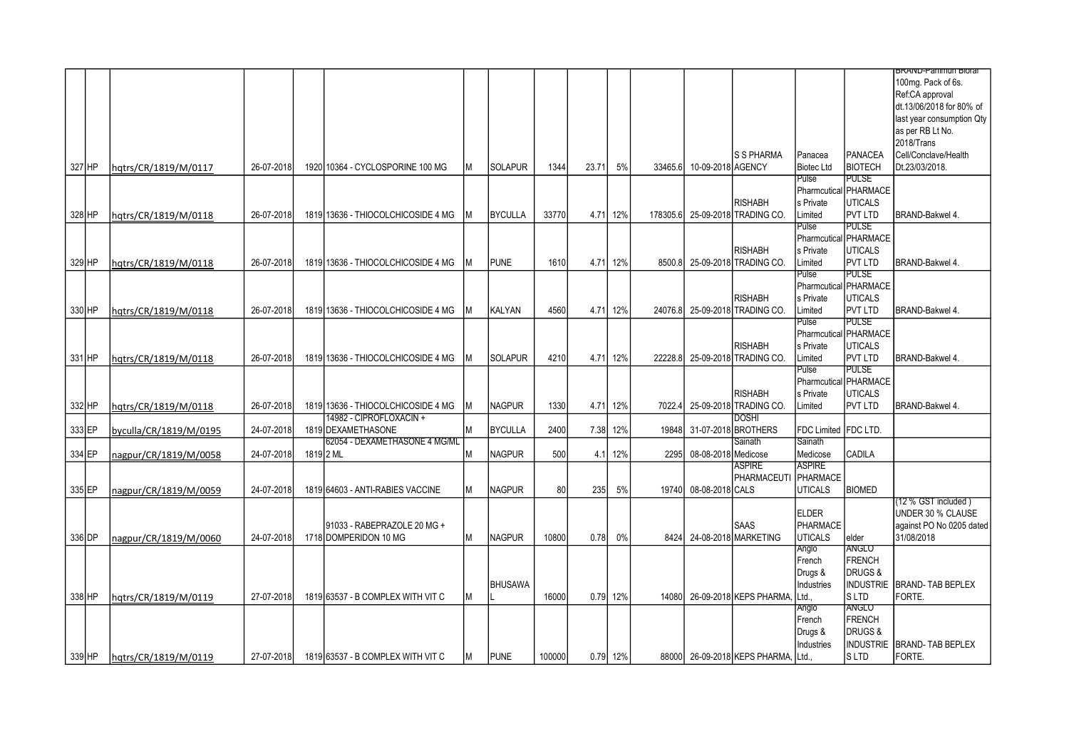|          |                        |            |                                    |    |                |        |       |          |                |                     |                                     |                       |                       | <del>BRAND-Panimun Biorar</del> |
|----------|------------------------|------------|------------------------------------|----|----------------|--------|-------|----------|----------------|---------------------|-------------------------------------|-----------------------|-----------------------|---------------------------------|
|          |                        |            |                                    |    |                |        |       |          |                |                     |                                     |                       |                       | 100mg. Pack of 6s.              |
|          |                        |            |                                    |    |                |        |       |          |                |                     |                                     |                       |                       | Ref:CA approval                 |
|          |                        |            |                                    |    |                |        |       |          |                |                     |                                     |                       |                       | dt.13/06/2018 for 80% of        |
|          |                        |            |                                    |    |                |        |       |          |                |                     |                                     |                       |                       |                                 |
|          |                        |            |                                    |    |                |        |       |          |                |                     |                                     |                       |                       | last year consumption Qty       |
|          |                        |            |                                    |    |                |        |       |          |                |                     |                                     |                       |                       | as per RB Lt No.                |
|          |                        |            |                                    |    |                |        |       |          |                |                     |                                     |                       |                       | 2018/Trans                      |
|          |                        |            |                                    |    |                |        |       |          |                |                     | <b>S S PHARMA</b>                   | Panacea               | PANACEA               | Cell/Conclave/Health            |
| 327 HP   | hgtrs/CR/1819/M/0117   | 26-07-2018 | 1920 10364 - CYCLOSPORINE 100 MG   |    | <b>SOLAPUR</b> | 1344   | 23.71 | 5%       | 33465.6        | 10-09-2018 AGENCY   |                                     | <b>Biotec Ltd</b>     | <b>BIOTECH</b>        | Dt.23/03/2018.                  |
|          |                        |            |                                    |    |                |        |       |          |                |                     |                                     | Pulse                 | <b>PULSE</b>          |                                 |
|          |                        |            |                                    |    |                |        |       |          |                |                     |                                     |                       | Pharmcutical PHARMACE |                                 |
|          |                        |            |                                    |    |                |        |       |          |                |                     | <b>RISHABH</b>                      | s Private             | <b>UTICALS</b>        |                                 |
| 328 HP   | hqtrs/CR/1819/M/0118   | 26-07-2018 | 1819 13636 - THIOCOLCHICOSIDE 4 MG |    | <b>BYCULLA</b> | 33770  | 4.71  | 12%      | 178305.6       |                     | 25-09-2018 TRADING CO.              | Limited               | <b>PVT LTD</b>        | BRAND-Bakwel 4.                 |
|          |                        |            |                                    |    |                |        |       |          |                |                     |                                     | Pulse                 | <b>PULSE</b>          |                                 |
|          |                        |            |                                    |    |                |        |       |          |                |                     |                                     |                       | Pharmcutical PHARMACE |                                 |
|          |                        |            |                                    |    |                |        |       |          |                |                     | <b>RISHABH</b>                      | s Private             | <b>IUTICALS</b>       |                                 |
|          |                        |            | 1819 13636 - THIOCOLCHICOSIDE 4 MG |    | <b>PUNE</b>    |        |       | 12%      | 8500.8         |                     | 25-09-2018 TRADING CO.              | Limited               | <b>PVT LTD</b>        | BRAND-Bakwel 4.                 |
| 329 HP   | hqtrs/CR/1819/M/0118   | 26-07-2018 |                                    |    |                | 1610   | 4.71  |          |                |                     |                                     |                       | PULSE                 |                                 |
|          |                        |            |                                    |    |                |        |       |          |                |                     |                                     | Pulse                 |                       |                                 |
|          |                        |            |                                    |    |                |        |       |          |                |                     |                                     |                       | Pharmcutical PHARMACE |                                 |
|          |                        |            |                                    |    |                |        |       |          |                |                     | <b>RISHABH</b>                      | s Private             | <b>IUTICALS</b>       |                                 |
| 330 HP   | hqtrs/CR/1819/M/0118   | 26-07-2018 | 1819 13636 - THIOCOLCHICOSIDE 4 MG |    | <b>KALYAN</b>  | 4560   | 4.71  | 12%      | 24076.8        |                     | 25-09-2018 TRADING CO.              | Limited               | <b>PVT LTD</b>        | BRAND-Bakwel 4.                 |
|          |                        |            |                                    |    |                |        |       |          |                |                     |                                     | Pulse                 | PULSE                 |                                 |
|          |                        |            |                                    |    |                |        |       |          |                |                     |                                     |                       | Pharmcutical PHARMACE |                                 |
|          |                        |            |                                    |    |                |        |       |          |                |                     | <b>RISHABH</b>                      | s Private             | <b>UTICALS</b>        |                                 |
| 331 HP   | hatrs/CR/1819/M/0118   | 26-07-2018 | 1819 13636 - THIOCOLCHICOSIDE 4 MG |    | <b>SOLAPUR</b> | 4210   | 4.71  | 12%      | 22228.8        |                     | 25-09-2018 TRADING CO.              | _imited               | <b>PVT LTD</b>        | BRAND-Bakwel 4.                 |
|          |                        |            |                                    |    |                |        |       |          |                |                     |                                     | Pulse                 | PULSE                 |                                 |
|          |                        |            |                                    |    |                |        |       |          |                |                     |                                     |                       | Pharmcutical PHARMACE |                                 |
|          |                        |            |                                    |    |                |        |       |          |                |                     | <b>RISHABH</b>                      | s Private             | <b>UTICALS</b>        |                                 |
| 332 HP   | hgtrs/CR/1819/M/0118   | 26-07-2018 | 1819 13636 - THIOCOLCHICOSIDE 4 MG |    | <b>NAGPUR</b>  | 1330   |       | 4.71 12% | 7022.4         |                     | 25-09-2018 TRADING CO.              | _imited               | <b>PVT LTD</b>        | BRAND-Bakwel 4.                 |
|          |                        |            | 14982 - CIPROFLOXACIN +            |    |                |        |       |          |                |                     | <b>DOSHI</b>                        |                       |                       |                                 |
| 333 EP   | byculla/CR/1819/M/0195 | 24-07-2018 | 1819 DEXAMETHASONE                 | M  | <b>BYCULLA</b> | 2400   | 7.38  | 12%      | 19848 <b>I</b> |                     | 31-07-2018 BROTHERS                 | FDC Limited IFDC LTD. |                       |                                 |
|          |                        |            | 62054 - DEXAMETHASONE 4 MG/ML      |    |                |        |       |          |                |                     | Sainath                             | Sainath               |                       |                                 |
| 334 EP   | nagpur/CR/1819/M/0058  | 24-07-2018 | 1819 <sub>2</sub> ML               | ΙM | <b>NAGPUR</b>  | 500    | 4.1   | 12%      | 2295           | 08-08-2018 Medicose |                                     | Medicose              | <b>CADILA</b>         |                                 |
|          |                        |            |                                    |    |                |        |       |          |                |                     | ASPIRE                              | <b>ASPIRE</b>         |                       |                                 |
|          |                        |            |                                    |    |                |        |       |          |                |                     | PHARMACEUTI                         | PHARMACE              |                       |                                 |
| 335 EP   |                        | 24-07-2018 | 1819 64603 - ANTI-RABIES VACCINE   | M  | <b>NAGPUR</b>  | 80     | 235   | 5%       | 19740 <b>1</b> | 08-08-2018 CALS     |                                     | <b>UTICALS</b>        | <b>BIOMED</b>         |                                 |
|          | nagpur/CR/1819/M/0059  |            |                                    |    |                |        |       |          |                |                     |                                     |                       |                       | (12 % GST included)             |
|          |                        |            |                                    |    |                |        |       |          |                |                     |                                     | <b>ELDER</b>          |                       | UNDER 30 % CLAUSE               |
|          |                        |            |                                    |    |                |        |       |          |                |                     |                                     |                       |                       |                                 |
|          |                        |            | 91033 - RABEPRAZOLE 20 MG +        |    |                |        |       |          |                |                     | <b>SAAS</b>                         | PHARMACE              |                       | against PO No 0205 dated        |
| 336 DP   | nagpur/CR/1819/M/0060  | 24-07-2018 | 1718 DOMPERIDON 10 MG              | М  | <b>NAGPUR</b>  | 10800  | 0.78  | 0%       |                |                     | 8424 24-08-2018 MARKETING           | <b>UTICALS</b>        | elder                 | 31/08/2018                      |
|          |                        |            |                                    |    |                |        |       |          |                |                     |                                     | Anglo                 | anglo                 |                                 |
|          |                        |            |                                    |    |                |        |       |          |                |                     |                                     | French                | <b>IFRENCH</b>        |                                 |
|          |                        |            |                                    |    |                |        |       |          |                |                     |                                     | Drugs &               | DRUGS&                |                                 |
|          |                        |            |                                    |    | <b>BHUSAWA</b> |        |       |          |                |                     |                                     | Industries            |                       | INDUSTRIE BRAND- TAB BEPLEX     |
| 338 HP   | hqtrs/CR/1819/M/0119   | 27-07-2018 | 1819 63537 - B COMPLEX WITH VIT C  | М  |                | 16000  |       | 0.79 12% | 14080          |                     | 26-09-2018 KEPS PHARMA,             | Ltd.                  | ls ltd                | FORTE.                          |
|          |                        |            |                                    |    |                |        |       |          |                |                     |                                     | Anglo                 | <b>ANGLO</b>          |                                 |
|          |                        |            |                                    |    |                |        |       |          |                |                     |                                     | French                | <b>IFRENCH</b>        |                                 |
|          |                        |            |                                    |    |                |        |       |          |                |                     |                                     | Drugs &               | <b>DRUGS&amp;</b>     |                                 |
|          |                        |            |                                    |    |                |        |       |          |                |                     |                                     | Industries            | <b>INDUSTRIE</b>      | BRAND-TAB BEPLEX                |
| $339$ HP | hqtrs/CR/1819/M/0119   | 27-07-2018 | 1819 63537 - B COMPLEX WITH VIT C  |    | <b>PUNE</b>    | 100000 |       | 0.79 12% |                |                     | 88000 26-09-2018 KEPS PHARMA, Ltd., |                       | ls ltd                | FORTE.                          |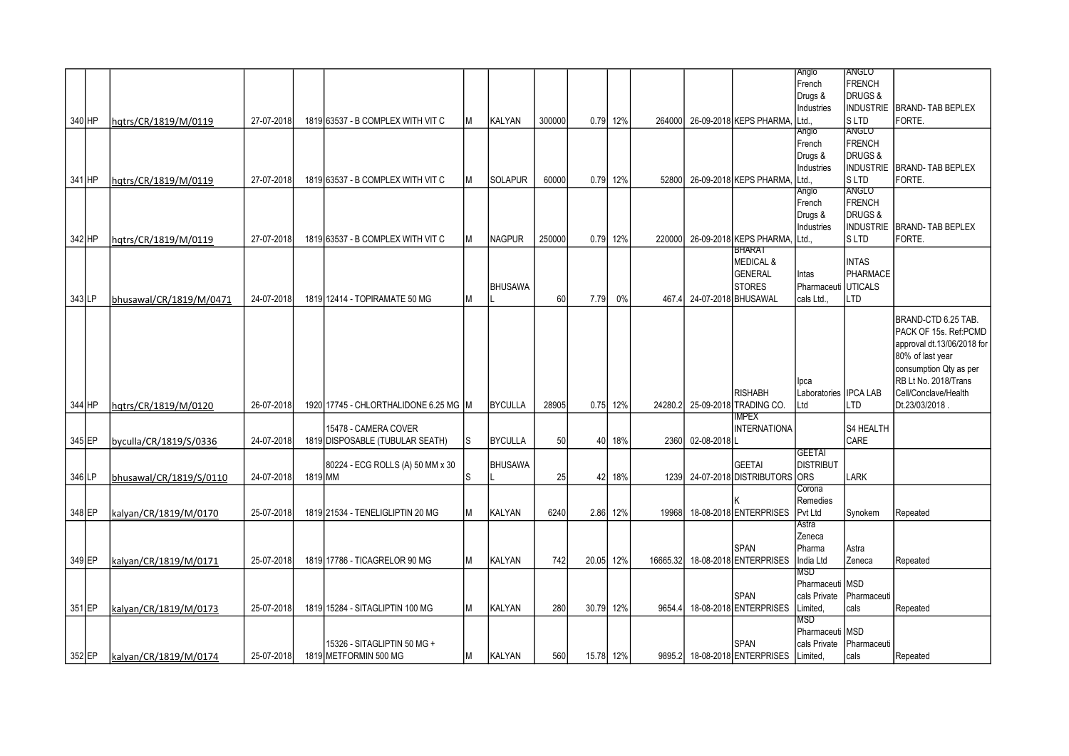|          |                         |            |         |                                     |    |                |        |           |          |          |             |                                  | Anglo                 | <b>IANGLO</b>       |                             |
|----------|-------------------------|------------|---------|-------------------------------------|----|----------------|--------|-----------|----------|----------|-------------|----------------------------------|-----------------------|---------------------|-----------------------------|
|          |                         |            |         |                                     |    |                |        |           |          |          |             |                                  | French                | FRENCH              |                             |
|          |                         |            |         |                                     |    |                |        |           |          |          |             |                                  | Drugs &               | DRUGS&              |                             |
|          |                         |            |         |                                     |    |                |        |           |          |          |             |                                  | Industries            |                     | INDUSTRIE BRAND- TAB BEPLEX |
| 340 HP   | hqtrs/CR/1819/M/0119    | 27-07-2018 |         | 1819 63537 - B COMPLEX WITH VIT C   | M  | <b>KALYAN</b>  | 300000 |           | 0.79 12% | 264000   |             | 26-09-2018 KEPS PHARMA,          | Ltd.                  | ls ltd              | FORTE.                      |
|          |                         |            |         |                                     |    |                |        |           |          |          |             |                                  | Anglo                 | <b>ANGLO</b>        |                             |
|          |                         |            |         |                                     |    |                |        |           |          |          |             |                                  | French                | FRENCH              |                             |
|          |                         |            |         |                                     |    |                |        |           |          |          |             |                                  | Drugs &               | DRUGS&              |                             |
|          |                         |            |         |                                     |    |                |        |           |          |          |             |                                  | Industries            |                     | INDUSTRIE BRAND- TAB BEPLEX |
| 341 HP   |                         | 27-07-2018 |         | 1819 63537 - B COMPLEX WITH VIT C   | M  | <b>SOLAPUR</b> | 60000  | 0.79      | 12%      | 52800    |             | 26-09-2018 KEPS PHARMA,          | Ltd.,                 | <b>SLTD</b>         | FORTE.                      |
|          | hqtrs/CR/1819/M/0119    |            |         |                                     |    |                |        |           |          |          |             |                                  | Anglo                 | <b>ANGLO</b>        |                             |
|          |                         |            |         |                                     |    |                |        |           |          |          |             |                                  | French                | FRENCH              |                             |
|          |                         |            |         |                                     |    |                |        |           |          |          |             |                                  |                       |                     |                             |
|          |                         |            |         |                                     |    |                |        |           |          |          |             |                                  | Drugs &               | DRUGS&              |                             |
|          |                         |            |         |                                     |    |                |        |           |          |          |             |                                  | Industries            | Industrie           | <b>BRAND-TAB BEPLEX</b>     |
| 342 HP   | hatrs/CR/1819/M/0119    | 27-07-2018 |         | 1819 63537 - B COMPLEX WITH VIT C   | lм | <b>NAGPUR</b>  | 250000 |           | 0.79 12% | 220000   |             | 26-09-2018 KEPS PHARMA. Ltd      |                       | ls ltd              | FORTE.                      |
|          |                         |            |         |                                     |    |                |        |           |          |          |             | <b>BHARAT</b>                    |                       |                     |                             |
|          |                         |            |         |                                     |    |                |        |           |          |          |             | <b>MEDICAL &amp;</b>             |                       | <b>INTAS</b>        |                             |
|          |                         |            |         |                                     |    |                |        |           |          |          |             | <b>GENERAL</b>                   | Intas                 | <b>PHARMACE</b>     |                             |
|          |                         |            |         |                                     |    | <b>BHUSAWA</b> |        |           |          |          |             | <b>STORES</b>                    | Pharmaceuti UTICALS   |                     |                             |
| $343$ LP | bhusawal/CR/1819/M/0471 | 24-07-2018 |         | 1819 12414 - TOPIRAMATE 50 MG       | M  |                | 60     | 7.79      | 0%       |          |             | 467.4 24-07-2018 BHUSAWAL        | cals Ltd              | <b>LTD</b>          |                             |
|          |                         |            |         |                                     |    |                |        |           |          |          |             |                                  |                       |                     |                             |
|          |                         |            |         |                                     |    |                |        |           |          |          |             |                                  |                       |                     | BRAND-CTD 6.25 TAB.         |
|          |                         |            |         |                                     |    |                |        |           |          |          |             |                                  |                       |                     | PACK OF 15s. Ref:PCMD       |
|          |                         |            |         |                                     |    |                |        |           |          |          |             |                                  |                       |                     | approval dt.13/06/2018 for  |
|          |                         |            |         |                                     |    |                |        |           |          |          |             |                                  |                       |                     | 80% of last year            |
|          |                         |            |         |                                     |    |                |        |           |          |          |             |                                  |                       |                     | consumption Qty as per      |
|          |                         |            |         |                                     |    |                |        |           |          |          |             |                                  | lpca                  |                     | RB Lt No. 2018/Trans        |
|          |                         |            |         |                                     |    |                |        |           |          |          |             | <b>RISHABH</b>                   | Laboratories IPCA LAB |                     | Cell/Conclave/Health        |
| 344 HP   | hqtrs/CR/1819/M/0120    | 26-07-2018 |         | 1920 17745 - CHLORTHALIDONE 6.25 MG |    | <b>BYCULLA</b> | 28905  | 0.75      | 12%      | 24280.2  |             | 25-09-2018 TRADING CO.           | Ltd                   | LTD                 | Dt.23/03/2018.              |
|          |                         |            |         |                                     |    |                |        |           |          |          |             | <b>IMPEX</b>                     |                       |                     |                             |
|          |                         |            |         | 15478 - CAMERA COVER                |    |                |        |           |          |          |             | <b>INTERNATIONA</b>              |                       | <b>S4 HEALTH</b>    |                             |
| 345 EP   | byculla/CR/1819/S/0336  | 24-07-2018 |         | 1819 DISPOSABLE (TUBULAR SEATH)     | s  | <b>BYCULLA</b> | 50     | 40        | 18%      | 2360     | 02-08-2018L |                                  |                       | CARE                |                             |
|          |                         |            |         |                                     |    |                |        |           |          |          |             |                                  | <b>GEETAI</b>         |                     |                             |
|          |                         |            |         |                                     |    | <b>BHUSAWA</b> |        |           |          |          |             | <b>GEETAI</b>                    | <b>DISTRIBUT</b>      |                     |                             |
|          |                         |            |         | 80224 - ECG ROLLS (A) 50 MM x 30    |    |                |        |           |          |          |             |                                  |                       |                     |                             |
| 346LP    | bhusawal/CR/1819/S/0110 | 24-07-2018 | 1819 MM |                                     | S  |                | 25     | 42        | 18%      |          |             | 1239 24-07-2018 DISTRIBUTORS ORS |                       | <b>ILARK</b>        |                             |
|          |                         |            |         |                                     |    |                |        |           |          |          |             |                                  | Corona                |                     |                             |
|          |                         |            |         |                                     |    |                |        |           |          |          |             |                                  | Remedies              |                     |                             |
| 348 EP   | kalyan/CR/1819/M/0170   | 25-07-2018 |         | 1819 21534 - TENELIGLIPTIN 20 MG    | М  | <b>KALYAN</b>  | 6240   | 2.86      | 12%      | 19968    |             | 18-08-2018 ENTERPRISES           | Pvt Ltd               | Synokem             | Repeated                    |
|          |                         |            |         |                                     |    |                |        |           |          |          |             |                                  | Astra                 |                     |                             |
|          |                         |            |         |                                     |    |                |        |           |          |          |             |                                  | Zeneca                |                     |                             |
|          |                         |            |         |                                     |    |                |        |           |          |          |             | <b>SPAN</b>                      | Pharma                | Astra               |                             |
| 349 EP   | kalyan/CR/1819/M/0171   | 25-07-2018 |         | 1819 17786 - TICAGRELOR 90 MG       | M  | <b>KALYAN</b>  | 742    | 20.05     | 12%      | 16665.32 |             | 18-08-2018 ENTERPRISES           | India Ltd             | Zeneca              | Repeated                    |
|          |                         |            |         |                                     |    |                |        |           |          |          |             |                                  | <b>MSD</b>            |                     |                             |
|          |                         |            |         |                                     |    |                |        |           |          |          |             |                                  | Pharmaceuti MSD       |                     |                             |
|          |                         |            |         |                                     |    |                |        |           |          |          |             | <b>SPAN</b>                      | cals Private          | <b>IPharmaceuti</b> |                             |
| 351 EP   | kalyan/CR/1819/M/0173   | 25-07-2018 |         | 1819 15284 - SITAGLIPTIN 100 MG     | M  | <b>KALYAN</b>  | 280    | 30.79     | 12%      | 9654.4   |             | 18-08-2018 ENTERPRISES           | Limited,              | cals                | Repeated                    |
|          |                         |            |         |                                     |    |                |        |           |          |          |             |                                  | MSD                   |                     |                             |
|          |                         |            |         |                                     |    |                |        |           |          |          |             |                                  | Pharmaceuti MSD       |                     |                             |
|          |                         |            |         | 15326 - SITAGLIPTIN 50 MG +         |    |                |        |           |          |          |             | <b>SPAN</b>                      | cals Private          | Pharmaceuti         |                             |
| 352 EP   | kalyan/CR/1819/M/0174   | 25-07-2018 |         | 1819 METFORMIN 500 MG               | M  | <b>KALYAN</b>  | 560    | 15.78 12% |          |          |             | 9895.2 18-08-2018 ENTERPRISES    | Limited,              | cals                | Repeated                    |
|          |                         |            |         |                                     |    |                |        |           |          |          |             |                                  |                       |                     |                             |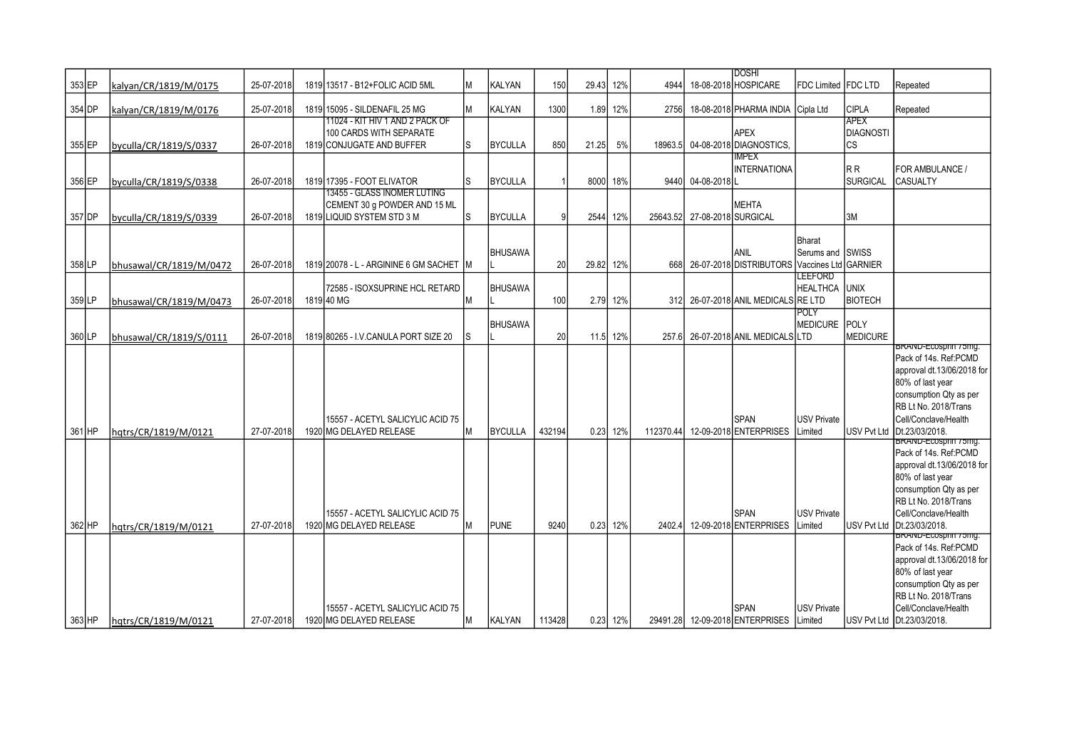| 353 EP   | kalyan/CR/1819/M/0175   | 25-07-2018 | 1819 13517 - B12+FOLIC ACID 5ML                                                           |    | KALYAN         | 150    | 29.43     | 12%        | 4944      |                              | <b>IDOSHI</b><br>18-08-2018 HOSPICARE          | FDC Limited   FDC LTD                                     |                                 | Repeated                                                                                                                                                                                                 |
|----------|-------------------------|------------|-------------------------------------------------------------------------------------------|----|----------------|--------|-----------|------------|-----------|------------------------------|------------------------------------------------|-----------------------------------------------------------|---------------------------------|----------------------------------------------------------------------------------------------------------------------------------------------------------------------------------------------------------|
| 354 DP   | kalyan/CR/1819/M/0176   | 25-07-2018 | 1819 15095 - SILDENAFIL 25 MG                                                             | lм | <b>KALYAN</b>  | 1300   |           | 1.89 12%   | 2756      |                              | 18-08-2018 PHARMA INDIA Cipla Ltd              |                                                           | <b>CIPLA</b>                    | Repeated                                                                                                                                                                                                 |
| 355 EP   | byculla/CR/1819/S/0337  | 26-07-2018 | 11024 - KIT HIV 1 AND 2 PACK OF<br>100 CARDS WITH SEPARATE<br>1819 CONJUGATE AND BUFFER   | ls | <b>BYCULLA</b> | 850    | 21.25     | 5%         | 18963.5   |                              | <b>APEX</b><br>04-08-2018 DIAGNOSTICS          |                                                           | <b>APEX</b><br>DIAGNOSTI<br> cs |                                                                                                                                                                                                          |
| 356 EP   | byculla/CR/1819/S/0338  | 26-07-2018 | 1819 17395 - FOOT ELIVATOR                                                                | ls | <b>BYCULLA</b> |        | 8000      | 18%        | 9440      | 04-08-2018L                  | <b>IMPEX</b><br>INTERNATIONA                   |                                                           | IR R<br>SURGICAL                | <b>FOR AMBULANCE /</b><br><b>CASUALTY</b>                                                                                                                                                                |
| 357 DP   | byculla/CR/1819/S/0339  | 26-07-2018 | 13455 - GLASS INOMER LUTING<br>CEMENT 30 q POWDER AND 15 ML<br>1819 LIQUID SYSTEM STD 3 M | ls | <b>BYCULLA</b> |        | 2544      | 12%        |           | 25643.52 27-08-2018 SURGICAL | <b>MEHTA</b>                                   |                                                           | l3M                             |                                                                                                                                                                                                          |
| 358 LP   | bhusawal/CR/1819/M/0472 | 26-07-2018 | 1819 20078 - L - ARGININE 6 GM SACHET IM                                                  |    | <b>BHUSAWA</b> | 20     | 29.82 12% |            | 668       |                              | ANIL<br>26-07-2018 DISTRIBUTORS                | <b>Bharat</b><br>Serums and SWISS<br>Vaccines Ltd GARNIER |                                 |                                                                                                                                                                                                          |
| 359 LP   | bhusawal/CR/1819/M/0473 | 26-07-2018 | 72585 - ISOXSUPRINE HCL RETARD<br>1819 40 MG                                              | Iм | <b>BHUSAWA</b> | 100    |           | 2.79 12%   | 312l      |                              | 26-07-2018 ANIL MEDICALS RE LTD                | <b>LEEFORD</b><br><b>HEALTHCA</b>                         | <b>JUNIX</b><br>Івютєсн         |                                                                                                                                                                                                          |
| 360LP    | bhusawal/CR/1819/S/0111 | 26-07-2018 | 1819 80265 - I.V.CANULA PORT SIZE 20                                                      | ls | <b>BHUSAWA</b> | 20     |           | 11.5 12%   | 257.6     |                              | 26-07-2018 ANIL MEDICALS LTD                   | <b>POLY</b><br>MEDICURE POLY                              | <b>MEDICURE</b>                 | BRAND-ECOSPIIII / OIIIQ.                                                                                                                                                                                 |
| 361 HP   | hqtrs/CR/1819/M/0121    | 27-07-2018 | 15557 - ACETYL SALICYLIC ACID 75<br>1920 MG DELAYED RELEASE                               | Iм | <b>BYCULLA</b> | 432194 |           | 0.23 12%   | 112370.44 |                              | <b>SPAN</b><br>12-09-2018 ENTERPRISES          | <b>USV Private</b><br>Limited                             |                                 | Pack of 14s. Ref:PCMD<br>approval dt.13/06/2018 for<br>80% of last year<br>consumption Qty as per<br>RB Lt No. 2018/Trans<br>Cell/Conclave/Health<br>USV Pvt Ltd Dt.23/03/2018.                          |
| 362 HP   | hgtrs/CR/1819/M/0121    | 27-07-2018 | 15557 - ACETYL SALICYLIC ACID 75<br>1920 MG DELAYED RELEASE                               | Iм | <b>PUNE</b>    | 9240   |           | $0.23$ 12% | 2402.4    |                              | SPAN<br>12-09-2018 ENTERPRISES                 | <b>USV Private</b><br>.imited                             |                                 | BRAND-ECOSprin / 5mg.<br>Pack of 14s. Ref:PCMD<br>approval dt.13/06/2018 for<br>80% of last year<br>consumption Qty as per<br>RB Lt No. 2018/Trans<br>Cell/Conclave/Health<br>USV Pvt Ltd Dt.23/03/2018. |
| $363$ HP | hqtrs/CR/1819/M/0121    | 27-07-2018 | 15557 - ACETYL SALICYLIC ACID 75<br>1920 MG DELAYED RELEASE                               | lМ | <b>KALYAN</b>  | 113428 |           | 0.23 12%   |           |                              | <b>SPAN</b><br>29491.28 12-09-2018 ENTERPRISES | <b>USV Private</b><br>Limited                             |                                 | BRAND-ECOSprin / 5mg.<br>Pack of 14s. Ref:PCMD<br>approval dt.13/06/2018 for<br>80% of last year<br>consumption Qty as per<br>RB Lt No. 2018/Trans<br>Cell/Conclave/Health<br>USV Pvt Ltd Dt.23/03/2018. |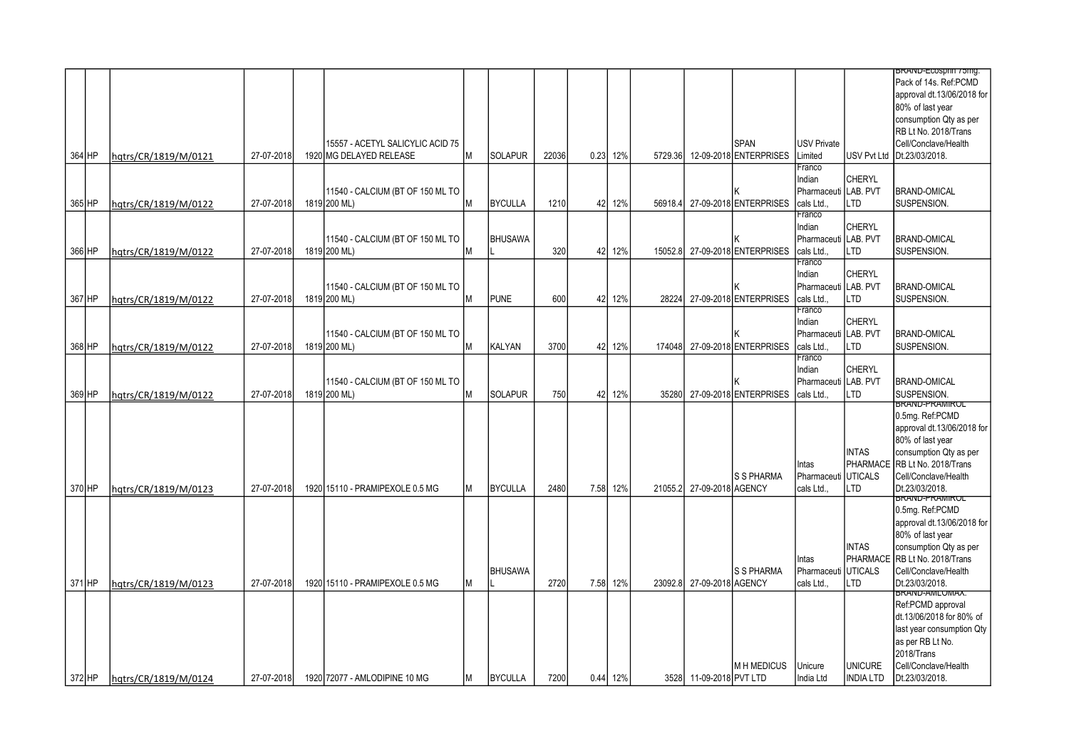|          |                      |            |                                  |    |                |       |      |          |         |                           |                        |                      |                  | BRAND-ECOSprin / 5mg.         |
|----------|----------------------|------------|----------------------------------|----|----------------|-------|------|----------|---------|---------------------------|------------------------|----------------------|------------------|-------------------------------|
|          |                      |            |                                  |    |                |       |      |          |         |                           |                        |                      |                  | Pack of 14s. Ref:PCMD         |
|          |                      |            |                                  |    |                |       |      |          |         |                           |                        |                      |                  | approval dt.13/06/2018 for    |
|          |                      |            |                                  |    |                |       |      |          |         |                           |                        |                      |                  | 80% of last year              |
|          |                      |            |                                  |    |                |       |      |          |         |                           |                        |                      |                  |                               |
|          |                      |            |                                  |    |                |       |      |          |         |                           |                        |                      |                  | consumption Qty as per        |
|          |                      |            |                                  |    |                |       |      |          |         |                           |                        |                      |                  | RB Lt No. 2018/Trans          |
|          |                      |            | 15557 - ACETYL SALICYLIC ACID 75 |    |                |       |      |          |         |                           | <b>SPAN</b>            | <b>USV Private</b>   |                  | Cell/Conclave/Health          |
| 364 HP   | hqtrs/CR/1819/M/0121 | 27-07-2018 | 1920 MG DELAYED RELEASE          | lм | <b>SOLAPUR</b> | 22036 | 0.23 | 12%      | 5729.36 |                           | 12-09-2018 ENTERPRISES | Limited              |                  | USV Pvt Ltd Dt.23/03/2018.    |
|          |                      |            |                                  |    |                |       |      |          |         |                           |                        | Franco               |                  |                               |
|          |                      |            |                                  |    |                |       |      |          |         |                           |                        | Indian               | <b>CHERYL</b>    |                               |
|          |                      |            | 11540 - CALCIUM (BT OF 150 ML TO |    |                |       |      |          |         |                           |                        | Pharmaceuti          | LAB. PVT         | <b>BRAND-OMICAL</b>           |
| 365 HP   | hqtrs/CR/1819/M/0122 | 27-07-2018 | 1819 200 ML)                     | M  | <b>BYCULLA</b> | 1210  | 42   | 12%      | 56918.4 |                           | 27-09-2018 ENTERPRISES | cals Ltd.            | LTD              | SUSPENSION.                   |
|          |                      |            |                                  |    |                |       |      |          |         |                           |                        | Franco               |                  |                               |
|          |                      |            |                                  |    |                |       |      |          |         |                           |                        | Indian               | <b>CHERYL</b>    |                               |
|          |                      |            |                                  |    |                |       |      |          |         |                           |                        |                      | LAB. PVT         |                               |
|          |                      |            | 11540 - CALCIUM (BT OF 150 ML TO |    | <b>BHUSAWA</b> |       |      |          |         |                           |                        | Pharmaceuti          |                  | <b>BRAND-OMICAL</b>           |
| 366 HP   | hqtrs/CR/1819/M/0122 | 27-07-2018 | 1819 200 ML)                     | M  |                | 320   | 42   | 12%      | 15052.8 |                           | 27-09-2018 ENTERPRISES | cals Ltd             | <b>LTD</b>       | SUSPENSION.                   |
|          |                      |            |                                  |    |                |       |      |          |         |                           |                        | Franco               |                  |                               |
|          |                      |            |                                  |    |                |       |      |          |         |                           |                        | Indian               | <b>CHERYL</b>    |                               |
|          |                      |            | 11540 - CALCIUM (BT OF 150 ML TO |    |                |       |      |          |         |                           |                        | Pharmaceuti LAB. PVT |                  | <b>BRAND-OMICAL</b>           |
| 367 HP   | hqtrs/CR/1819/M/0122 | 27-07-2018 | 1819 200 ML)                     | M  | <b>PUNE</b>    | 600   | 42   | 12%      | 28224   |                           | 27-09-2018 ENTERPRISES | cals Ltd             | LTD              | SUSPENSION.                   |
|          |                      |            |                                  |    |                |       |      |          |         |                           |                        | Franco               |                  |                               |
|          |                      |            |                                  |    |                |       |      |          |         |                           |                        | Indian               | <b>CHERYL</b>    |                               |
|          |                      |            | 11540 - CALCIUM (BT OF 150 ML TO |    |                |       |      |          |         |                           |                        | Pharmaceut           | LAB. PVT         | <b>BRAND-OMICAL</b>           |
| 368 HP   | hqtrs/CR/1819/M/0122 | 27-07-2018 | 1819 200 ML)                     | M  | KALYAN         | 3700  |      | 42 12%   | 174048  |                           | 27-09-2018 ENTERPRISES | cals Ltd.            | LTD              | SUSPENSION.                   |
|          |                      |            |                                  |    |                |       |      |          |         |                           |                        | Franco               |                  |                               |
|          |                      |            |                                  |    |                |       |      |          |         |                           |                        | Indian               | <b>CHERYL</b>    |                               |
|          |                      |            |                                  |    |                |       |      |          |         |                           |                        |                      | LAB. PVT         |                               |
|          |                      |            | 11540 - CALCIUM (BT OF 150 ML TO |    |                |       |      |          |         |                           |                        | Pharmaceuti          |                  | <b>BRAND-OMICAL</b>           |
| 369 HP   | hqtrs/CR/1819/M/0122 | 27-07-2018 | 1819 200 ML)                     | M  | <b>SOLAPUR</b> | 750   |      | 42 12%   | 35280   |                           | 27-09-2018 ENTERPRISES | cals Ltd.            | LTD              | SUSPENSION.                   |
|          |                      |            |                                  |    |                |       |      |          |         |                           |                        |                      |                  | <b>BRAND-PRAMIRUL</b>         |
|          |                      |            |                                  |    |                |       |      |          |         |                           |                        |                      |                  | 0.5mg. Ref:PCMD               |
|          |                      |            |                                  |    |                |       |      |          |         |                           |                        |                      |                  | approval dt.13/06/2018 for    |
|          |                      |            |                                  |    |                |       |      |          |         |                           |                        |                      |                  | 80% of last year              |
|          |                      |            |                                  |    |                |       |      |          |         |                           |                        |                      | <b>INTAS</b>     | consumption Qty as per        |
|          |                      |            |                                  |    |                |       |      |          |         |                           |                        | Intas                |                  | PHARMACE RB Lt No. 2018/Trans |
|          |                      |            |                                  |    |                |       |      |          |         |                           | S S PHARMA             | Pharmaceut           | <b>UTICALS</b>   | Cell/Conclave/Health          |
| 370 HP   | hgtrs/CR/1819/M/0123 | 27-07-2018 | 1920 15110 - PRAMIPEXOLE 0.5 MG  | M  | <b>BYCULLA</b> | 2480  |      | 7.58 12% |         | 21055.2 27-09-2018 AGENCY |                        | cals Ltd.,           | <b>LTD</b>       | Dt.23/03/2018.                |
|          |                      |            |                                  |    |                |       |      |          |         |                           |                        |                      |                  | BRAND-PRAMIROL                |
|          |                      |            |                                  |    |                |       |      |          |         |                           |                        |                      |                  | 0.5mg. Ref:PCMD               |
|          |                      |            |                                  |    |                |       |      |          |         |                           |                        |                      |                  | approval dt.13/06/2018 for    |
|          |                      |            |                                  |    |                |       |      |          |         |                           |                        |                      |                  | 80% of last year              |
|          |                      |            |                                  |    |                |       |      |          |         |                           |                        |                      | <b>INTAS</b>     | consumption Qty as per        |
|          |                      |            |                                  |    |                |       |      |          |         |                           |                        | Intas                |                  | PHARMACE RB Lt No. 2018/Trans |
|          |                      |            |                                  |    | <b>BHUSAWA</b> |       |      |          |         |                           | <b>S S PHARMA</b>      |                      | <b>IUTICALS</b>  | Cell/Conclave/Health          |
|          |                      |            |                                  |    |                |       |      |          |         |                           |                        | Pharmaceuti          |                  |                               |
| 371 HP   | hatrs/CR/1819/M/0123 | 27-07-2018 | 1920 15110 - PRAMIPEXOLE 0.5 MG  | М  |                | 2720  | 7.58 | 12%      | 23092.8 | 27-09-2018 AGENCY         |                        | cals Ltd.,           | LTD              | Dt.23/03/2018.                |
|          |                      |            |                                  |    |                |       |      |          |         |                           |                        |                      |                  | brand-Amlomax.                |
|          |                      |            |                                  |    |                |       |      |          |         |                           |                        |                      |                  | Ref:PCMD approval             |
|          |                      |            |                                  |    |                |       |      |          |         |                           |                        |                      |                  | dt.13/06/2018 for 80% of      |
|          |                      |            |                                  |    |                |       |      |          |         |                           |                        |                      |                  | last year consumption Qty     |
|          |                      |            |                                  |    |                |       |      |          |         |                           |                        |                      |                  | as per RB Lt No.              |
|          |                      |            |                                  |    |                |       |      |          |         |                           |                        |                      |                  |                               |
|          |                      |            |                                  |    |                |       |      |          |         |                           |                        |                      |                  | 2018/Trans                    |
|          |                      |            |                                  |    |                |       |      |          |         |                           | <b>MH MEDICUS</b>      | Unicure              | <b>UNICURE</b>   | Cell/Conclave/Health          |
| $372$ HP | hqtrs/CR/1819/M/0124 | 27-07-2018 | 1920 72077 - AMLODIPINE 10 MG    | м  | <b>BYCULLA</b> | 7200  |      | 0.44 12% |         | 3528 11-09-2018 PVT LTD   |                        | India Ltd            | <b>INDIA LTD</b> | Dt.23/03/2018.                |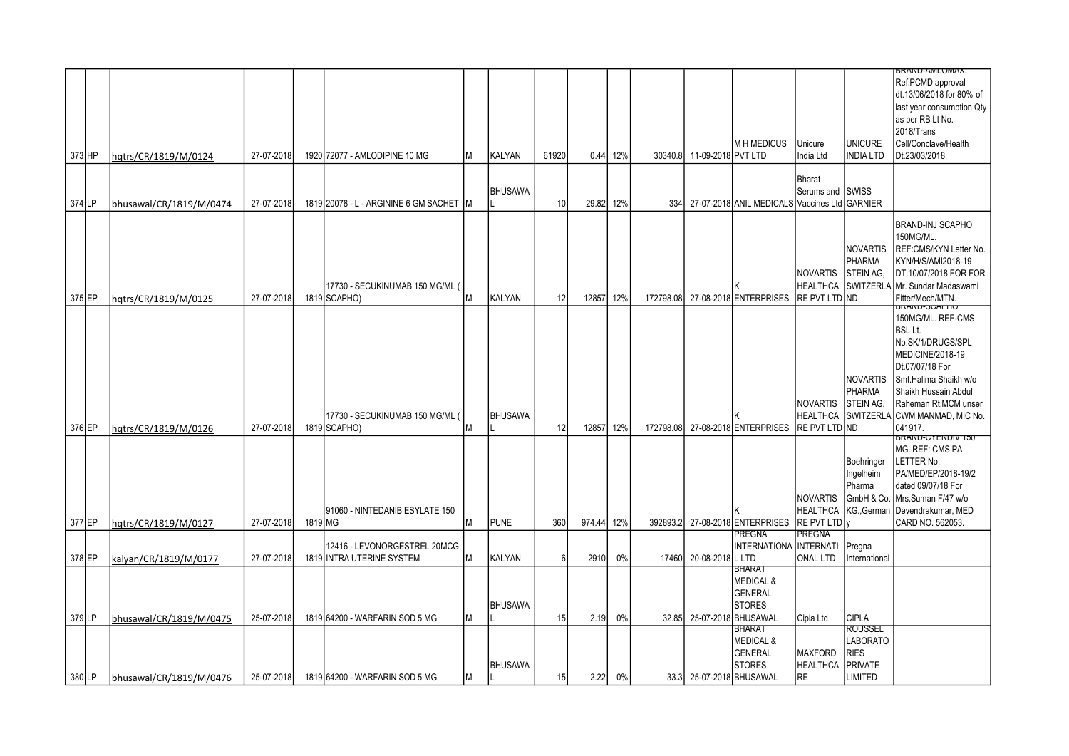|        |                         |            |         |                                          |    |                |                 |        |     |           |                            |                                               |                  |                    | <b>BRAND-AMLUMAX.</b>                           |
|--------|-------------------------|------------|---------|------------------------------------------|----|----------------|-----------------|--------|-----|-----------|----------------------------|-----------------------------------------------|------------------|--------------------|-------------------------------------------------|
|        |                         |            |         |                                          |    |                |                 |        |     |           |                            |                                               |                  |                    | Ref:PCMD approval                               |
|        |                         |            |         |                                          |    |                |                 |        |     |           |                            |                                               |                  |                    | dt.13/06/2018 for 80% of                        |
|        |                         |            |         |                                          |    |                |                 |        |     |           |                            |                                               |                  |                    | last year consumption Qty                       |
|        |                         |            |         |                                          |    |                |                 |        |     |           |                            |                                               |                  |                    | as per RB Lt No.                                |
|        |                         |            |         |                                          |    |                |                 |        |     |           |                            |                                               |                  |                    | 2018/Trans                                      |
|        |                         |            |         |                                          |    |                |                 |        |     |           |                            | <b>MH MEDICUS</b>                             | Unicure          | <b>UNICURE</b>     | Cell/Conclave/Health                            |
| 373 HP | hqtrs/CR/1819/M/0124    | 27-07-2018 |         | 1920 72077 - AMLODIPINE 10 MG            | lМ | <b>KALYAN</b>  | 61920           | 0.44   | 12% |           | 30340.8 11-09-2018 PVT LTD |                                               | India Ltd        | <b>INDIA LTD</b>   | Dt.23/03/2018.                                  |
|        |                         |            |         |                                          |    |                |                 |        |     |           |                            |                                               |                  |                    |                                                 |
|        |                         |            |         |                                          |    |                |                 |        |     |           |                            |                                               | <b>Bharat</b>    |                    |                                                 |
|        |                         |            |         |                                          |    | <b>BHUSAWA</b> |                 |        |     |           |                            |                                               | Serums and SWISS |                    |                                                 |
| 374 LP | bhusawal/CR/1819/M/0474 | 27-07-2018 |         | 1819 20078 - L - ARGININE 6 GM SACHET IM |    |                | 10 <sup>1</sup> | 29.82  | 12% | 334       |                            | 27-07-2018 ANIL MEDICALS Vaccines Ltd GARNIER |                  |                    |                                                 |
|        |                         |            |         |                                          |    |                |                 |        |     |           |                            |                                               |                  |                    |                                                 |
|        |                         |            |         |                                          |    |                |                 |        |     |           |                            |                                               |                  |                    | <b>BRAND-INJ SCAPHO</b>                         |
|        |                         |            |         |                                          |    |                |                 |        |     |           |                            |                                               |                  |                    | 150MG/ML.                                       |
|        |                         |            |         |                                          |    |                |                 |        |     |           |                            |                                               |                  | <b>NOVARTIS</b>    | REF:CMS/KYN Letter No.                          |
|        |                         |            |         |                                          |    |                |                 |        |     |           |                            |                                               |                  | Ipharma            | KYN/H/S/AMI2018-19                              |
|        |                         |            |         |                                          |    |                |                 |        |     |           |                            |                                               | <b>NOVARTIS</b>  | <b>STEIN AG,</b>   | DT.10/07/2018 FOR FOR                           |
|        |                         |            |         |                                          |    |                |                 |        |     |           |                            |                                               |                  |                    |                                                 |
|        |                         |            |         | 17730 - SECUKINUMAB 150 MG/ML            |    |                |                 |        |     |           |                            | Κ                                             | <b>HEALTHCA</b>  | SWITZERLA          | Mr. Sundar Madaswami                            |
| 375 EP | hgtrs/CR/1819/M/0125    | 27-07-2018 |         | 1819 SCAPHO)                             | M  | <b>KALYAN</b>  | 12              | 12857  | 12% | 172798.08 |                            | 27-08-2018 ENTERPRISES                        | RE PVT LTD ND    |                    | Fitter/Mech/MTN.<br><del>טו האטט-טעוואי</del> ם |
|        |                         |            |         |                                          |    |                |                 |        |     |           |                            |                                               |                  |                    | 150MG/ML. REF-CMS                               |
|        |                         |            |         |                                          |    |                |                 |        |     |           |                            |                                               |                  |                    | <b>BSL Lt.</b>                                  |
|        |                         |            |         |                                          |    |                |                 |        |     |           |                            |                                               |                  |                    | No.SK/1/DRUGS/SPL                               |
|        |                         |            |         |                                          |    |                |                 |        |     |           |                            |                                               |                  |                    |                                                 |
|        |                         |            |         |                                          |    |                |                 |        |     |           |                            |                                               |                  |                    | MEDICINE/2018-19                                |
|        |                         |            |         |                                          |    |                |                 |        |     |           |                            |                                               |                  |                    | Dt.07/07/18 For                                 |
|        |                         |            |         |                                          |    |                |                 |        |     |           |                            |                                               |                  | Inovartis          | Smt.Halima Shaikh w/o                           |
|        |                         |            |         |                                          |    |                |                 |        |     |           |                            |                                               |                  | Ipharma            | Shaikh Hussain Abdul                            |
|        |                         |            |         |                                          |    |                |                 |        |     |           |                            |                                               | <b>NOVARTIS</b>  | <b>STEIN AG.</b>   | Raheman Rt.MCM unser                            |
|        |                         |            |         | 17730 - SECUKINUMAB 150 MG/ML            |    | <b>BHUSAWA</b> |                 |        |     |           |                            |                                               |                  | HEALTHCA SWITZERLA | CWM MANMAD, MIC No.                             |
| 376 EP | hatrs/CR/1819/M/0126    | 27-07-2018 |         | 1819 SCAPHO)                             | M  |                | 12              | 12857  | 12% |           |                            | 172798.08 27-08-2018 ENTERPRISES              | IRE PVT LTD IND  |                    | 041917.                                         |
|        |                         |            |         |                                          |    |                |                 |        |     |           |                            |                                               |                  |                    | <b>BRAND-CYENDIV T50</b>                        |
|        |                         |            |         |                                          |    |                |                 |        |     |           |                            |                                               |                  |                    | MG. REF: CMS PA                                 |
|        |                         |            |         |                                          |    |                |                 |        |     |           |                            |                                               |                  | Boehringer         | LETTER No.                                      |
|        |                         |            |         |                                          |    |                |                 |        |     |           |                            |                                               |                  | Ingelheim          | PA/MED/EP/2018-19/2                             |
|        |                         |            |         |                                          |    |                |                 |        |     |           |                            |                                               |                  | Pharma             | dated 09/07/18 For                              |
|        |                         |            |         |                                          |    |                |                 |        |     |           |                            |                                               | <b>NOVARTIS</b>  | GmbH & Co.         | Mrs.Suman F/47 w/o                              |
|        |                         |            |         | 191060 - NINTEDANIB ESYLATE 150          |    |                |                 |        |     |           |                            | κ                                             | <b>HEALTHCA</b>  | KG., German        | Devendrakumar, MED                              |
| 377 EP | hqtrs/CR/1819/M/0127    | 27-07-2018 | 1819 MG |                                          | lм | <b>PUNE</b>    | 360             | 974.44 | 12% | 392893.2  |                            | 27-08-2018 ENTERPRISES                        | RE PVT LTD V     |                    | CARD NO. 562053.                                |
|        |                         |            |         |                                          |    |                |                 |        |     |           |                            | <b>PREGNA</b>                                 | <b>PREGNA</b>    |                    |                                                 |
|        |                         |            |         | 12416 - LEVONORGESTREL 20MCG             |    |                |                 |        |     |           |                            | INTERNATIONA INTERNATI                        |                  | Pregna             |                                                 |
|        |                         | 27-07-2018 |         |                                          |    | <b>KALYAN</b>  | 6               | 2910   | 0%  | 17460     | 20-08-2018 L LTD           |                                               | <b>ONAL LTD</b>  |                    |                                                 |
| 378 EP | kalyan/CR/1819/M/0177   |            |         | 1819 INTRA UTERINE SYSTEM                | Iм |                |                 |        |     |           |                            | BHARAT                                        |                  | International      |                                                 |
|        |                         |            |         |                                          |    |                |                 |        |     |           |                            | <b>MEDICAL &amp;</b>                          |                  |                    |                                                 |
|        |                         |            |         |                                          |    |                |                 |        |     |           |                            |                                               |                  |                    |                                                 |
|        |                         |            |         |                                          |    |                |                 |        |     |           |                            | <b>GENERAL</b>                                |                  |                    |                                                 |
|        |                         |            |         |                                          |    | <b>BHUSAWA</b> |                 |        |     |           |                            | <b>STORES</b>                                 |                  |                    |                                                 |
| 379 LP | bhusawal/CR/1819/M/0475 | 25-07-2018 |         | 1819 64200 - WARFARIN SOD 5 MG           | Iм |                | 15              | 2.19   | 0%  |           | 32.85 25-07-2018 BHUSAWAL  |                                               | Cipla Ltd        | <b>CIPLA</b>       |                                                 |
|        |                         |            |         |                                          |    |                |                 |        |     |           |                            | <b>BHARAT</b>                                 |                  | ROUSSEL            |                                                 |
|        |                         |            |         |                                          |    |                |                 |        |     |           |                            | MEDICAL &                                     |                  | <b>LABORATO</b>    |                                                 |
|        |                         |            |         |                                          |    |                |                 |        |     |           |                            | <b>GENERAL</b>                                | <b>MAXFORD</b>   | <b>RIES</b>        |                                                 |
|        |                         |            |         |                                          |    | <b>BHUSAWA</b> |                 |        |     |           |                            | <b>STORES</b>                                 | <b>HEALTHCA</b>  | PRIVATE            |                                                 |
| 380LP  | bhusawal/CR/1819/M/0476 | 25-07-2018 |         | 1819 64200 - WARFARIN SOD 5 MG           | ΙM |                | 15              | 2.22   | 0%  |           |                            | 33.3 25-07-2018 BHUSAWAL                      | <b>RE</b>        | LIMITED            |                                                 |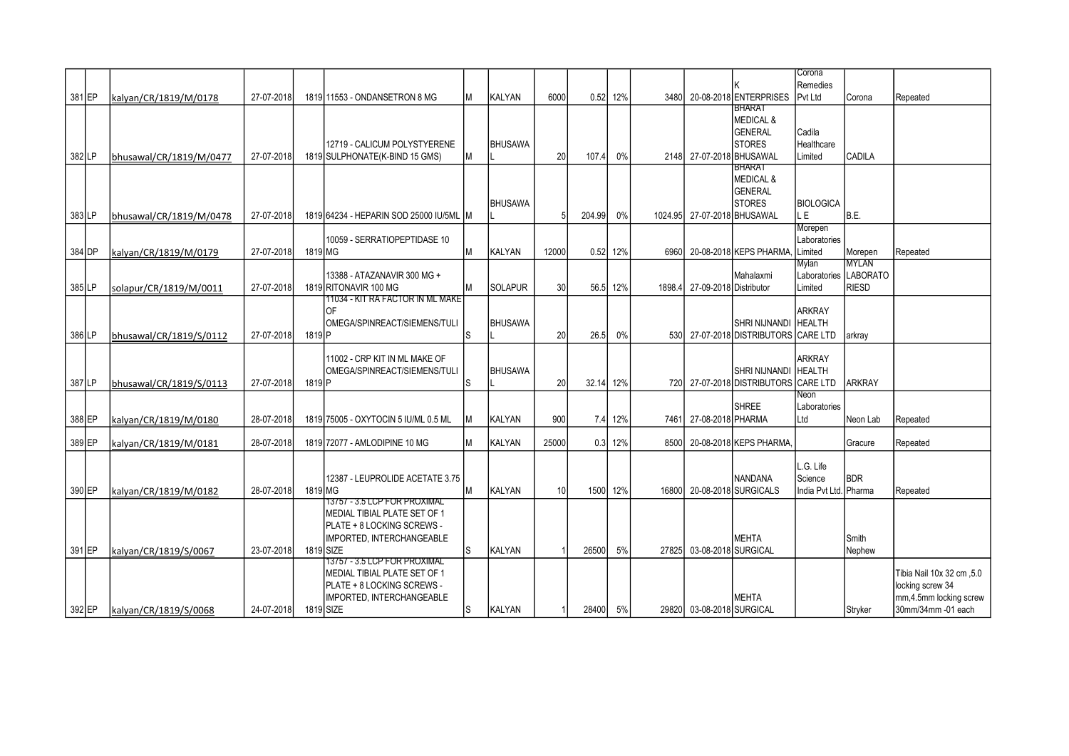|        |                         |            |                    |                                                            |    |                |       |           |          |         |                           |                                       | Corona                      |                       |                           |
|--------|-------------------------|------------|--------------------|------------------------------------------------------------|----|----------------|-------|-----------|----------|---------|---------------------------|---------------------------------------|-----------------------------|-----------------------|---------------------------|
| 381 EP | kalyan/CR/1819/M/0178   | 27-07-2018 |                    | 1819 11553 - ONDANSETRON 8 MG                              | lм | <b>KALYAN</b>  | 6000  |           | 0.52 12% | 3480    |                           | 20-08-2018 ENTERPRISES                | Remedies<br>Pvt Ltd         | Corona                | Repeated                  |
|        |                         |            |                    |                                                            |    |                |       |           |          |         |                           | <b>BHARAT</b>                         |                             |                       |                           |
|        |                         |            |                    |                                                            |    |                |       |           |          |         |                           | <b>MEDICAL &amp;</b>                  |                             |                       |                           |
|        |                         |            |                    |                                                            |    |                |       |           |          |         |                           | <b>GENERAL</b>                        | Cadila                      |                       |                           |
|        |                         |            |                    | 12719 - CALICUM POLYSTYERENE                               |    | <b>BHUSAWA</b> |       |           |          |         |                           | <b>STORES</b>                         | Healthcare                  |                       |                           |
| 382 LP | bhusawal/CR/1819/M/0477 | 27-07-2018 |                    | 1819 SULPHONATE(K-BIND 15 GMS)                             | lМ |                | 20    | 107.4     | 0%       |         | 2148 27-07-2018 BHUSAWAL  |                                       | Limited                     | <b>CADILA</b>         |                           |
|        |                         |            |                    |                                                            |    |                |       |           |          |         |                           | <b>BHARA1</b><br><b>MEDICAL &amp;</b> |                             |                       |                           |
|        |                         |            |                    |                                                            |    |                |       |           |          |         |                           | <b>GENERAL</b>                        |                             |                       |                           |
|        |                         |            |                    |                                                            |    | <b>BHUSAWA</b> |       |           |          |         |                           | <b>STORES</b>                         | <b>BIOLOGICA</b>            |                       |                           |
| 383 LP | bhusawal/CR/1819/M/0478 | 27-07-2018 |                    | 1819164234 - HEPARIN SOD 25000 IU/5ML IM                   |    |                |       | 204.99    | 0%       | 1024.95 |                           | 27-07-2018 BHUSAWAL                   | L E.                        | IB.E.                 |                           |
|        |                         |            |                    |                                                            |    |                |       |           |          |         |                           |                                       | Morepen                     |                       |                           |
|        |                         |            |                    | 10059 - SERRATIOPEPTIDASE 10                               |    |                |       |           |          |         |                           |                                       | Laboratories                |                       |                           |
| 384 DP | kalyan/CR/1819/M/0179   | 27-07-2018 | 1819 MG            |                                                            | Iм | <b>KALYAN</b>  | 12000 |           | 0.52 12% | 6960    |                           | 20-08-2018 KEPS PHARMA,               | Limited                     | Morepen               | Repeated                  |
|        |                         |            |                    |                                                            |    |                |       |           |          |         |                           |                                       | Mylan                       | <b>MYLAN</b>          |                           |
|        |                         |            |                    | 13388 - ATAZANAVIR 300 MG +                                |    |                |       |           |          |         |                           | Mahalaxmi                             |                             | Laboratories LABORATO |                           |
| 385 LP | solapur/CR/1819/M/0011  | 27-07-2018 |                    | 1819 RITONAVIR 100 MG<br>11034 - KIT RA FACTOR IN ML MAKET | ΙM | <b>SOLAPUR</b> | 30    |           | 56.5 12% | 1898.4  | 27-09-2018 Distributor    |                                       | Limited                     | Iriesd                |                           |
|        |                         |            |                    | OF                                                         |    |                |       |           |          |         |                           |                                       | <b>ARKRAY</b>               |                       |                           |
|        |                         |            |                    | OMEGA/SPINREACT/SIEMENS/TULI                               |    | <b>BHUSAWA</b> |       |           |          |         |                           | SHRI NIJNANDI                         | <b>HEALTH</b>               |                       |                           |
| 386LP  | bhusawal/CR/1819/S/0112 | 27-07-2018 | 1819 <sub>P</sub>  |                                                            | ls |                | 20    | 26.5      | 0%       |         |                           | 530 27-07-2018 DISTRIBUTORS           | <b>CARE LTD</b>             | arkray                |                           |
|        |                         |            |                    |                                                            |    |                |       |           |          |         |                           |                                       |                             |                       |                           |
|        |                         |            |                    | 11002 - CRP KIT IN ML MAKE OF                              |    |                |       |           |          |         |                           |                                       | <b>ARKRAY</b>               |                       |                           |
|        |                         |            |                    | OMEGA/SPINREACT/SIEMENS/TULI                               |    | <b>BHUSAWA</b> |       |           |          |         |                           | SHRI NIJNANDI                         | <b>HEALTH</b>               |                       |                           |
| 387 LP | bhusawal/CR/1819/S/0113 | 27-07-2018 | 1819 <sub>IP</sub> |                                                            | Is |                | 20    | 32.14 12% |          | 720I    |                           | $27-07-2018$ DISTRIBUTORS             | <b>CARE LTD</b>             | <b>ARKRAY</b>         |                           |
|        |                         |            |                    |                                                            |    |                |       |           |          |         |                           | <b>SHREE</b>                          | <b>Neon</b><br>Laboratories |                       |                           |
| 388 EP | kalyan/CR/1819/M/0180   | 28-07-2018 |                    | 1819 75005 - OXYTOCIN 5 IU/ML 0.5 ML                       |    | <b>KALYAN</b>  | 900   |           | 7.4 12%  |         | 7461 27-08-2018 PHARMA    |                                       | Ltd                         | Neon Lab              | Repeated                  |
|        |                         |            |                    |                                                            |    |                |       |           |          |         |                           |                                       |                             |                       |                           |
| 389 EP | kalyan/CR/1819/M/0181   | 28-07-2018 |                    | 1819 72077 - AMLODIPINE 10 MG                              |    | <b>KALYAN</b>  | 25000 |           | 0.3 12%  | 8500    |                           | 20-08-2018 KEPS PHARMA.               |                             | Gracure               | Repeated                  |
|        |                         |            |                    |                                                            |    |                |       |           |          |         |                           |                                       |                             |                       |                           |
|        |                         |            |                    |                                                            |    |                |       |           |          |         |                           |                                       | L.G. Life                   |                       |                           |
|        |                         |            |                    | 12387 - LEUPROLIDE ACETATE 3.75                            |    |                |       |           |          |         |                           | <b>NANDANA</b>                        | Science                     | <b>BDR</b>            |                           |
| 390 EP | kalyan/CR/1819/M/0182   | 28-07-2018 | 1819 MG            | 13757 - 3.5 LCP FOR PROXIMAL                               |    | <b>KALYAN</b>  | 10    |           | 1500 12% |         |                           | 16800 20-08-2018 SURGICALS            | India Pvt Ltd. Pharma       |                       | Repeated                  |
|        |                         |            |                    | MEDIAL TIBIAL PLATE SET OF 1                               |    |                |       |           |          |         |                           |                                       |                             |                       |                           |
|        |                         |            |                    | PLATE + 8 LOCKING SCREWS -                                 |    |                |       |           |          |         |                           |                                       |                             |                       |                           |
|        |                         |            |                    | IMPORTED, INTERCHANGEABLE                                  |    |                |       |           |          |         |                           | <b>MEHTA</b>                          |                             | Smith                 |                           |
| 391 EP | kalyan/CR/1819/S/0067   | 23-07-2018 |                    | 1819 SIZE                                                  | ls | <b>KALYAN</b>  |       | 26500     | 5%       | 27825   | 03-08-2018 SURGICAL       |                                       |                             | Nephew                |                           |
|        |                         |            |                    | 13757 - 3.5 LCP FOR PROXIMAL                               |    |                |       |           |          |         |                           |                                       |                             |                       |                           |
|        |                         |            |                    | MEDIAL TIBIAL PLATE SET OF 1                               |    |                |       |           |          |         |                           |                                       |                             |                       | Tibia Nail 10x 32 cm, 5.0 |
|        |                         |            |                    | PLATE + 8 LOCKING SCREWS -                                 |    |                |       |           |          |         |                           |                                       |                             |                       | locking screw 34          |
|        |                         |            |                    | IMPORTED, INTERCHANGEABLE                                  |    | <b>KALYAN</b>  |       |           |          |         |                           | <b>MEHTA</b>                          |                             |                       | mm, 4.5mm locking screw   |
| 392 EP | kalyan/CR/1819/S/0068   | 24-07-2018 |                    | 1819 SIZE                                                  | s  |                |       | 28400     | 5%       |         | 29820 03-08-2018 SURGICAL |                                       |                             | Stryker               | 30mm/34mm - 01 each       |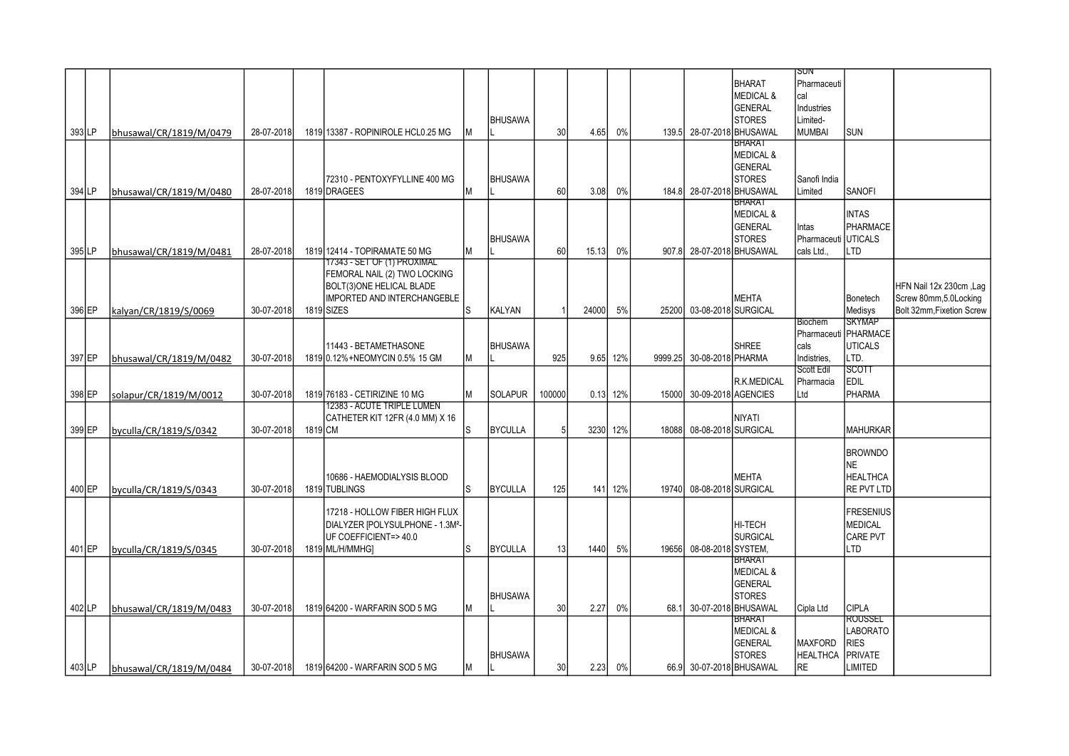|        |          |                         |            |         |                                    |    |                |        |          |          |       |                           |                                | isun              |                                 |                           |
|--------|----------|-------------------------|------------|---------|------------------------------------|----|----------------|--------|----------|----------|-------|---------------------------|--------------------------------|-------------------|---------------------------------|---------------------------|
|        |          |                         |            |         |                                    |    |                |        |          |          |       |                           | <b>BHARAT</b>                  | Pharmaceuti       |                                 |                           |
|        |          |                         |            |         |                                    |    |                |        |          |          |       |                           | <b>MEDICAL &amp;</b>           | cal               |                                 |                           |
|        |          |                         |            |         |                                    |    |                |        |          |          |       |                           | GENERAL                        | Industries        |                                 |                           |
|        |          |                         |            |         |                                    |    | <b>BHUSAWA</b> |        |          |          |       |                           | <b>STORES</b>                  | Limited-          |                                 |                           |
|        | 393 LP   | bhusawal/CR/1819/M/0479 | 28-07-2018 |         | 1819 13387 - ROPINIROLE HCL0.25 MG |    |                | 30     | 4.65     | 0%       |       | 139.5 28-07-2018 BHUSAWAL |                                | <b>MUMBAI</b>     | SUN                             |                           |
|        |          |                         |            |         |                                    |    |                |        |          |          |       |                           | BHARAT<br><b>MEDICAL &amp;</b> |                   |                                 |                           |
|        |          |                         |            |         |                                    |    |                |        |          |          |       |                           | GENERAL                        |                   |                                 |                           |
|        |          |                         |            |         | 72310 - PENTOXYFYLLINE 400 MG      |    | <b>BHUSAWA</b> |        |          |          |       |                           | <b>STORES</b>                  | Sanofi India      |                                 |                           |
| 394 LP |          | bhusawal/CR/1819/M/0480 | 28-07-2018 |         | 1819 DRAGEES                       | lм |                | 60     | 3.08     | 0%       |       | 184.8 28-07-2018 BHUSAWAL |                                | Limited           | <b>SANOFI</b>                   |                           |
|        |          |                         |            |         |                                    |    |                |        |          |          |       |                           | BHARAI                         |                   |                                 |                           |
|        |          |                         |            |         |                                    |    |                |        |          |          |       |                           | <b>MEDICAL &amp;</b>           |                   | <b>INTAS</b>                    |                           |
|        |          |                         |            |         |                                    |    |                |        |          |          |       |                           | <b>GENERAL</b>                 | Intas             | PHARMACE                        |                           |
|        |          |                         |            |         |                                    |    | <b>BHUSAWA</b> |        |          |          |       |                           | <b>STORES</b>                  | Pharmaceuti       | <b>UTICALS</b>                  |                           |
| 395LP  |          | bhusawal/CR/1819/M/0481 | 28-07-2018 |         | 1819 12414 - TOPIRAMATE 50 MG      | lм |                | 60     | 15.13    | 0%       |       | 907.8 28-07-2018 BHUSAWAL |                                | cals Ltd          | <b>LTD</b>                      |                           |
|        |          |                         |            |         | 17343 - SET OF (1) PROXIMAL        |    |                |        |          |          |       |                           |                                |                   |                                 |                           |
|        |          |                         |            |         | FEMORAL NAIL (2) TWO LOCKING       |    |                |        |          |          |       |                           |                                |                   |                                 |                           |
|        |          |                         |            |         | BOLT(3)ONE HELICAL BLADE           |    |                |        |          |          |       |                           |                                |                   |                                 | HFN Nail 12x 230cm, Lag   |
|        |          |                         |            |         | <b>IMPORTED AND INTERCHANGEBLE</b> |    |                |        |          |          |       |                           | <b>MEHTA</b>                   |                   | Bonetech                        | Screw 80mm,5.0Locking     |
|        | 396 EP   | kalyan/CR/1819/S/0069   | 30-07-2018 |         | 1819 SIZES                         | ls | KALYAN         |        | 24000    | 5%       |       | 25200 03-08-2018 SURGICAL |                                |                   | Medisys                         | Bolt 32mm, Fixetion Screw |
|        |          |                         |            |         |                                    |    |                |        |          |          |       |                           |                                | Biochem           | <b>SKYMAP</b>                   |                           |
|        |          |                         |            |         | 11443 - BETAMETHASONE              |    | <b>BHUSAWA</b> |        |          |          |       |                           | <b>SHREE</b>                   | cals              | Pharmaceuti PHARMACE<br>UTICALS |                           |
|        | 397 EP   |                         | 30-07-2018 |         | 1819 0.12% + NEOMYCIN 0.5% 15 GM   | Iм |                | 925    |          | 9.65 12% |       | 9999.25 30-08-2018 PHARMA |                                | Indistries.       | LTD.                            |                           |
|        |          | bhusawal/CR/1819/M/0482 |            |         |                                    |    |                |        |          |          |       |                           |                                | <b>Scott Edil</b> | SCOTT                           |                           |
|        |          |                         |            |         |                                    |    |                |        |          |          |       |                           | R.K.MEDICAL                    | Pharmacia         | EDIL                            |                           |
|        | 398 EP   | solapur/CR/1819/M/0012  | 30-07-2018 |         | 1819 76183 - CETIRIZINE 10 MG      | lм | <b>SOLAPUR</b> | 100000 | 0.13 12% |          | 15000 | 30-09-2018 AGENCIES       |                                | Ltd               | PHARMA                          |                           |
|        |          |                         |            |         | 12383 - ACUTE TRIPLE LUMEN         |    |                |        |          |          |       |                           |                                |                   |                                 |                           |
|        |          |                         |            |         | CATHETER KIT 12FR (4.0 MM) X 16    |    |                |        |          |          |       |                           | <b>NIYATI</b>                  |                   |                                 |                           |
| 399 EP |          | byculla/CR/1819/S/0342  | 30-07-2018 | 1819 CM |                                    | s  | <b>BYCULLA</b> |        | 3230 12% |          | 18088 | 08-08-2018 SURGICAL       |                                |                   | IMAHURKAR                       |                           |
|        |          |                         |            |         |                                    |    |                |        |          |          |       |                           |                                |                   |                                 |                           |
|        |          |                         |            |         |                                    |    |                |        |          |          |       |                           |                                |                   | <b>BROWNDO</b>                  |                           |
|        |          |                         |            |         |                                    |    |                |        |          |          |       |                           |                                |                   | <b>NE</b>                       |                           |
|        |          |                         |            |         | 10686 - HAEMODIALYSIS BLOOD        |    |                |        |          |          |       |                           | <b>MEHTA</b>                   |                   | <b>HEALTHCA</b>                 |                           |
|        | 400 EP   | byculla/CR/1819/S/0343  | 30-07-2018 |         | 1819 TUBLINGS                      | ls | <b>BYCULLA</b> | 125    |          | 141 12%  |       | 19740 08-08-2018 SURGICAL |                                |                   | RE PVT LTD                      |                           |
|        |          |                         |            |         | 17218 - HOLLOW FIBER HIGH FLUX     |    |                |        |          |          |       |                           |                                |                   | <b>IFRESENIUS</b>               |                           |
|        |          |                         |            |         | DIALYZER [POLYSULPHONE - 1.3M2-    |    |                |        |          |          |       |                           | HI-TECH                        |                   | <b>MEDICAL</b>                  |                           |
|        |          |                         |            |         | UF COEFFICIENT=>40.0               |    |                |        |          |          |       |                           | <b>SURGICAL</b>                |                   | CARE PVT                        |                           |
|        | 401 EP   | byculla/CR/1819/S/0345  | 30-07-2018 |         | 1819 ML/H/MMHG]                    | Is | <b>BYCULLA</b> | 13     | 1440     | 5%       | 19656 | 08-08-2018 SYSTEM,        |                                |                   | LTD                             |                           |
|        |          |                         |            |         |                                    |    |                |        |          |          |       |                           | <b>BHARAT</b>                  |                   |                                 |                           |
|        |          |                         |            |         |                                    |    |                |        |          |          |       |                           | <b>MEDICAL &amp;</b>           |                   |                                 |                           |
|        |          |                         |            |         |                                    |    |                |        |          |          |       |                           | <b>GENERAL</b>                 |                   |                                 |                           |
|        |          |                         |            |         |                                    |    | <b>BHUSAWA</b> |        |          |          |       |                           | <b>STORES</b>                  |                   |                                 |                           |
| 402 LP |          | bhusawal/CR/1819/M/0483 | 30-07-2018 |         | 1819 64200 - WARFARIN SOD 5 MG     | lм |                | 30     | 2.27     | 0%       | 68.1  | 30-07-2018 BHUSAWAL       |                                | Cipla Ltd         | CIPLA                           |                           |
|        |          |                         |            |         |                                    |    |                |        |          |          |       |                           | <b>BHARAT</b>                  |                   | ROUSSEL                         |                           |
|        |          |                         |            |         |                                    |    |                |        |          |          |       |                           | <b>MEDICAL &amp;</b>           |                   | <b>LABORATO</b>                 |                           |
|        |          |                         |            |         |                                    |    |                |        |          |          |       |                           | GENERAL                        | <b>MAXFORD</b>    | RIES                            |                           |
|        |          |                         |            |         |                                    |    | <b>BHUSAWA</b> |        |          |          |       |                           | <b>STORES</b>                  | <b>HEALTHCA</b>   | PRIVATE                         |                           |
|        | $403$ LP | bhusawal/CR/1819/M/0484 | 30-07-2018 |         | 1819 64200 - WARFARIN SOD 5 MG     | Iм |                | 30     |          | 2.23 0%  |       |                           | 66.9 30-07-2018 BHUSAWAL       | <b>RE</b>         | <b>LIMITED</b>                  |                           |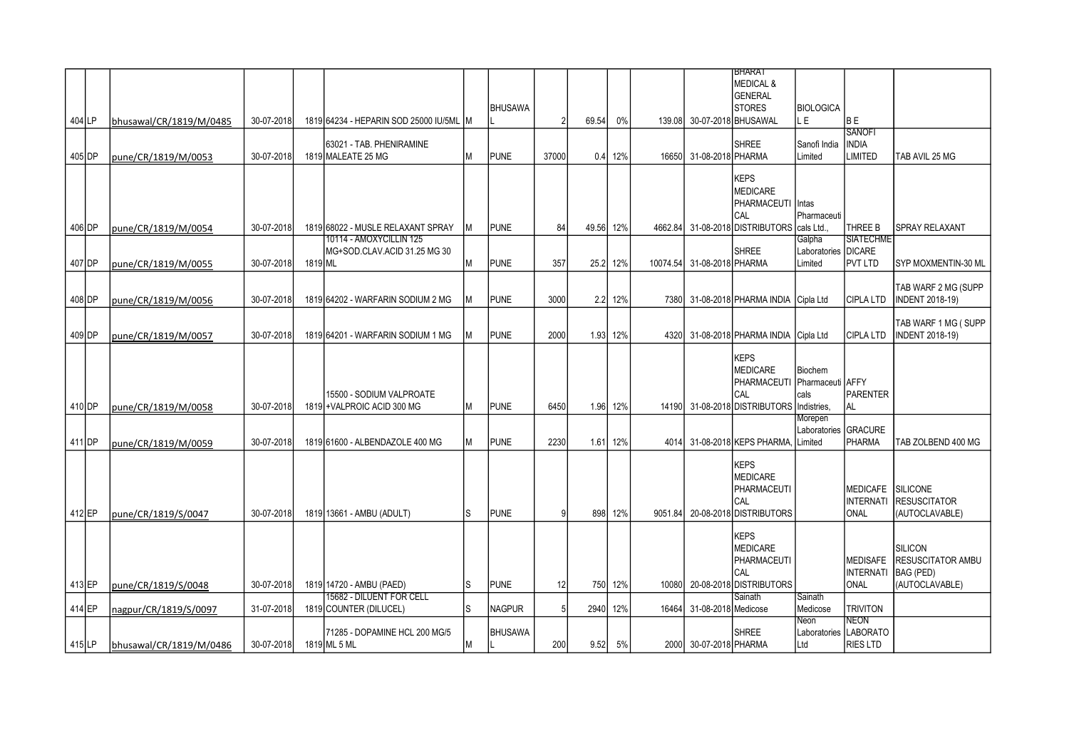|         |                         |            |         |                                         |    |               |       |           |          |       |                            | <b>BHARAT</b>                          |                     |                       |                            |
|---------|-------------------------|------------|---------|-----------------------------------------|----|---------------|-------|-----------|----------|-------|----------------------------|----------------------------------------|---------------------|-----------------------|----------------------------|
|         |                         |            |         |                                         |    |               |       |           |          |       |                            | <b>MEDICAL &amp;</b>                   |                     |                       |                            |
|         |                         |            |         |                                         |    |               |       |           |          |       |                            | <b>GENERAL</b>                         |                     |                       |                            |
|         |                         |            |         |                                         |    | BHUSAWA       |       |           |          |       |                            | <b>STORES</b>                          | <b>BIOLOGICA</b>    |                       |                            |
|         |                         |            |         |                                         |    |               |       |           |          |       |                            |                                        |                     |                       |                            |
| 404 LP  | bhusawal/CR/1819/M/0485 | 30-07-2018 |         | 1819 64234 - HEPARIN SOD 25000 IU/5ML M |    |               |       | 69.54     | 0%       |       |                            | 139.08 30-07-2018 BHUSAWAL             | .E                  | lb E                  |                            |
|         |                         |            |         |                                         |    |               |       |           |          |       |                            |                                        |                     | <b>SANOFI</b>         |                            |
|         |                         |            |         | 63021 - TAB. PHENIRAMINE                |    |               |       |           |          |       |                            | <b>SHREE</b>                           | Sanofi India        | <b>INDIA</b>          |                            |
| 405 DP  | pune/CR/1819/M/0053     | 30-07-2018 |         | 1819 MALEATE 25 MG                      | М  | <b>PUNE</b>   | 37000 | 0.4       | 12%      |       | 16650 31-08-2018 PHARMA    |                                        | Limited             | LIMITED               | TAB AVIL 25 MG             |
|         |                         |            |         |                                         |    |               |       |           |          |       |                            |                                        |                     |                       |                            |
|         |                         |            |         |                                         |    |               |       |           |          |       |                            | <b>KEPS</b>                            |                     |                       |                            |
|         |                         |            |         |                                         |    |               |       |           |          |       |                            | <b>MEDICARE</b>                        |                     |                       |                            |
|         |                         |            |         |                                         |    |               |       |           |          |       |                            | PHARMACEUTI                            | Intas               |                       |                            |
|         |                         |            |         |                                         |    |               |       |           |          |       |                            | CAL                                    | Pharmaceuti         |                       |                            |
| 406 IDP | pune/CR/1819/M/0054     | 30-07-2018 |         | 1819 68022 - MUSLE RELAXANT SPRAY       | М  | <b>PUNE</b>   | 84    | 49.56 12% |          |       |                            | 4662.84 31-08-2018 DISTRIBUTORS        | cals Ltd.           | THREE B               | <b>ISPRAY RELAXANT</b>     |
|         |                         |            |         | 10114 - AMOXYCILLIN 125                 |    |               |       |           |          |       |                            |                                        | Galpha              | <b>SIATECHME</b>      |                            |
|         |                         |            |         | MG+SOD.CLAV.ACID 31.25 MG 30            |    |               |       |           |          |       |                            | <b>SHREE</b>                           | Laboratories DICARE |                       |                            |
| 407 DP  | pune/CR/1819/M/0055     | 30-07-2018 | 1819 ML |                                         | М  | <b>PUNE</b>   | 357   | 25.2      | 12%      |       | 10074.54 31-08-2018 PHARMA |                                        | _imited             | <b>PVT LTD</b>        | <b>SYP MOXMENTIN-30 ML</b> |
|         |                         |            |         |                                         |    |               |       |           |          |       |                            |                                        |                     |                       |                            |
|         |                         |            |         |                                         |    |               |       |           |          |       |                            |                                        |                     |                       | TAB WARF 2 MG (SUPP        |
| 408 DP  |                         | 30-07-2018 |         | 1819 64202 - WARFARIN SODIUM 2 MG       | M  | <b>PUNE</b>   | 3000  |           | 2.2 12%  |       |                            | 7380 31-08-2018 PHARMA INDIA Cipla Ltd |                     | <b>CIPLA LTD</b>      | <b>INDENT 2018-19)</b>     |
|         | pune/CR/1819/M/0056     |            |         |                                         |    |               |       |           |          |       |                            |                                        |                     |                       |                            |
|         |                         |            |         |                                         |    |               |       |           |          |       |                            |                                        |                     |                       |                            |
|         |                         |            |         |                                         |    |               |       |           |          |       |                            |                                        |                     |                       | TAB WARF 1 MG (SUPP        |
| 409 DP  | pune/CR/1819/M/0057     | 30-07-2018 |         | 1819 64201 - WARFARIN SODIUM 1 MG       |    | <b>PUNE</b>   | 2000  | 1.93      | 12%      |       |                            | 4320 31-08-2018 PHARMA INDIA Cipla Ltd |                     | CIPLA LTD             | <b>INDENT 2018-19)</b>     |
|         |                         |            |         |                                         |    |               |       |           |          |       |                            |                                        |                     |                       |                            |
|         |                         |            |         |                                         |    |               |       |           |          |       |                            | <b>KEPS</b>                            |                     |                       |                            |
|         |                         |            |         |                                         |    |               |       |           |          |       |                            | <b>MEDICARE</b>                        | <b>Biochem</b>      |                       |                            |
|         |                         |            |         |                                         |    |               |       |           |          |       |                            | PHARMACEUTI                            | Pharmaceuti AFFY    |                       |                            |
|         |                         |            |         | 15500 - SODIUM VALPROATE                |    |               |       |           |          |       |                            | CAL                                    | cals                | PARENTER              |                            |
| 410 DP  | pune/CR/1819/M/0058     | 30-07-2018 |         | 1819 + VALPROIC ACID 300 MG             | М  | <b>PUNE</b>   | 6450  |           | 1.96 12% |       |                            | 14190 31-08-2018 DISTRIBUTORS          | Indistries,         | AL                    |                            |
|         |                         |            |         |                                         |    |               |       |           |          |       |                            |                                        | Morepen             |                       |                            |
|         |                         |            |         |                                         |    |               |       |           |          |       |                            |                                        | Laboratories        | GRACURE               |                            |
| 411 DP  | lpune/CR/1819/M/0059    | 30-07-2018 |         | 1819 61600 - ALBENDAZOLE 400 MG         | М  | <b>PUNE</b>   | 2230  | 1.61      | 12%      |       |                            | 4014 31-08-2018 KEPS PHARMA.           | Limited             | PHARMA                | TAB ZOLBEND 400 MG         |
|         |                         |            |         |                                         |    |               |       |           |          |       |                            |                                        |                     |                       |                            |
|         |                         |            |         |                                         |    |               |       |           |          |       |                            | <b>KEPS</b>                            |                     |                       |                            |
|         |                         |            |         |                                         |    |               |       |           |          |       |                            | <b>MEDICARE</b>                        |                     |                       |                            |
|         |                         |            |         |                                         |    |               |       |           |          |       |                            | PHARMACEUTI                            |                     | MEDICAFE SILICONE     |                            |
|         |                         |            |         |                                         |    |               |       |           |          |       |                            | CAL                                    |                     | <b>INTERNATI</b>      | <b>RESUSCITATOR</b>        |
| 412 EP  | pune/CR/1819/S/0047     | 30-07-2018 |         | 1819 13661 - AMBU (ADULT)               | S  | <b>PUNE</b>   |       | 898       | 12%      |       |                            | 9051.84 20-08-2018 DISTRIBUTORS        |                     | <b>ONAL</b>           | (AUTOCLAVABLE)             |
|         |                         |            |         |                                         |    |               |       |           |          |       |                            |                                        |                     |                       |                            |
|         |                         |            |         |                                         |    |               |       |           |          |       |                            | <b>KEPS</b>                            |                     |                       |                            |
|         |                         |            |         |                                         |    |               |       |           |          |       |                            | <b>MEDICARE</b>                        |                     |                       | SILICON                    |
|         |                         |            |         |                                         |    |               |       |           |          |       |                            | PHARMACEUTI                            |                     | <b>MEDISAFE</b>       | <b>RESUSCITATOR AMBU</b>   |
|         |                         |            |         |                                         |    |               |       |           |          |       |                            |                                        |                     |                       |                            |
|         |                         |            |         |                                         |    |               |       |           |          |       |                            | CAL                                    |                     | <b>INTERNATI</b>      | BAG (PED)                  |
| 413 EP  | pune/CR/1819/S/0048     | 30-07-2018 |         | 1819 14720 - AMBU (PAED)                | S  | <b>PUNE</b>   | 12    |           | 750 12%  |       |                            | 10080 20-08-2018 DISTRIBUTORS          |                     | ONAL                  | (AUTOCLAVABLE)             |
|         |                         |            |         | 15682 - DILUENT FOR CELL                |    |               |       |           |          |       |                            | Sainath                                | Sainath             |                       |                            |
| 414 EP  | nagpur/CR/1819/S/0097   | 31-07-2018 |         | 1819 COUNTER (DILUCEL)                  | ls | <b>NAGPUR</b> | 5     | 2940      | 12%      | 16464 | 31-08-2018 Medicose        |                                        | Medicose            | <b>TRIVITON</b>       |                            |
|         |                         |            |         |                                         |    |               |       |           |          |       |                            |                                        | Veon                | NEON                  |                            |
|         |                         |            |         | 71285 - DOPAMINE HCL 200 MG/5           |    | BHUSAWA       |       |           |          |       |                            | <b>SHREE</b>                           |                     | Laboratories LABORATO |                            |
| 415 LP  | bhusawal/CR/1819/M/0486 | 30-07-2018 |         | 1819 ML 5 ML                            | М  |               | 200   | 9.52      | 5%       |       | 2000 30-07-2018 PHARMA     |                                        | Ltd                 | <b>RIES LTD</b>       |                            |
|         |                         |            |         |                                         |    |               |       |           |          |       |                            |                                        |                     |                       |                            |